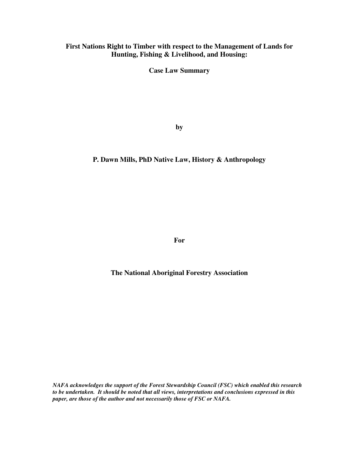# **First Nations Right to Timber with respect to the Management of Lands for Hunting, Fishing & Livelihood, and Housing:**

**Case Law Summary** 

**by** 

# **P. Dawn Mills, PhD Native Law, History & Anthropology**

**For** 

# **The National Aboriginal Forestry Association**

*NAFA acknowledges the support of the Forest Stewardship Council (FSC) which enabled this research to be undertaken. It should be noted that all views, interpretations and conclusions expressed in this paper, are those of the author and not necessarily those of FSC or NAFA.*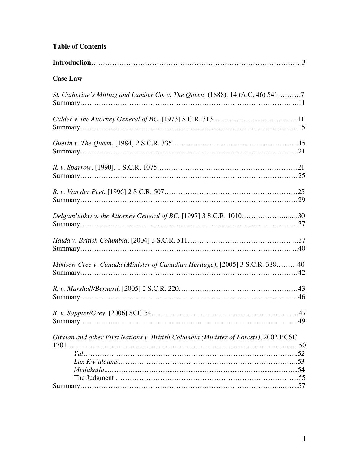# **Table of Contents**

| <b>Case Law</b>                                                                      |
|--------------------------------------------------------------------------------------|
| St. Catherine's Milling and Lumber Co. v. The Queen, $(1888)$ , 14 $(A.C. 46)$ 5417  |
|                                                                                      |
|                                                                                      |
|                                                                                      |
|                                                                                      |
| Delgam'uukw v. the Attorney General of BC, [1997] 3 S.C.R. 101030                    |
|                                                                                      |
| Mikisew Cree v. Canada (Minister of Canadian Heritage), [2005] 3 S.C.R. 38840        |
|                                                                                      |
|                                                                                      |
| Gitxsan and other First Nations v. British Columbia (Minister of Forests), 2002 BCSC |
|                                                                                      |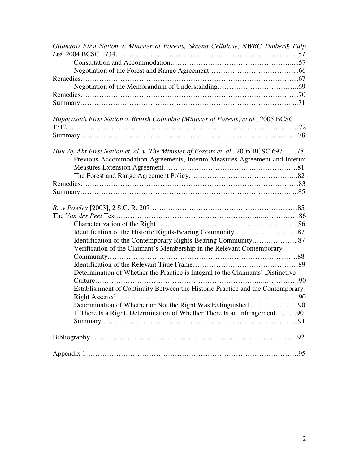| Gitanyow First Nation v. Minister of Forests, Skeena Cellulose, NWBC Timber & Pulp  |  |
|-------------------------------------------------------------------------------------|--|
|                                                                                     |  |
|                                                                                     |  |
|                                                                                     |  |
|                                                                                     |  |
|                                                                                     |  |
|                                                                                     |  |
|                                                                                     |  |
| Hupacasath First Nation v. British Columbia (Minister of Forests) et.al., 2005 BCSC |  |
|                                                                                     |  |
|                                                                                     |  |
| Huu-Ay-Aht First Nation et. al. v. The Minister of Forests et. al., 2005 BCSC 69778 |  |
| Previous Accommodation Agreements, Interim Measures Agreement and Interim           |  |
|                                                                                     |  |
|                                                                                     |  |
|                                                                                     |  |
|                                                                                     |  |
|                                                                                     |  |
|                                                                                     |  |
|                                                                                     |  |
|                                                                                     |  |
| Identification of the Contemporary Rights-Bearing Community87                       |  |
| Verification of the Claimant's Membership in the Relevant Contemporary              |  |
|                                                                                     |  |
|                                                                                     |  |
| Determination of Whether the Practice is Integral to the Claimants' Distinctive     |  |
|                                                                                     |  |
| Establishment of Continuity Between the Historic Practice and the Contemporary      |  |
|                                                                                     |  |
| Determination of Whether or Not the Right Was Extinguished90                        |  |
| If There Is a Right, Determination of Whether There Is an Infringement90            |  |
|                                                                                     |  |
|                                                                                     |  |
|                                                                                     |  |
|                                                                                     |  |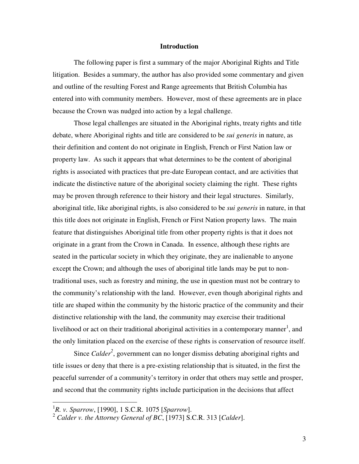#### **Introduction**

The following paper is first a summary of the major Aboriginal Rights and Title litigation. Besides a summary, the author has also provided some commentary and given and outline of the resulting Forest and Range agreements that British Columbia has entered into with community members. However, most of these agreements are in place because the Crown was nudged into action by a legal challenge.

Those legal challenges are situated in the Aboriginal rights, treaty rights and title debate, where Aboriginal rights and title are considered to be *sui generis* in nature, as their definition and content do not originate in English, French or First Nation law or property law. As such it appears that what determines to be the content of aboriginal rights is associated with practices that pre-date European contact, and are activities that indicate the distinctive nature of the aboriginal society claiming the right. These rights may be proven through reference to their history and their legal structures. Similarly, aboriginal title, like aboriginal rights, is also considered to be *sui generis* in nature, in that this title does not originate in English, French or First Nation property laws. The main feature that distinguishes Aboriginal title from other property rights is that it does not originate in a grant from the Crown in Canada. In essence, although these rights are seated in the particular society in which they originate, they are inalienable to anyone except the Crown; and although the uses of aboriginal title lands may be put to nontraditional uses, such as forestry and mining, the use in question must not be contrary to the community's relationship with the land. However, even though aboriginal rights and title are shaped within the community by the historic practice of the community and their distinctive relationship with the land, the community may exercise their traditional livelihood or act on their traditional aboriginal activities in a contemporary manner<sup>1</sup>, and the only limitation placed on the exercise of these rights is conservation of resource itself.

Since *Calder<sup>2</sup>*, government can no longer dismiss debating aboriginal rights and title issues or deny that there is a pre-existing relationship that is situated, in the first the peaceful surrender of a community's territory in order that others may settle and prosper, and second that the community rights include participation in the decisions that affect

<sup>1</sup> *R. v. Sparrow*, [1990], 1 S.C.R. 1075 [*Sparrow*].

<sup>2</sup> *Calder v. the Attorney General of BC*, [1973] S.C.R. 313 [*Calder*].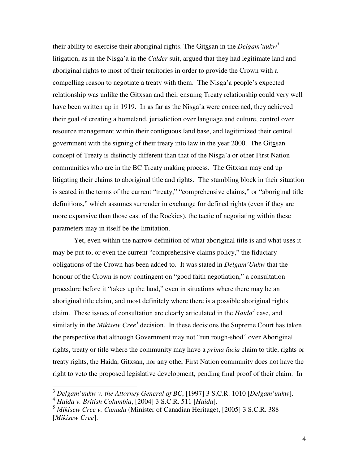their ability to exercise their aboriginal rights. The Gitxsan in the *Delgam'uukw<sup>3</sup>* litigation, as in the Nisga'a in the *Calder* suit, argued that they had legitimate land and aboriginal rights to most of their territories in order to provide the Crown with a compelling reason to negotiate a treaty with them. The Nisga'a people's expected relationship was unlike the Gitxsan and their ensuing Treaty relationship could very well have been written up in 1919. In as far as the Nisga'a were concerned, they achieved their goal of creating a homeland, jurisdiction over language and culture, control over resource management within their contiguous land base, and legitimized their central government with the signing of their treaty into law in the year 2000. The Gitxsan concept of Treaty is distinctly different than that of the Nisga'a or other First Nation communities who are in the BC Treaty making process. The Gitxsan may end up litigating their claims to aboriginal title and rights. The stumbling block in their situation is seated in the terms of the current "treaty," "comprehensive claims," or "aboriginal title definitions," which assumes surrender in exchange for defined rights (even if they are more expansive than those east of the Rockies), the tactic of negotiating within these parameters may in itself be the limitation.

Yet, even within the narrow definition of what aboriginal title is and what uses it may be put to, or even the current "comprehensive claims policy," the fiduciary obligations of the Crown has been added to. It was stated in *Delgam'Uukw* that the honour of the Crown is now contingent on "good faith negotiation," a consultation procedure before it "takes up the land," even in situations where there may be an aboriginal title claim, and most definitely where there is a possible aboriginal rights claim. These issues of consultation are clearly articulated in the *Haida<sup>4</sup>* case, and similarly in the *Mikisew Cree<sup>5</sup>* decision. In these decisions the Supreme Court has taken the perspective that although Government may not "run rough-shod" over Aboriginal rights, treaty or title where the community may have a *prima facia* claim to title, rights or treaty rights, the Haida, Gitxsan, nor any other First Nation community does not have the right to veto the proposed legislative development, pending final proof of their claim. In

<sup>3</sup> *Delgam'uukw v. the Attorney General of BC*, [1997] 3 S.C.R. 1010 [*Delgam'uukw*].

<sup>4</sup> *Haida v. British Columbia*, [2004] 3 S.C.R. 511 [*Haida*].

<sup>5</sup> *Mikisew Cree v. Canada* (Minister of Canadian Heritage), [2005] 3 S.C.R. 388 [*Mikisew Cree*].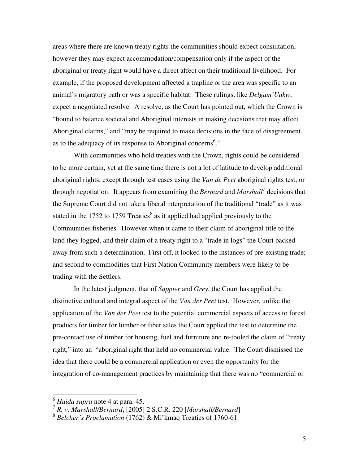areas where there are known treaty rights the communities should expect consultation, however they may expect accommodation/compensation only if the aspect of the aboriginal or treaty right would have a direct affect on their traditional livelihood. For example, if the proposed development affected a trapline or the area was specific to an animal's migratory path or was a specific habitat. These rulings, like *Delgam'Uukw*, expect a negotiated resolve. A resolve, as the Court has pointed out, which the Crown is "bound to balance societal and Aboriginal interests in making decisions that may affect Aboriginal claims," and "may be required to make decisions in the face of disagreement as to the adequacy of its response to Aboriginal concerns<sup>6</sup>."

With communities who hold treaties with the Crown, rights could be considered to be more certain, yet at the same time there is not a lot of latitude to develop additional aboriginal rights, except through test cases using the *Van de Peet* aboriginal rights test, or through negotiation. It appears from examining the *Bernard* and *Marshall<sup>7</sup>* decisions that the Supreme Court did not take a liberal interpretation of the traditional "trade" as it was stated in the 1752 to 1759 Treaties<sup>8</sup> as it applied had applied previously to the Communities fisheries. However when it came to their claim of aboriginal title to the land they logged, and their claim of a treaty right to a "trade in logs" the Court backed away from such a determination. First off, it looked to the instances of pre-existing trade; and second to commodities that First Nation Community members were likely to be trading with the Settlers.

In the latest judgment, that of *Sappier* and *Grey*, the Court has applied the distinctive cultural and integral aspect of the *Van der Peet* test. However, unlike the application of the *Van der Peet* test to the potential commercial aspects of access to forest products for timber for lumber or fiber sales the Court applied the test to determine the pre-contact use of timber for housing, fuel and furniture and re-tooled the claim of "treaty right," into an "aboriginal right that held no commercial value. The Court dismissed the idea that there could be a commercial application or even the opportunity for the integration of co-management practices by maintaining that there was no "commercial or

<sup>6</sup> *Haida supra* note 4 at para. 45.

<sup>7</sup> *R. v. Marshall/Bernard*, [2005] 2 S.C.R. 220 [*Marshall/Bernard*]

<sup>8</sup> *Belcher's Proclamation* (1762) & Mi'kmaq Treaties of 1760-61.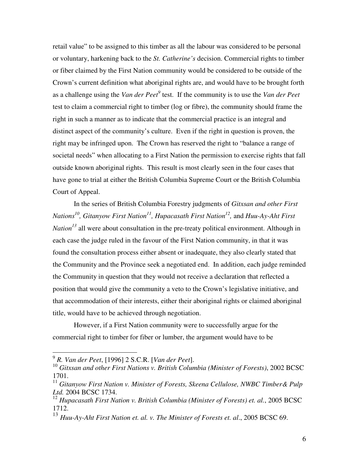retail value" to be assigned to this timber as all the labour was considered to be personal or voluntary, harkening back to the *St. Catherine's* decision. Commercial rights to timber or fiber claimed by the First Nation community would be considered to be outside of the Crown's current definition what aboriginal rights are, and would have to be brought forth as a challenge using the *Van der Peet*<sup>9</sup> test. If the community is to use the *Van der Peet* test to claim a commercial right to timber (log or fibre), the community should frame the right in such a manner as to indicate that the commercial practice is an integral and distinct aspect of the community's culture. Even if the right in question is proven, the right may be infringed upon. The Crown has reserved the right to "balance a range of societal needs" when allocating to a First Nation the permission to exercise rights that fall outside known aboriginal rights. This result is most clearly seen in the four cases that have gone to trial at either the British Columbia Supreme Court or the British Columbia Court of Appeal.

In the series of British Columbia Forestry judgments of *Gitxsan and other First Nations<sup>10</sup>, Gitanyow First Nation<sup>11</sup>, Hupacasath First Nation<sup>12</sup> ,* and *Huu-Ay-Aht First Nation*<sup>13</sup> all were about consultation in the pre-treaty political environment. Although in each case the judge ruled in the favour of the First Nation community, in that it was found the consultation process either absent or inadequate, they also clearly stated that the Community and the Province seek a negotiated end. In addition, each judge reminded the Community in question that they would not receive a declaration that reflected a position that would give the community a veto to the Crown's legislative initiative, and that accommodation of their interests, either their aboriginal rights or claimed aboriginal title, would have to be achieved through negotiation.

However, if a First Nation community were to successfully argue for the commercial right to timber for fiber or lumber, the argument would have to be

 9 *R. Van der Peet*, [1996] 2 S.C.R. [*Van der Peet*].

<sup>10</sup> *Gitxsan and other First Nations v. British Columbia (Minister of Forests)*, 2002 BCSC 1701.

<sup>11</sup> *Gitanyow First Nation v. Minister of Forests, Skeena Cellulose, NWBC Timber& Pulp Ltd.* 2004 BCSC 1734.

<sup>12</sup> *Hupacasath First Nation v. British Columbia (Minister of Forests) et. al.*, 2005 BCSC 1712.

<sup>13</sup> *Huu-Ay-Aht First Nation et. al. v. The Minister of Forests et. al*., 2005 BCSC 69.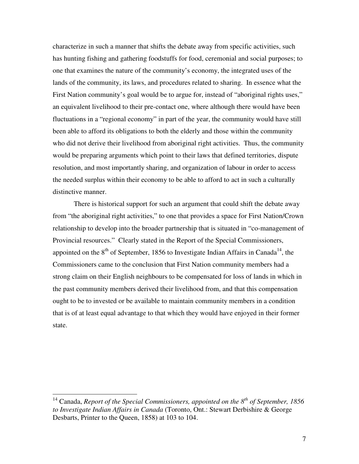characterize in such a manner that shifts the debate away from specific activities, such has hunting fishing and gathering foodstuffs for food, ceremonial and social purposes; to one that examines the nature of the community's economy, the integrated uses of the lands of the community, its laws, and procedures related to sharing. In essence what the First Nation community's goal would be to argue for, instead of "aboriginal rights uses," an equivalent livelihood to their pre-contact one, where although there would have been fluctuations in a "regional economy" in part of the year, the community would have still been able to afford its obligations to both the elderly and those within the community who did not derive their livelihood from aboriginal right activities. Thus, the community would be preparing arguments which point to their laws that defined territories, dispute resolution, and most importantly sharing, and organization of labour in order to access the needed surplus within their economy to be able to afford to act in such a culturally distinctive manner.

There is historical support for such an argument that could shift the debate away from "the aboriginal right activities," to one that provides a space for First Nation/Crown relationship to develop into the broader partnership that is situated in "co-management of Provincial resources." Clearly stated in the Report of the Special Commissioners, appointed on the  $8<sup>th</sup>$  of September, 1856 to Investigate Indian Affairs in Canada<sup>14</sup>, the Commissioners came to the conclusion that First Nation community members had a strong claim on their English neighbours to be compensated for loss of lands in which in the past community members derived their livelihood from, and that this compensation ought to be to invested or be available to maintain community members in a condition that is of at least equal advantage to that which they would have enjoyed in their former state.

<sup>14</sup> Canada, *Report of the Special Commissioners, appointed on the 8th of September, 1856 to Investigate Indian Affairs in Canada* (Toronto, Ont.: Stewart Derbishire & George Desbarts, Printer to the Queen, 1858) at 103 to 104.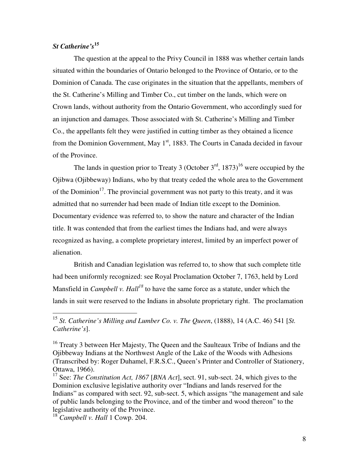# *St Catherine's***<sup>15</sup>**

The question at the appeal to the Privy Council in 1888 was whether certain lands situated within the boundaries of Ontario belonged to the Province of Ontario, or to the Dominion of Canada. The case originates in the situation that the appellants, members of the St. Catherine's Milling and Timber Co., cut timber on the lands, which were on Crown lands, without authority from the Ontario Government, who accordingly sued for an injunction and damages. Those associated with St. Catherine's Milling and Timber Co., the appellants felt they were justified in cutting timber as they obtained a licence from the Dominion Government, May  $1<sup>st</sup>$ , 1883. The Courts in Canada decided in favour of the Province.

The lands in question prior to Treaty 3 (October  $3<sup>rd</sup>$ , 1873)<sup>16</sup> were occupied by the Ojibwa (Ojibbeway) Indians, who by that treaty ceded the whole area to the Government of the Dominion<sup>17</sup>. The provincial government was not party to this treaty, and it was admitted that no surrender had been made of Indian title except to the Dominion. Documentary evidence was referred to, to show the nature and character of the Indian title. It was contended that from the earliest times the Indians had, and were always recognized as having, a complete proprietary interest, limited by an imperfect power of alienation.

British and Canadian legislation was referred to, to show that such complete title had been uniformly recognized: see Royal Proclamation October 7, 1763, held by Lord Mansfield in *Campbell v. Hall<sup>18</sup>* to have the same force as a statute, under which the lands in suit were reserved to the Indians in absolute proprietary right. The proclamation

<sup>15</sup> *St. Catherine's Milling and Lumber Co. v. The Queen*, (1888), 14 (A.C. 46) 541 [*St. Catherine's*].

<sup>&</sup>lt;sup>16</sup> Treaty 3 between Her Majesty, The Queen and the Saulteaux Tribe of Indians and the Ojibbeway Indians at the Northwest Angle of the Lake of the Woods with Adhesions (Transcribed by: Roger Duhamel, F.R.S.C., Queen's Printer and Controller of Stationery, Ottawa, 1966).

<sup>17</sup> See: *The Constitution Act, 1867* [*BNA Act*], sect. 91, sub-sect. 24, which gives to the Dominion exclusive legislative authority over "Indians and lands reserved for the Indians" as compared with sect. 92, sub-sect. 5, which assigns "the management and sale of public lands belonging to the Province, and of the timber and wood thereon" to the legislative authority of the Province.

<sup>18</sup> *Campbell v. Hall* 1 Cowp. 204.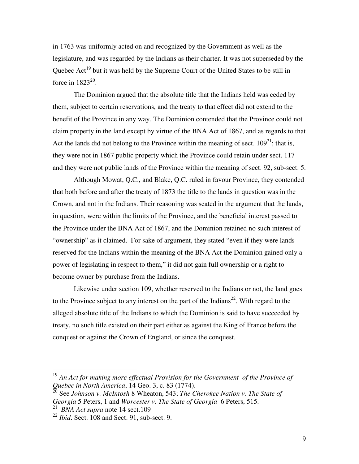in 1763 was uniformly acted on and recognized by the Government as well as the legislature, and was regarded by the Indians as their charter. It was not superseded by the Quebec Act<sup>19</sup> but it was held by the Supreme Court of the United States to be still in force in  $1823^{20}$ .

The Dominion argued that the absolute title that the Indians held was ceded by them, subject to certain reservations, and the treaty to that effect did not extend to the benefit of the Province in any way. The Dominion contended that the Province could not claim property in the land except by virtue of the BNA Act of 1867, and as regards to that Act the lands did not belong to the Province within the meaning of sect.  $109^{21}$ ; that is, they were not in 1867 public property which the Province could retain under sect. 117 and they were not public lands of the Province within the meaning of sect. 92, sub-sect. 5.

Although Mowat, Q.C., and Blake, Q.C. ruled in favour Province, they contended that both before and after the treaty of 1873 the title to the lands in question was in the Crown, and not in the Indians. Their reasoning was seated in the argument that the lands, in question, were within the limits of the Province, and the beneficial interest passed to the Province under the BNA Act of 1867, and the Dominion retained no such interest of "ownership" as it claimed. For sake of argument, they stated "even if they were lands reserved for the Indians within the meaning of the BNA Act the Dominion gained only a power of legislating in respect to them," it did not gain full ownership or a right to become owner by purchase from the Indians.

Likewise under section 109, whether reserved to the Indians or not, the land goes to the Province subject to any interest on the part of the Indians<sup>22</sup>. With regard to the alleged absolute title of the Indians to which the Dominion is said to have succeeded by treaty, no such title existed on their part either as against the King of France before the conquest or against the Crown of England, or since the conquest.

<sup>19</sup> *An Act for making more effectual Provision for the Government of the Province of Quebec in North America*, 14 Geo. 3, c. 83 (1774).

<sup>20</sup> See *Johnson v. McIntosh* 8 Wheaton, 543; *The Cherokee Nation v. The State of Georgia* 5 Peters, 1 and *Worcester v. The State of Georgia* 6 Peters, 515.

<sup>21</sup> *BNA Act supra* note 14 sect.109

<sup>22</sup> *Ibid*. Sect. 108 and Sect. 91, sub-sect. 9.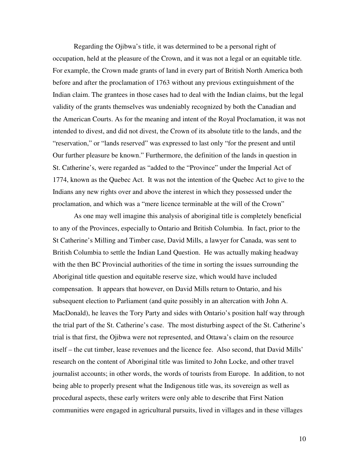Regarding the Ojibwa's title, it was determined to be a personal right of occupation, held at the pleasure of the Crown, and it was not a legal or an equitable title. For example, the Crown made grants of land in every part of British North America both before and after the proclamation of 1763 without any previous extinguishment of the Indian claim. The grantees in those cases had to deal with the Indian claims, but the legal validity of the grants themselves was undeniably recognized by both the Canadian and the American Courts. As for the meaning and intent of the Royal Proclamation, it was not intended to divest, and did not divest, the Crown of its absolute title to the lands, and the "reservation," or "lands reserved" was expressed to last only "for the present and until Our further pleasure be known." Furthermore, the definition of the lands in question in St. Catherine's, were regarded as "added to the "Province" under the Imperial Act of 1774, known as the Quebec Act. It was not the intention of the Quebec Act to give to the Indians any new rights over and above the interest in which they possessed under the proclamation, and which was a "mere licence terminable at the will of the Crown"

As one may well imagine this analysis of aboriginal title is completely beneficial to any of the Provinces, especially to Ontario and British Columbia. In fact, prior to the St Catherine's Milling and Timber case, David Mills, a lawyer for Canada, was sent to British Columbia to settle the Indian Land Question. He was actually making headway with the then BC Provincial authorities of the time in sorting the issues surrounding the Aboriginal title question and equitable reserve size, which would have included compensation. It appears that however, on David Mills return to Ontario, and his subsequent election to Parliament (and quite possibly in an altercation with John A. MacDonald), he leaves the Tory Party and sides with Ontario's position half way through the trial part of the St. Catherine's case. The most disturbing aspect of the St. Catherine's trial is that first, the Ojibwa were not represented, and Ottawa's claim on the resource itself – the cut timber, lease revenues and the licence fee. Also second, that David Mills' research on the content of Aboriginal title was limited to John Locke, and other travel journalist accounts; in other words, the words of tourists from Europe. In addition, to not being able to properly present what the Indigenous title was, its sovereign as well as procedural aspects, these early writers were only able to describe that First Nation communities were engaged in agricultural pursuits, lived in villages and in these villages

10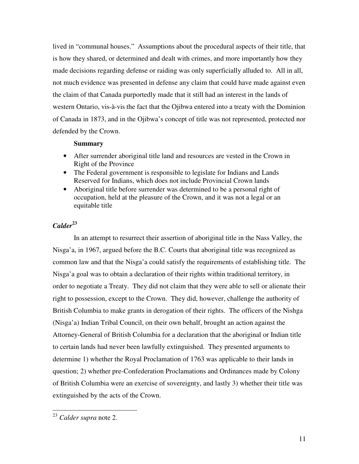lived in "communal houses." Assumptions about the procedural aspects of their title, that is how they shared, or determined and dealt with crimes, and more importantly how they made decisions regarding defense or raiding was only superficially alluded to. All in all, not much evidence was presented in defense any claim that could have made against even the claim of that Canada purportedly made that it still had an interest in the lands of western Ontario, vis-à-vis the fact that the Ojibwa entered into a treaty with the Dominion of Canada in 1873, and in the Ojibwa's concept of title was not represented, protected nor defended by the Crown.

#### **Summary**

- After surrender aboriginal title land and resources are vested in the Crown in Right of the Province
- The Federal government is responsible to legislate for Indians and Lands Reserved for Indians, which does not include Provincial Crown lands
- Aboriginal title before surrender was determined to be a personal right of occupation, held at the pleasure of the Crown, and it was not a legal or an equitable title

# *Calder***<sup>23</sup>**

In an attempt to resurrect their assertion of aboriginal title in the Nass Valley, the Nisga'a, in 1967, argued before the B.C. Courts that aboriginal title was recognized as common law and that the Nisga'a could satisfy the requirements of establishing title. The Nisga'a goal was to obtain a declaration of their rights within traditional territory, in order to negotiate a Treaty. They did not claim that they were able to sell or alienate their right to possession, except to the Crown. They did, however, challenge the authority of British Columbia to make grants in derogation of their rights. The officers of the Nishga (Nisga'a) Indian Tribal Council, on their own behalf, brought an action against the Attorney-General of British Columbia for a declaration that the aboriginal or Indian title to certain lands had never been lawfully extinguished. They presented arguments to determine 1) whether the Royal Proclamation of 1763 was applicable to their lands in question; 2) whether pre-Confederation Proclamations and Ordinances made by Colony of British Columbia were an exercise of sovereignty, and lastly 3) whether their title was extinguished by the acts of the Crown.

<sup>23</sup> *Calder supra* note 2.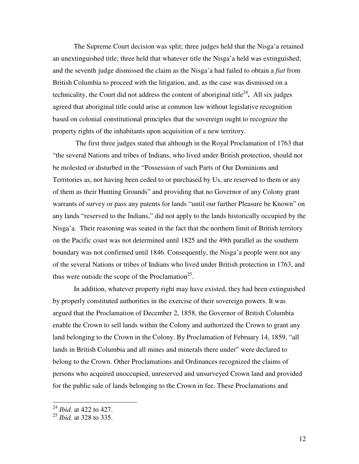The Supreme Court decision was split; three judges held that the Nisga'a retained an unextinguished title; three held that whatever title the Nisga'a held was extinguished; and the seventh judge dismissed the claim as the Nisga'a had failed to obtain a *fiat* from British Columbia to proceed with the litigation, and, as the case was dismissed on a technicality, the Court did not address the content of aboriginal title<sup>24</sup>. All six judges agreed that aboriginal title could arise at common law without legislative recognition based on colonial constitutional principles that the sovereign ought to recognize the property rights of the inhabitants upon acquisition of a new territory.

The first three judges stated that although in the Royal Proclamation of 1763 that "the several Nations and tribes of Indians, who lived under British protection, should not be molested or disturbed in the "Possession of such Parts of Our Dominions and Territories as, not having been ceded to or purchased by Us, are reserved to them or any of them as their Hunting Grounds" and providing that no Governor of any Colony grant warrants of survey or pass any patents for lands "until our further Pleasure be Known" on any lands "reserved to the Indians," did not apply to the lands historically occupied by the Nisga'a. Their reasoning was seated in the fact that the northern limit of British territory on the Pacific coast was not determined until 1825 and the 49th parallel as the southern boundary was not confirmed until 1846. Consequently, the Nisga'a people were not any of the several Nations or tribes of Indians who lived under British protection in 1763, and thus were outside the scope of the Proclamation<sup>25</sup>.

In addition, whatever property right may have existed, they had been extinguished by properly constituted authorities in the exercise of their sovereign powers. It was argued that the Proclamation of December 2, 1858, the Governor of British Columbia enable the Crown to sell lands within the Colony and authorized the Crown to grant any land belonging to the Crown in the Colony. By Proclamation of February 14, 1859, "all lands in British Columbia and all mines and minerals there under" were declared to belong to the Crown. Other Proclamations and Ordinances recognized the claims of persons who acquired unoccupied, unreserved and unsurveyed Crown land and provided for the public sale of lands belonging to the Crown in fee. These Proclamations and

<sup>24</sup> *Ibid.* at 422 to 427.

<sup>25</sup> *Ibid.* at 328 to 335.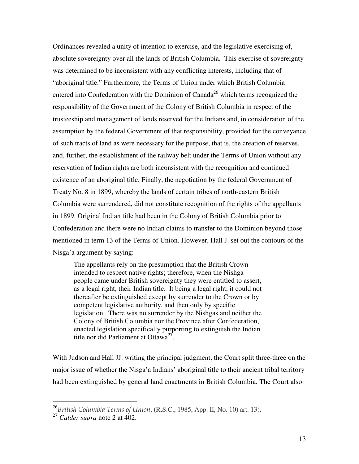Ordinances revealed a unity of intention to exercise, and the legislative exercising of, absolute sovereignty over all the lands of British Columbia. This exercise of sovereignty was determined to be inconsistent with any conflicting interests, including that of "aboriginal title." Furthermore, the Terms of Union under which British Columbia entered into Confederation with the Dominion of Canada<sup>26</sup> which terms recognized the responsibility of the Government of the Colony of British Columbia in respect of the trusteeship and management of lands reserved for the Indians and, in consideration of the assumption by the federal Government of that responsibility, provided for the conveyance of such tracts of land as were necessary for the purpose, that is, the creation of reserves, and, further, the establishment of the railway belt under the Terms of Union without any reservation of Indian rights are both inconsistent with the recognition and continued existence of an aboriginal title. Finally, the negotiation by the federal Government of Treaty No. 8 in 1899, whereby the lands of certain tribes of north-eastern British Columbia were surrendered, did not constitute recognition of the rights of the appellants in 1899. Original Indian title had been in the Colony of British Columbia prior to Confederation and there were no Indian claims to transfer to the Dominion beyond those mentioned in term 13 of the Terms of Union. However, Hall J. set out the contours of the Nisga'a argument by saying:

The appellants rely on the presumption that the British Crown intended to respect native rights; therefore, when the Nishga people came under British sovereignty they were entitled to assert, as a legal right, their Indian title. It being a legal right, it could not thereafter be extinguished except by surrender to the Crown or by competent legislative authority, and then only by specific legislation. There was no surrender by the Nishgas and neither the Colony of British Columbia nor the Province after Confederation, enacted legislation specifically purporting to extinguish the Indian title nor did Parliament at Ottawa<sup>27</sup>.

With Judson and Hall JJ. writing the principal judgment, the Court split three-three on the major issue of whether the Nisga'a Indians' aboriginal title to their ancient tribal territory had been extinguished by general land enactments in British Columbia. The Court also

 $^{26}$ British Columbia Terms of Union, (R.S.C., 1985, App. II, No. 10) art. 13).

<sup>27</sup> *Calder supra* note 2 at 402.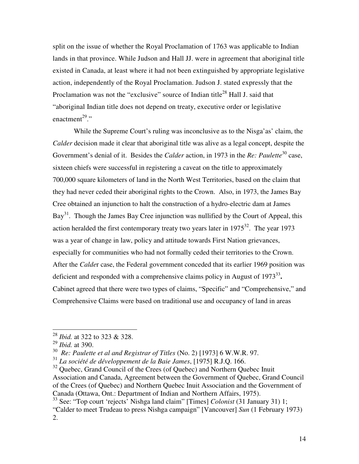split on the issue of whether the Royal Proclamation of 1763 was applicable to Indian lands in that province. While Judson and Hall JJ. were in agreement that aboriginal title existed in Canada, at least where it had not been extinguished by appropriate legislative action, independently of the Royal Proclamation. Judson J. stated expressly that the Proclamation was not the "exclusive" source of Indian title<sup>28</sup> Hall J. said that "aboriginal Indian title does not depend on treaty, executive order or legislative enactment $29$ ."

 While the Supreme Court's ruling was inconclusive as to the Nisga'as' claim, the *Calder* decision made it clear that aboriginal title was alive as a legal concept, despite the Government's denial of it. Besides the *Calder* action, in 1973 in the *Re: Paulette*<sup>30</sup> case, sixteen chiefs were successful in registering a caveat on the title to approximately 700,000 square kilometers of land in the North West Territories, based on the claim that they had never ceded their aboriginal rights to the Crown. Also, in 1973, the James Bay Cree obtained an injunction to halt the construction of a hydro-electric dam at James  $Bay<sup>31</sup>$ . Though the James Bay Cree injunction was nullified by the Court of Appeal, this action heralded the first contemporary treaty two years later in  $1975^{32}$ . The year 1973 was a year of change in law, policy and attitude towards First Nation grievances, especially for communities who had not formally ceded their territories to the Crown. After the *Calde*r case, the Federal government conceded that its earlier 1969 position was deficient and responded with a comprehensive claims policy in August of 1973<sup>33</sup>. Cabinet agreed that there were two types of claims, "Specific" and "Comprehensive," and Comprehensive Claims were based on traditional use and occupancy of land in areas

 $\overline{a}$ 

<sup>33</sup> See: "Top court 'rejects' Nishga land claim" [Times] *Colonist* (31 January 31) 1; "Calder to meet Trudeau to press Nishga campaign" [Vancouver] *Sun* (1 February 1973) 2.

<sup>28</sup> *Ibid.* at 322 to 323 & 328.

<sup>29</sup> *Ibid.* at 390.

<sup>&</sup>lt;sup>30</sup> Re: Paulette et al and Registrar of Titles (No. 2) [1973] 6 W.W.R. 97.

<sup>31</sup> *La société de développement de la Baie James*, [1975] R.J.Q. 166.

<sup>&</sup>lt;sup>32</sup> Quebec, Grand Council of the Crees (of Quebec) and Northern Quebec Inuit Association and Canada, Agreement between the Government of Quebec, Grand Council of the Crees (of Quebec) and Northern Quebec Inuit Association and the Government of Canada (Ottawa, Ont.: Department of Indian and Northern Affairs, 1975).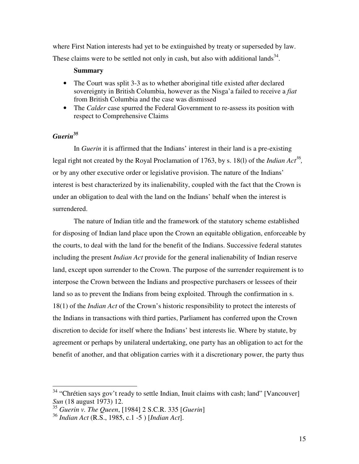where First Nation interests had yet to be extinguished by treaty or superseded by law. These claims were to be settled not only in cash, but also with additional lands<sup>34</sup>.

#### **Summary**

- The Court was split 3-3 as to whether aboriginal title existed after declared sovereignty in British Columbia, however as the Nisga'a failed to receive a *fiat*  from British Columbia and the case was dismissed
- The *Calder* case spurred the Federal Government to re-assess its position with respect to Comprehensive Claims

# *Guerin***<sup>35</sup>**

 $\overline{a}$ 

In *Guerin* it is affirmed that the Indians' interest in their land is a pre-existing legal right not created by the Royal Proclamation of 1763, by s. 18(1) of the *Indian Act*<sup>36</sup>, or by any other executive order or legislative provision. The nature of the Indians' interest is best characterized by its inalienability, coupled with the fact that the Crown is under an obligation to deal with the land on the Indians' behalf when the interest is surrendered.

The nature of Indian title and the framework of the statutory scheme established for disposing of Indian land place upon the Crown an equitable obligation, enforceable by the courts, to deal with the land for the benefit of the Indians. Successive federal statutes including the present *Indian Act* provide for the general inalienability of Indian reserve land, except upon surrender to the Crown. The purpose of the surrender requirement is to interpose the Crown between the Indians and prospective purchasers or lessees of their land so as to prevent the Indians from being exploited. Through the confirmation in s. 18(1) of the *Indian Act* of the Crown's historic responsibility to protect the interests of the Indians in transactions with third parties, Parliament has conferred upon the Crown discretion to decide for itself where the Indians' best interests lie. Where by statute, by agreement or perhaps by unilateral undertaking, one party has an obligation to act for the benefit of another, and that obligation carries with it a discretionary power, the party thus

<sup>&</sup>lt;sup>34</sup> "Chrétien says gov't ready to settle Indian, Inuit claims with cash; land" [Vancouver] *Sun* (18 august 1973) 12.

<sup>35</sup> *Guerin v. The Queen*, [1984] 2 S.C.R. 335 [*Guerin*]

<sup>36</sup> *Indian Act* (R.S., 1985, c.1 -5 ) [*Indian Act*].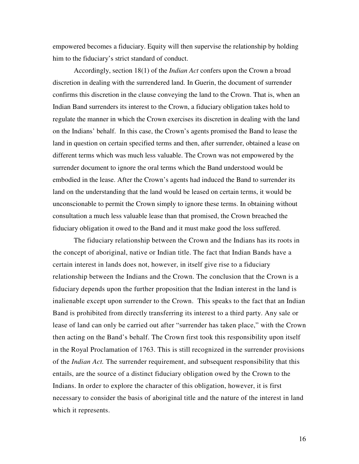empowered becomes a fiduciary. Equity will then supervise the relationship by holding him to the fiduciary's strict standard of conduct.

Accordingly, section 18(1) of the *Indian Act* confers upon the Crown a broad discretion in dealing with the surrendered land. In Guerin, the document of surrender confirms this discretion in the clause conveying the land to the Crown. That is, when an Indian Band surrenders its interest to the Crown, a fiduciary obligation takes hold to regulate the manner in which the Crown exercises its discretion in dealing with the land on the Indians' behalf. In this case, the Crown's agents promised the Band to lease the land in question on certain specified terms and then, after surrender, obtained a lease on different terms which was much less valuable. The Crown was not empowered by the surrender document to ignore the oral terms which the Band understood would be embodied in the lease. After the Crown's agents had induced the Band to surrender its land on the understanding that the land would be leased on certain terms, it would be unconscionable to permit the Crown simply to ignore these terms. In obtaining without consultation a much less valuable lease than that promised, the Crown breached the fiduciary obligation it owed to the Band and it must make good the loss suffered.

The fiduciary relationship between the Crown and the Indians has its roots in the concept of aboriginal, native or Indian title. The fact that Indian Bands have a certain interest in lands does not, however, in itself give rise to a fiduciary relationship between the Indians and the Crown. The conclusion that the Crown is a fiduciary depends upon the further proposition that the Indian interest in the land is inalienable except upon surrender to the Crown. This speaks to the fact that an Indian Band is prohibited from directly transferring its interest to a third party. Any sale or lease of land can only be carried out after "surrender has taken place," with the Crown then acting on the Band's behalf. The Crown first took this responsibility upon itself in the Royal Proclamation of 1763. This is still recognized in the surrender provisions of the *Indian Act.* The surrender requirement, and subsequent responsibility that this entails, are the source of a distinct fiduciary obligation owed by the Crown to the Indians. In order to explore the character of this obligation, however, it is first necessary to consider the basis of aboriginal title and the nature of the interest in land which it represents.

16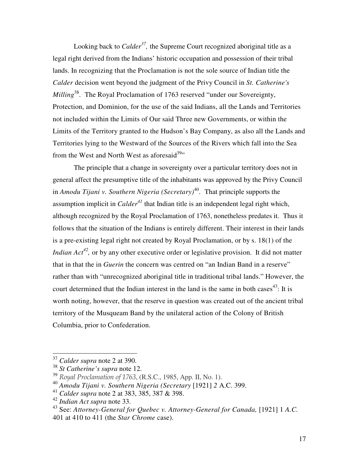Looking back to *Calder<sup>37</sup>*, the Supreme Court recognized aboriginal title as a legal right derived from the Indians' historic occupation and possession of their tribal lands. In recognizing that the Proclamation is not the sole source of Indian title the *Calder* decision went beyond the judgment of the Privy Council in *St. Catherine's Milling*<sup>38</sup>. The Royal Proclamation of 1763 reserved "under our Sovereignty, Protection, and Dominion, for the use of the said Indians, all the Lands and Territories not included within the Limits of Our said Three new Governments, or within the Limits of the Territory granted to the Hudson's Bay Company, as also all the Lands and Territories lying to the Westward of the Sources of the Rivers which fall into the Sea from the West and North West as aforesaid $39$ ,

The principle that a change in sovereignty over a particular territory does not in general affect the presumptive title of the inhabitants was approved by the Privy Council in *Amodu Tijani v. Southern Nigeria (Secretary)*<sup>40</sup>. That principle supports the assumption implicit in *Calder<sup>41</sup>* that Indian title is an independent legal right which, although recognized by the Royal Proclamation of 1763, nonetheless predates it. Thus it follows that the situation of the Indians is entirely different. Their interest in their lands is a pre-existing legal right not created by Royal Proclamation, or by s. 18(1) of the *Indian Act<sup>42</sup>*, or by any other executive order or legislative provision. It did not matter that in that the in *Guerin* the concern was centred on "an Indian Band in a reserve" rather than with "unrecognized aboriginal title in traditional tribal lands." However, the court determined that the Indian interest in the land is the same in both cases<sup>43</sup>: It is worth noting, however, that the reserve in question was created out of the ancient tribal territory of the Musqueam Band by the unilateral action of the Colony of British Columbia, prior to Confederation.

<sup>37</sup> *Calder supra* note 2 at 390.

<sup>38</sup> *St Catherine's supra* note 12.

 $39$  Royal Proclamation of 1763, (R.S.C., 1985, App. II, No. 1).

<sup>40</sup> *Amodu Tijani v. Southern Nigeria (Secretary* [1921] *2* A.C. 399.

<sup>41</sup> *Calder supra* note 2 at 383, 385, 387 & 398.

<sup>42</sup> *Indian Act supra* note 33.

<sup>&</sup>lt;sup>43</sup> See: Attorney-General for Quebec v. Attorney-General for Canada, [1921] 1 A.C. 401 at 410 to 411 (the *Star Chrome* case).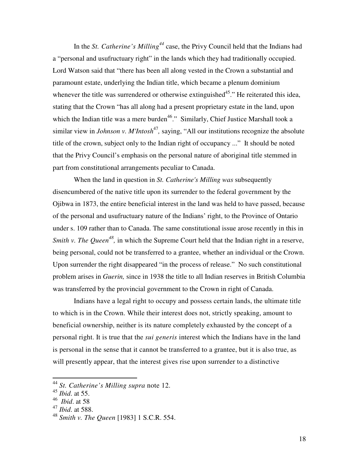In the *St. Catherine's Milling<sup>44</sup>* case, the Privy Council held that the Indians had a "personal and usufructuary right" in the lands which they had traditionally occupied. Lord Watson said that "there has been all along vested in the Crown a substantial and paramount estate, underlying the Indian title, which became a plenum dominium whenever the title was surrendered or otherwise extinguished<sup>45</sup>." He reiterated this idea, stating that the Crown "has all along had a present proprietary estate in the land, upon which the Indian title was a mere burden<sup>46</sup>." Similarly, Chief Justice Marshall took a similar view in *Johnson v. M'Intosh*<sup>47</sup>, saying, "All our institutions recognize the absolute title of the crown, subject only to the Indian right of occupancy ..." It should be noted that the Privy Council's emphasis on the personal nature of aboriginal title stemmed in part from constitutional arrangements peculiar to Canada.

When the land in question in *St. Catherine's Milling was* subsequently disencumbered of the native title upon its surrender to the federal government by the Ojibwa in 1873, the entire beneficial interest in the land was held to have passed, because of the personal and usufructuary nature of the Indians' right, to the Province of Ontario under s. 109 rather than to Canada. The same constitutional issue arose recently in this in *Smith v. The Queen*<sup>48</sup>, in which the Supreme Court held that the Indian right in a reserve, being personal, could not be transferred to a grantee, whether an individual or the Crown. Upon surrender the right disappeared "in the process of release." No such constitutional problem arises in *Guerin,* since in 1938 the title to all Indian reserves in British Columbia was transferred by the provincial government to the Crown in right of Canada.

Indians have a legal right to occupy and possess certain lands, the ultimate title to which is in the Crown. While their interest does not, strictly speaking, amount to beneficial ownership, neither is its nature completely exhausted by the concept of a personal right. It is true that the *sui generis* interest which the Indians have in the land is personal in the sense that it cannot be transferred to a grantee, but it is also true, as will presently appear, that the interest gives rise upon surrender to a distinctive

 $\overline{a}$ 

18

<sup>44</sup> *St. Catherine's Milling supra* note 12.

<sup>45</sup> *Ibid*. at 55.

<sup>46</sup> *Ibid*. at 58

<sup>47</sup> *Ibid*. at 588.

<sup>48</sup> *Smith v. The Queen* [1983] 1 S.C.R. 554.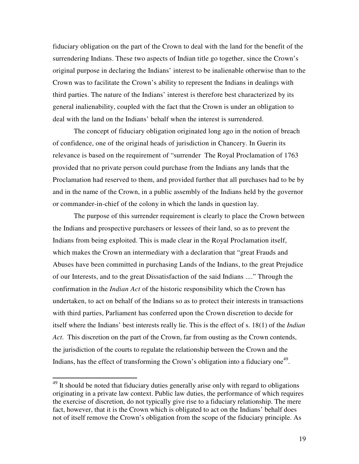fiduciary obligation on the part of the Crown to deal with the land for the benefit of the surrendering Indians. These two aspects of Indian title go together, since the Crown's original purpose in declaring the Indians' interest to be inalienable otherwise than to the Crown was to facilitate the Crown's ability to represent the Indians in dealings with third parties. The nature of the Indians' interest is therefore best characterized by its general inalienability, coupled with the fact that the Crown is under an obligation to deal with the land on the Indians' behalf when the interest is surrendered.

The concept of fiduciary obligation originated long ago in the notion of breach of confidence, one of the original heads of jurisdiction in Chancery. In Guerin its relevance is based on the requirement of "surrender The Royal Proclamation of 1763 provided that no private person could purchase from the Indians any lands that the Proclamation had reserved to them, and provided further that all purchases had to be by and in the name of the Crown, in a public assembly of the Indians held by the governor or commander-in-chief of the colony in which the lands in question lay.

The purpose of this surrender requirement is clearly to place the Crown between the Indians and prospective purchasers or lessees of their land, so as to prevent the Indians from being exploited. This is made clear in the Royal Proclamation itself, which makes the Crown an intermediary with a declaration that "great Frauds and Abuses have been committed in purchasing Lands of the Indians, to the great Prejudice of our Interests, and to the great Dissatisfaction of the said Indians ...." Through the confirmation in the *Indian Act* of the historic responsibility which the Crown has undertaken, to act on behalf of the Indians so as to protect their interests in transactions with third parties, Parliament has conferred upon the Crown discretion to decide for itself where the Indians' best interests really lie. This is the effect of s. 18(1) of the *Indian Act*. This discretion on the part of the Crown, far from ousting as the Crown contends, the jurisdiction of the courts to regulate the relationship between the Crown and the Indians, has the effect of transforming the Crown's obligation into a fiduciary one<sup>49</sup>.

<sup>&</sup>lt;sup>49</sup> It should be noted that fiduciary duties generally arise only with regard to obligations originating in a private law context. Public law duties, the performance of which requires the exercise of discretion, do not typically give rise to a fiduciary relationship. The mere fact, however, that it is the Crown which is obligated to act on the Indians' behalf does not of itself remove the Crown's obligation from the scope of the fiduciary principle. As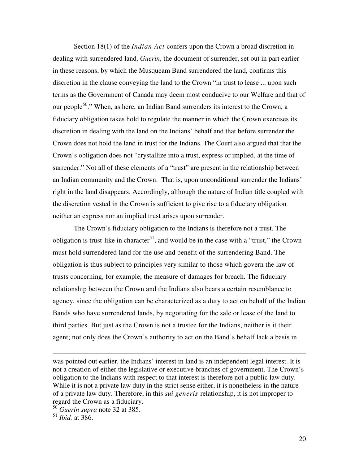Section 18(1) of the *Indian Act* confers upon the Crown a broad discretion in dealing with surrendered land. *Guerin*, the document of surrender, set out in part earlier in these reasons, by which the Musqueam Band surrendered the land, confirms this discretion in the clause conveying the land to the Crown "in trust to lease ... upon such terms as the Government of Canada may deem most conducive to our Welfare and that of our people<sup>50</sup>." When, as here, an Indian Band surrenders its interest to the Crown, a fiduciary obligation takes hold to regulate the manner in which the Crown exercises its discretion in dealing with the land on the Indians' behalf and that before surrender the Crown does not hold the land in trust for the Indians. The Court also argued that that the Crown's obligation does not "crystallize into a trust, express or implied, at the time of surrender." Not all of these elements of a "trust" are present in the relationship between an Indian community and the Crown. That is, upon unconditional surrender the Indians' right in the land disappears. Accordingly, although the nature of Indian title coupled with the discretion vested in the Crown is sufficient to give rise to a fiduciary obligation neither an express nor an implied trust arises upon surrender.

The Crown's fiduciary obligation to the Indians is therefore not a trust. The obligation is trust-like in character<sup>51</sup>, and would be in the case with a "trust," the Crown must hold surrendered land for the use and benefit of the surrendering Band. The obligation is thus subject to principles very similar to those which govern the law of trusts concerning, for example, the measure of damages for breach. The fiduciary relationship between the Crown and the Indians also bears a certain resemblance to agency, since the obligation can be characterized as a duty to act on behalf of the Indian Bands who have surrendered lands, by negotiating for the sale or lease of the land to third parties. But just as the Crown is not a trustee for the Indians, neither is it their agent; not only does the Crown's authority to act on the Band's behalf lack a basis in

was pointed out earlier, the Indians' interest in land is an independent legal interest. It is not a creation of either the legislative or executive branches of government. The Crown's obligation to the Indians with respect to that interest is therefore not a public law duty. While it is not a private law duty in the strict sense either, it is nonetheless in the nature of a private law duty. Therefore, in this *sui generis* relationship, it is not improper to regard the Crown as a fiduciary.

<sup>50</sup> *Guerin supra* note 32 at 385.

<sup>51</sup> *Ibid.* at 386.

l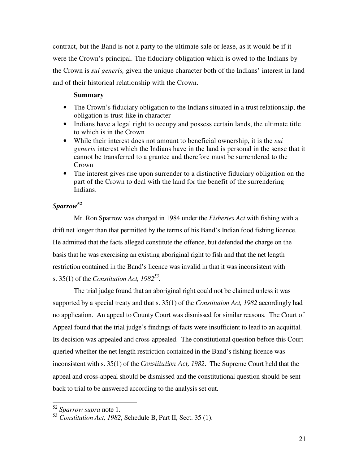contract, but the Band is not a party to the ultimate sale or lease, as it would be if it were the Crown's principal. The fiduciary obligation which is owed to the Indians by the Crown is *sui generis,* given the unique character both of the Indians' interest in land and of their historical relationship with the Crown.

### **Summary**

- The Crown's fiduciary obligation to the Indians situated in a trust relationship, the obligation is trust-like in character
- Indians have a legal right to occupy and possess certain lands, the ultimate title to which is in the Crown
- While their interest does not amount to beneficial ownership, it is the *sui generis* interest which the Indians have in the land is personal in the sense that it cannot be transferred to a grantee and therefore must be surrendered to the Crown
- The interest gives rise upon surrender to a distinctive fiduciary obligation on the part of the Crown to deal with the land for the benefit of the surrendering Indians.

# *Sparrow***<sup>52</sup>**

Mr. Ron Sparrow was charged in 1984 under the *Fisheries Act* with fishing with a drift net longer than that permitted by the terms of his Band's Indian food fishing licence. He admitted that the facts alleged constitute the offence, but defended the charge on the basis that he was exercising an existing aboriginal right to fish and that the net length restriction contained in the Band's licence was invalid in that it was inconsistent with s. 35(1) of the *Constitution Act, 1982<sup>53</sup> .*

The trial judge found that an aboriginal right could not be claimed unless it was supported by a special treaty and that s. 35(1) of the *Constitution Act, 1982* accordingly had no application. An appeal to County Court was dismissed for similar reasons. The Court of Appeal found that the trial judge's findings of facts were insufficient to lead to an acquittal. Its decision was appealed and cross-appealed. The constitutional question before this Court queried whether the net length restriction contained in the Band's fishing licence was inconsistent with s. 35(1) of the Constitution Act, 1982. The Supreme Court held that the appeal and cross-appeal should be dismissed and the constitutional question should be sent back to trial to be answered according to the analysis set out.

<sup>52</sup> *Sparrow supra* note 1.

<sup>53</sup> *Constitution Act, 1982*, Schedule B, Part II, Sect. 35 (1).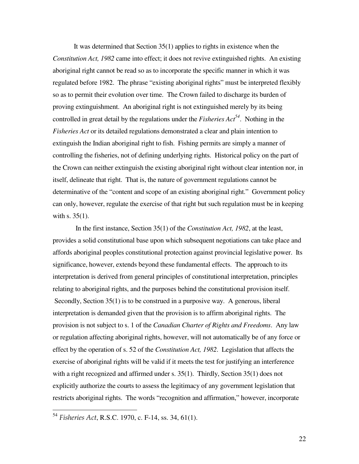It was determined that Section 35(1) applies to rights in existence when the *Constitution Act, 1982* came into effect; it does not revive extinguished rights. An existing aboriginal right cannot be read so as to incorporate the specific manner in which it was regulated before 1982. The phrase "existing aboriginal rights" must be interpreted flexibly so as to permit their evolution over time. The Crown failed to discharge its burden of proving extinguishment. An aboriginal right is not extinguished merely by its being controlled in great detail by the regulations under the *Fisheries Act<sup>54</sup>*. Nothing in the *Fisheries Act* or its detailed regulations demonstrated a clear and plain intention to extinguish the Indian aboriginal right to fish. Fishing permits are simply a manner of controlling the fisheries, not of defining underlying rights. Historical policy on the part of the Crown can neither extinguish the existing aboriginal right without clear intention nor, in itself, delineate that right. That is, the nature of government regulations cannot be determinative of the "content and scope of an existing aboriginal right." Government policy can only, however, regulate the exercise of that right but such regulation must be in keeping with s. 35(1).

 In the first instance, Section 35(1) of the *Constitution Act, 1982*, at the least, provides a solid constitutional base upon which subsequent negotiations can take place and affords aboriginal peoples constitutional protection against provincial legislative power. Its significance, however, extends beyond these fundamental effects. The approach to its interpretation is derived from general principles of constitutional interpretation, principles relating to aboriginal rights, and the purposes behind the constitutional provision itself. Secondly, Section 35(1) is to be construed in a purposive way. A generous, liberal interpretation is demanded given that the provision is to affirm aboriginal rights. The provision is not subject to s. 1 of the *Canadian Charter of Rights and Freedoms*. Any law or regulation affecting aboriginal rights, however, will not automatically be of any force or effect by the operation of s. 52 of the *Constitution Act, 1982*. Legislation that affects the exercise of aboriginal rights will be valid if it meets the test for justifying an interference with a right recognized and affirmed under s. 35(1). Thirdly, Section 35(1) does not explicitly authorize the courts to assess the legitimacy of any government legislation that restricts aboriginal rights. The words "recognition and affirmation," however, incorporate

<sup>&</sup>lt;sup>54</sup> Fisheries Act, R.S.C. 1970, c. F-14, ss. 34, 61(1).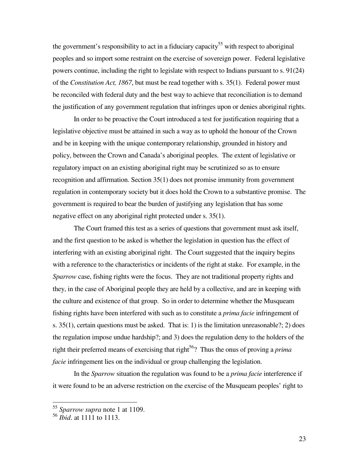the government's responsibility to act in a fiduciary capacity<sup>55</sup> with respect to aboriginal peoples and so import some restraint on the exercise of sovereign power. Federal legislative powers continue, including the right to legislate with respect to Indians pursuant to s. 91(24) of the *Constitution Act, 1867*, but must be read together with s. 35(1). Federal power must be reconciled with federal duty and the best way to achieve that reconciliation is to demand the justification of any government regulation that infringes upon or denies aboriginal rights.

In order to be proactive the Court introduced a test for justification requiring that a legislative objective must be attained in such a way as to uphold the honour of the Crown and be in keeping with the unique contemporary relationship, grounded in history and policy, between the Crown and Canada's aboriginal peoples. The extent of legislative or regulatory impact on an existing aboriginal right may be scrutinized so as to ensure recognition and affirmation. Section 35(1) does not promise immunity from government regulation in contemporary society but it does hold the Crown to a substantive promise. The government is required to bear the burden of justifying any legislation that has some negative effect on any aboriginal right protected under s. 35(1).

 The Court framed this test as a series of questions that government must ask itself, and the first question to be asked is whether the legislation in question has the effect of interfering with an existing aboriginal right. The Court suggested that the inquiry begins with a reference to the characteristics or incidents of the right at stake. For example, in the *Sparrow* case, fishing rights were the focus. They are not traditional property rights and they, in the case of Aboriginal people they are held by a collective, and are in keeping with the culture and existence of that group. So in order to determine whether the Musqueam fishing rights have been interfered with such as to constitute a *prima facie* infringement of s. 35(1), certain questions must be asked. That is: 1) is the limitation unreasonable?; 2) does the regulation impose undue hardship?; and 3) does the regulation deny to the holders of the right their preferred means of exercising that right <sup>56</sup>? Thus the onus of proving a *prima facie* infringement lies on the individual or group challenging the legislation.

In the *Sparrow* situation the regulation was found to be a *prima facie* interference if it were found to be an adverse restriction on the exercise of the Musqueam peoples' right to

<sup>55</sup> *Sparrow supra* note 1 at 1109.

<sup>56</sup> *Ibid*. at 1111 to 1113.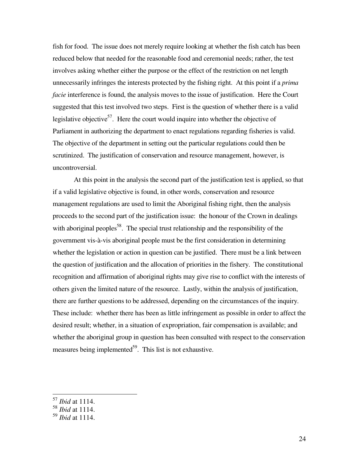fish for food. The issue does not merely require looking at whether the fish catch has been reduced below that needed for the reasonable food and ceremonial needs; rather, the test involves asking whether either the purpose or the effect of the restriction on net length unnecessarily infringes the interests protected by the fishing right. At this point if a *prima facie* interference is found, the analysis moves to the issue of justification. Here the Court suggested that this test involved two steps. First is the question of whether there is a valid legislative objective<sup>57</sup>. Here the court would inquire into whether the objective of Parliament in authorizing the department to enact regulations regarding fisheries is valid. The objective of the department in setting out the particular regulations could then be scrutinized. The justification of conservation and resource management, however, is uncontroversial.

At this point in the analysis the second part of the justification test is applied, so that if a valid legislative objective is found, in other words, conservation and resource management regulations are used to limit the Aboriginal fishing right, then the analysis proceeds to the second part of the justification issue: the honour of the Crown in dealings with aboriginal peoples<sup>58</sup>. The special trust relationship and the responsibility of the government vis-à-vis aboriginal people must be the first consideration in determining whether the legislation or action in question can be justified. There must be a link between the question of justification and the allocation of priorities in the fishery. The constitutional recognition and affirmation of aboriginal rights may give rise to conflict with the interests of others given the limited nature of the resource. Lastly, within the analysis of justification, there are further questions to be addressed, depending on the circumstances of the inquiry. These include: whether there has been as little infringement as possible in order to affect the desired result; whether, in a situation of expropriation, fair compensation is available; and whether the aboriginal group in question has been consulted with respect to the conservation measures being implemented<sup>59</sup>. This list is not exhaustive.

l

<sup>57</sup> *Ibid* at 1114.

<sup>58</sup> *Ibid* at 1114.

<sup>59</sup> *Ibid* at 1114.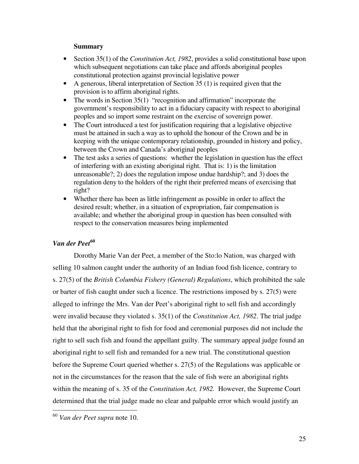### **Summary**

- Section 35(1) of the *Constitution Act, 1982*, provides a solid constitutional base upon which subsequent negotiations can take place and affords aboriginal peoples constitutional protection against provincial legislative power
- A generous, liberal interpretation of Section 35 (1) is required given that the provision is to affirm aboriginal rights.
- The words in Section 35(1) "recognition and affirmation" incorporate the government's responsibility to act in a fiduciary capacity with respect to aboriginal peoples and so import some restraint on the exercise of sovereign power.
- The Court introduced a test for justification requiring that a legislative objective must be attained in such a way as to uphold the honour of the Crown and be in keeping with the unique contemporary relationship, grounded in history and policy, between the Crown and Canada's aboriginal peoples
- The test asks a series of questions: whether the legislation in question has the effect of interfering with an existing aboriginal right. That is: 1) is the limitation unreasonable?; 2) does the regulation impose undue hardship?; and 3) does the regulation deny to the holders of the right their preferred means of exercising that right?
- Whether there has been as little infringement as possible in order to affect the desired result; whether, in a situation of expropriation, fair compensation is available; and whether the aboriginal group in question has been consulted with respect to the conservation measures being implemented

### *Van der Peet***<sup>60</sup>**

 Dorothy Marie Van der Peet, a member of the Sto:lo Nation, was charged with selling 10 salmon caught under the authority of an Indian food fish licence, contrary to s. 27(5) of the *British Columbia Fishery (General) Regulations*, which prohibited the sale or barter of fish caught under such a licence. The restrictions imposed by s. 27(5) were alleged to infringe the Mrs. Van der Peet's aboriginal right to sell fish and accordingly were invalid because they violated s. 35(1) of the *Constitution Act, 1982*. The trial judge held that the aboriginal right to fish for food and ceremonial purposes did not include the right to sell such fish and found the appellant guilty. The summary appeal judge found an aboriginal right to sell fish and remanded for a new trial. The constitutional question before the Supreme Court queried whether s. 27(5) of the Regulations was applicable or not in the circumstances for the reason that the sale of fish were an aboriginal rights within the meaning of s. 35 of the *Constitution Act, 1982.* However, the Supreme Court determined that the trial judge made no clear and palpable error which would justify an

<sup>60</sup> *Van der Peet supra* note 10.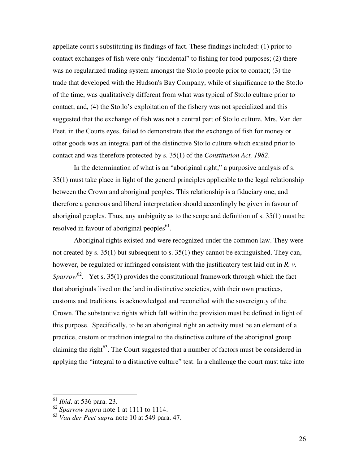appellate court's substituting its findings of fact. These findings included: (1) prior to contact exchanges of fish were only "incidental" to fishing for food purposes; (2) there was no regularized trading system amongst the Sto:lo people prior to contact; (3) the trade that developed with the Hudson's Bay Company, while of significance to the Sto:lo of the time, was qualitatively different from what was typical of Sto:lo culture prior to contact; and, (4) the Sto:lo's exploitation of the fishery was not specialized and this suggested that the exchange of fish was not a central part of Sto:lo culture. Mrs. Van der Peet, in the Courts eyes, failed to demonstrate that the exchange of fish for money or other goods was an integral part of the distinctive Sto:lo culture which existed prior to contact and was therefore protected by s. 35(1) of the *Constitution Act, 1982*.

In the determination of what is an "aboriginal right," a purposive analysis of s. 35(1) must take place in light of the general principles applicable to the legal relationship between the Crown and aboriginal peoples. This relationship is a fiduciary one, and therefore a generous and liberal interpretation should accordingly be given in favour of aboriginal peoples. Thus, any ambiguity as to the scope and definition of s. 35(1) must be resolved in favour of aboriginal peoples $<sup>61</sup>$ .</sup>

Aboriginal rights existed and were recognized under the common law. They were not created by s.  $35(1)$  but subsequent to s.  $35(1)$  they cannot be extinguished. They can, however, be regulated or infringed consistent with the justificatory test laid out in *R. v. Sparrow*<sup>62</sup>. Yet s. 35(1) provides the constitutional framework through which the fact that aboriginals lived on the land in distinctive societies, with their own practices, customs and traditions, is acknowledged and reconciled with the sovereignty of the Crown. The substantive rights which fall within the provision must be defined in light of this purpose. Specifically, to be an aboriginal right an activity must be an element of a practice, custom or tradition integral to the distinctive culture of the aboriginal group claiming the right<sup>63</sup>. The Court suggested that a number of factors must be considered in applying the "integral to a distinctive culture" test. In a challenge the court must take into

l

<sup>61</sup> *Ibid*. at 536 para. 23.

<sup>62</sup> *Sparrow supra* note 1 at 1111 to 1114.

<sup>63</sup> *Van der Peet supra* note 10 at 549 para. 47.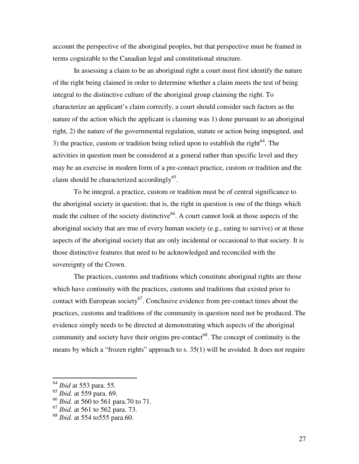account the perspective of the aboriginal peoples, but that perspective must be framed in terms cognizable to the Canadian legal and constitutional structure.

 In assessing a claim to be an aboriginal right a court must first identify the nature of the right being claimed in order to determine whether a claim meets the test of being integral to the distinctive culture of the aboriginal group claiming the right. To characterize an applicant's claim correctly, a court should consider such factors as the nature of the action which the applicant is claiming was 1) done pursuant to an aboriginal right, 2) the nature of the governmental regulation, statute or action being impugned, and 3) the practice, custom or tradition being relied upon to establish the right $^{64}$ . The activities in question must be considered at a general rather than specific level and they may be an exercise in modern form of a pre-contact practice, custom or tradition and the claim should be characterized accordingly<sup>65</sup>.

To be integral, a practice, custom or tradition must be of central significance to the aboriginal society in question; that is, the right in question is one of the things which made the culture of the society distinctive<sup>66</sup>. A court cannot look at those aspects of the aboriginal society that are true of every human society (e.g., eating to survive) or at those aspects of the aboriginal society that are only incidental or occasional to that society. It is those distinctive features that need to be acknowledged and reconciled with the sovereignty of the Crown.

The practices, customs and traditions which constitute aboriginal rights are those which have continuity with the practices, customs and traditions that existed prior to contact with European society<sup>67</sup>. Conclusive evidence from pre-contact times about the practices, customs and traditions of the community in question need not be produced. The evidence simply needs to be directed at demonstrating which aspects of the aboriginal community and society have their origins pre-contact<sup>68</sup>. The concept of continuity is the means by which a "frozen rights" approach to s. 35(1) will be avoided. It does not require

<sup>64</sup> *Ibid* at 553 para. 55.

<sup>65</sup> *Ibid.* at 559 para. 69.

<sup>66</sup> *Ibid.* at 560 to 561 para.70 to 71.

<sup>67</sup> *Ibid.* at 561 to 562 para. 73.

<sup>68</sup> *Ibid.* at 554 to555 para.60.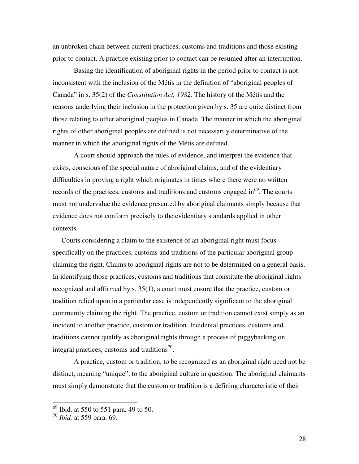an unbroken chain between current practices, customs and traditions and those existing prior to contact. A practice existing prior to contact can be resumed after an interruption.

Basing the identification of aboriginal rights in the period prior to contact is not inconsistent with the inclusion of the Métis in the definition of "aboriginal peoples of Canada" in s. 35(2) of the *Constitution Act, 1982.* The history of the Métis and the reasons underlying their inclusion in the protection given by s. 35 are quite distinct from those relating to other aboriginal peoples in Canada. The manner in which the aboriginal rights of other aboriginal peoples are defined is not necessarily determinative of the manner in which the aboriginal rights of the Métis are defined.

A court should approach the rules of evidence, and interpret the evidence that exists, conscious of the special nature of aboriginal claims, and of the evidentiary difficulties in proving a right which originates in times where there were no written records of the practices, customs and traditions and customs engaged in $^{69}$ . The courts must not undervalue the evidence presented by aboriginal claimants simply because that evidence does not conform precisely to the evidentiary standards applied in other contexts.

 Courts considering a claim to the existence of an aboriginal right must focus specifically on the practices, customs and traditions of the particular aboriginal group claiming the right. Claims to aboriginal rights are not to be determined on a general basis. In identifying those practices, customs and traditions that constitute the aboriginal rights recognized and affirmed by s. 35(1), a court must ensure that the practice, custom or tradition relied upon in a particular case is independently significant to the aboriginal community claiming the right. The practice, custom or tradition cannot exist simply as an incident to another practice, custom or tradition. Incidental practices, customs and traditions cannot qualify as aboriginal rights through a process of piggybacking on integral practices, customs and traditions<sup>70</sup>.

A practice, custom or tradition, to be recognized as an aboriginal right need not be distinct, meaning "unique", to the aboriginal culture in question. The aboriginal claimants must simply demonstrate that the custom or tradition is a defining characteristic of their

 $69$  Ibid. at 550 to 551 para. 49 to 50.

<sup>70</sup> *Ibid.* at 559 para. 69.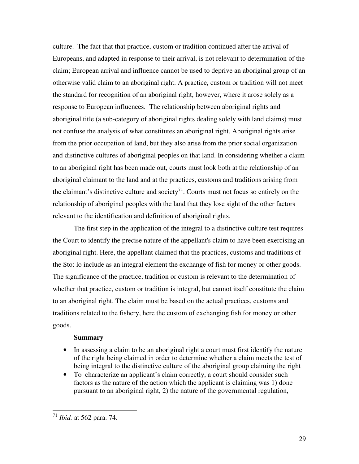culture. The fact that that practice, custom or tradition continued after the arrival of Europeans, and adapted in response to their arrival, is not relevant to determination of the claim; European arrival and influence cannot be used to deprive an aboriginal group of an otherwise valid claim to an aboriginal right. A practice, custom or tradition will not meet the standard for recognition of an aboriginal right, however, where it arose solely as a response to European influences. The relationship between aboriginal rights and aboriginal title (a sub-category of aboriginal rights dealing solely with land claims) must not confuse the analysis of what constitutes an aboriginal right. Aboriginal rights arise from the prior occupation of land, but they also arise from the prior social organization and distinctive cultures of aboriginal peoples on that land. In considering whether a claim to an aboriginal right has been made out, courts must look both at the relationship of an aboriginal claimant to the land and at the practices, customs and traditions arising from the claimant's distinctive culture and society<sup>71</sup>. Courts must not focus so entirely on the relationship of aboriginal peoples with the land that they lose sight of the other factors relevant to the identification and definition of aboriginal rights.

The first step in the application of the integral to a distinctive culture test requires the Court to identify the precise nature of the appellant's claim to have been exercising an aboriginal right. Here, the appellant claimed that the practices, customs and traditions of the Sto: lo include as an integral element the exchange of fish for money or other goods. The significance of the practice, tradition or custom is relevant to the determination of whether that practice, custom or tradition is integral, but cannot itself constitute the claim to an aboriginal right. The claim must be based on the actual practices, customs and traditions related to the fishery, here the custom of exchanging fish for money or other goods.

#### **Summary**

- In assessing a claim to be an aboriginal right a court must first identify the nature of the right being claimed in order to determine whether a claim meets the test of being integral to the distinctive culture of the aboriginal group claiming the right
- To characterize an applicant's claim correctly, a court should consider such factors as the nature of the action which the applicant is claiming was 1) done pursuant to an aboriginal right, 2) the nature of the governmental regulation,

<sup>71</sup> *Ibid.* at 562 para. 74.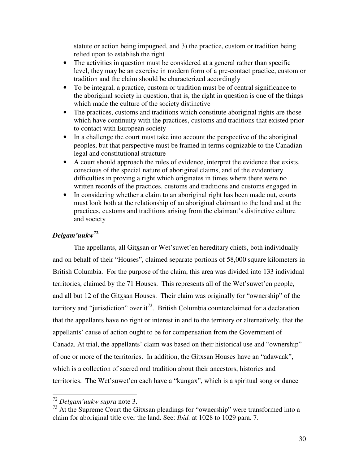statute or action being impugned, and 3) the practice, custom or tradition being relied upon to establish the right

- The activities in question must be considered at a general rather than specific level, they may be an exercise in modern form of a pre-contact practice, custom or tradition and the claim should be characterized accordingly
- To be integral, a practice, custom or tradition must be of central significance to the aboriginal society in question; that is, the right in question is one of the things which made the culture of the society distinctive
- The practices, customs and traditions which constitute aboriginal rights are those which have continuity with the practices, customs and traditions that existed prior to contact with European society
- In a challenge the court must take into account the perspective of the aboriginal peoples, but that perspective must be framed in terms cognizable to the Canadian legal and constitutional structure
- A court should approach the rules of evidence, interpret the evidence that exists, conscious of the special nature of aboriginal claims, and of the evidentiary difficulties in proving a right which originates in times where there were no written records of the practices, customs and traditions and customs engaged in
- In considering whether a claim to an aboriginal right has been made out, courts must look both at the relationship of an aboriginal claimant to the land and at the practices, customs and traditions arising from the claimant's distinctive culture and society

# *Delgam'uukw***<sup>72</sup>**

The appellants, all Gitxsan or Wet'suwet'en hereditary chiefs, both individually and on behalf of their "Houses", claimed separate portions of 58,000 square kilometers in British Columbia. For the purpose of the claim, this area was divided into 133 individual territories, claimed by the 71 Houses. This represents all of the Wet'suwet'en people, and all but 12 of the Gitxsan Houses. Their claim was originally for "ownership" of the territory and "jurisdiction" over  $it^{73}$ . British Columbia counterclaimed for a declaration that the appellants have no right or interest in and to the territory or alternatively, that the appellants' cause of action ought to be for compensation from the Government of Canada. At trial, the appellants' claim was based on their historical use and "ownership" of one or more of the territories. In addition, the Gitxsan Houses have an "adawaak", which is a collection of sacred oral tradition about their ancestors, histories and territories. The Wet'suwet'en each have a "kungax", which is a spiritual song or dance

l

<sup>72</sup> *Delgam'uukw supra* note 3.

<sup>&</sup>lt;sup>73</sup> At the Supreme Court the Gitxsan pleadings for "ownership" were transformed into a claim for aboriginal title over the land. See: *Ibid.* at 1028 to 1029 para. 7.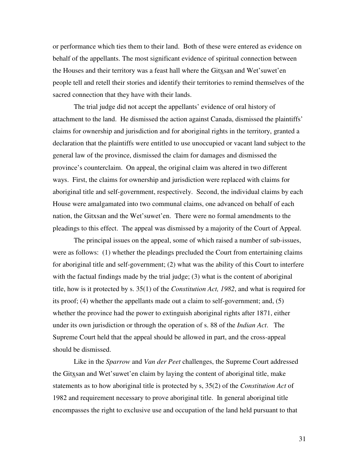or performance which ties them to their land. Both of these were entered as evidence on behalf of the appellants. The most significant evidence of spiritual connection between the Houses and their territory was a feast hall where the Gitxsan and Wet'suwet'en people tell and retell their stories and identify their territories to remind themselves of the sacred connection that they have with their lands.

 The trial judge did not accept the appellants' evidence of oral history of attachment to the land. He dismissed the action against Canada, dismissed the plaintiffs' claims for ownership and jurisdiction and for aboriginal rights in the territory, granted a declaration that the plaintiffs were entitled to use unoccupied or vacant land subject to the general law of the province, dismissed the claim for damages and dismissed the province's counterclaim. On appeal, the original claim was altered in two different ways. First, the claims for ownership and jurisdiction were replaced with claims for aboriginal title and self-government, respectively. Second, the individual claims by each House were amalgamated into two communal claims, one advanced on behalf of each nation, the Gitxsan and the Wet'suwet'en. There were no formal amendments to the pleadings to this effect. The appeal was dismissed by a majority of the Court of Appeal.

 The principal issues on the appeal, some of which raised a number of sub-issues, were as follows: (1) whether the pleadings precluded the Court from entertaining claims for aboriginal title and self-government; (2) what was the ability of this Court to interfere with the factual findings made by the trial judge; (3) what is the content of aboriginal title, how is it protected by s. 35(1) of the *Constitution Act, 1982*, and what is required for its proof; (4) whether the appellants made out a claim to self-government; and, (5) whether the province had the power to extinguish aboriginal rights after 1871, either under its own jurisdiction or through the operation of s. 88 of the *Indian Act*. The Supreme Court held that the appeal should be allowed in part, and the cross-appeal should be dismissed.

Like in the *Sparrow* and *Van der Peet* challenges, the Supreme Court addressed the Gitxsan and Wet'suwet'en claim by laying the content of aboriginal title, make statements as to how aboriginal title is protected by s, 35(2) of the *Constitution Act* of 1982 and requirement necessary to prove aboriginal title. In general aboriginal title encompasses the right to exclusive use and occupation of the land held pursuant to that

31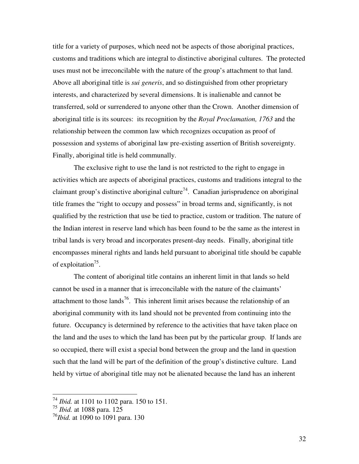title for a variety of purposes, which need not be aspects of those aboriginal practices, customs and traditions which are integral to distinctive aboriginal cultures. The protected uses must not be irreconcilable with the nature of the group's attachment to that land. Above all aboriginal title is *sui generis*, and so distinguished from other proprietary interests, and characterized by several dimensions. It is inalienable and cannot be transferred, sold or surrendered to anyone other than the Crown. Another dimension of aboriginal title is its sources: its recognition by the *Royal Proclamation, 1763* and the relationship between the common law which recognizes occupation as proof of possession and systems of aboriginal law pre-existing assertion of British sovereignty. Finally, aboriginal title is held communally.

The exclusive right to use the land is not restricted to the right to engage in activities which are aspects of aboriginal practices, customs and traditions integral to the claimant group's distinctive aboriginal culture<sup>74</sup>. Canadian jurisprudence on aboriginal title frames the "right to occupy and possess" in broad terms and, significantly, is not qualified by the restriction that use be tied to practice, custom or tradition. The nature of the Indian interest in reserve land which has been found to be the same as the interest in tribal lands is very broad and incorporates present-day needs. Finally, aboriginal title encompasses mineral rights and lands held pursuant to aboriginal title should be capable of exploitation<sup>75</sup>.

The content of aboriginal title contains an inherent limit in that lands so held cannot be used in a manner that is irreconcilable with the nature of the claimants' attachment to those lands<sup>76</sup>. This inherent limit arises because the relationship of an aboriginal community with its land should not be prevented from continuing into the future. Occupancy is determined by reference to the activities that have taken place on the land and the uses to which the land has been put by the particular group. If lands are so occupied, there will exist a special bond between the group and the land in question such that the land will be part of the definition of the group's distinctive culture. Land held by virtue of aboriginal title may not be alienated because the land has an inherent

l

<sup>74</sup> *Ibid.* at 1101 to 1102 para. 150 to 151.

<sup>75</sup> *Ibid.* at 1088 para. 125

<sup>76</sup>*Ibid.* at 1090 to 1091 para. 130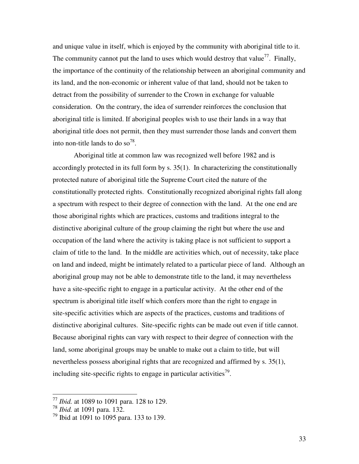and unique value in itself, which is enjoyed by the community with aboriginal title to it. The community cannot put the land to uses which would destroy that value<sup>77</sup>. Finally, the importance of the continuity of the relationship between an aboriginal community and its land, and the non-economic or inherent value of that land, should not be taken to detract from the possibility of surrender to the Crown in exchange for valuable consideration. On the contrary, the idea of surrender reinforces the conclusion that aboriginal title is limited. If aboriginal peoples wish to use their lands in a way that aboriginal title does not permit, then they must surrender those lands and convert them into non-title lands to do so<sup>78</sup>.

Aboriginal title at common law was recognized well before 1982 and is accordingly protected in its full form by s. 35(1). In characterizing the constitutionally protected nature of aboriginal title the Supreme Court cited the nature of the constitutionally protected rights. Constitutionally recognized aboriginal rights fall along a spectrum with respect to their degree of connection with the land. At the one end are those aboriginal rights which are practices, customs and traditions integral to the distinctive aboriginal culture of the group claiming the right but where the use and occupation of the land where the activity is taking place is not sufficient to support a claim of title to the land. In the middle are activities which, out of necessity, take place on land and indeed, might be intimately related to a particular piece of land. Although an aboriginal group may not be able to demonstrate title to the land, it may nevertheless have a site-specific right to engage in a particular activity. At the other end of the spectrum is aboriginal title itself which confers more than the right to engage in site-specific activities which are aspects of the practices, customs and traditions of distinctive aboriginal cultures. Site-specific rights can be made out even if title cannot. Because aboriginal rights can vary with respect to their degree of connection with the land, some aboriginal groups may be unable to make out a claim to title, but will nevertheless possess aboriginal rights that are recognized and affirmed by s. 35(1), including site-specific rights to engage in particular activities<sup>79</sup>.

l

<sup>77</sup> *Ibid.* at 1089 to 1091 para. 128 to 129.

<sup>78</sup> *Ibid.* at 1091 para. 132.

 $79$  Ibid at 1091 to 1095 para. 133 to 139.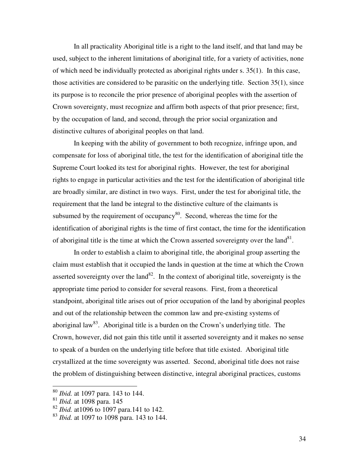In all practicality Aboriginal title is a right to the land itself, and that land may be used, subject to the inherent limitations of aboriginal title, for a variety of activities, none of which need be individually protected as aboriginal rights under s. 35(1). In this case, those activities are considered to be parasitic on the underlying title. Section 35(1), since its purpose is to reconcile the prior presence of aboriginal peoples with the assertion of Crown sovereignty, must recognize and affirm both aspects of that prior presence; first, by the occupation of land, and second, through the prior social organization and distinctive cultures of aboriginal peoples on that land.

In keeping with the ability of government to both recognize, infringe upon, and compensate for loss of aboriginal title, the test for the identification of aboriginal title the Supreme Court looked its test for aboriginal rights. However, the test for aboriginal rights to engage in particular activities and the test for the identification of aboriginal title are broadly similar, are distinct in two ways. First, under the test for aboriginal title, the requirement that the land be integral to the distinctive culture of the claimants is subsumed by the requirement of occupancy<sup>80</sup>. Second, whereas the time for the identification of aboriginal rights is the time of first contact, the time for the identification of aboriginal title is the time at which the Crown asserted sovereignty over the land $81$ .

In order to establish a claim to aboriginal title, the aboriginal group asserting the claim must establish that it occupied the lands in question at the time at which the Crown asserted sovereignty over the land<sup>82</sup>. In the context of aboriginal title, sovereignty is the appropriate time period to consider for several reasons. First, from a theoretical standpoint, aboriginal title arises out of prior occupation of the land by aboriginal peoples and out of the relationship between the common law and pre-existing systems of aboriginal law<sup>83</sup>. Aboriginal title is a burden on the Crown's underlying title. The Crown, however, did not gain this title until it asserted sovereignty and it makes no sense to speak of a burden on the underlying title before that title existed. Aboriginal title crystallized at the time sovereignty was asserted. Second, aboriginal title does not raise the problem of distinguishing between distinctive, integral aboriginal practices, customs

<sup>80</sup> *Ibid.* at 1097 para. 143 to 144.

<sup>81</sup> *Ibid.* at 1098 para. 145

<sup>82</sup> *Ibid.* at1096 to 1097 para.141 to 142.

<sup>83</sup> *Ibid.* at 1097 to 1098 para. 143 to 144.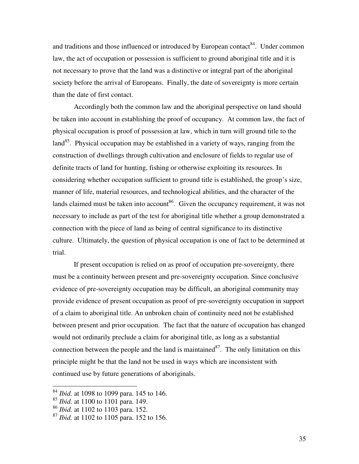and traditions and those influenced or introduced by European contact<sup>84</sup>. Under common law, the act of occupation or possession is sufficient to ground aboriginal title and it is not necessary to prove that the land was a distinctive or integral part of the aboriginal society before the arrival of Europeans. Finally, the date of sovereignty is more certain than the date of first contact.

Accordingly both the common law and the aboriginal perspective on land should be taken into account in establishing the proof of occupancy. At common law, the fact of physical occupation is proof of possession at law, which in turn will ground title to the land<sup>85</sup>. Physical occupation may be established in a variety of ways, ranging from the construction of dwellings through cultivation and enclosure of fields to regular use of definite tracts of land for hunting, fishing or otherwise exploiting its resources. In considering whether occupation sufficient to ground title is established, the group's size, manner of life, material resources, and technological abilities, and the character of the lands claimed must be taken into account<sup>86</sup>. Given the occupancy requirement, it was not necessary to include as part of the test for aboriginal title whether a group demonstrated a connection with the piece of land as being of central significance to its distinctive culture. Ultimately, the question of physical occupation is one of fact to be determined at trial.

If present occupation is relied on as proof of occupation pre-sovereignty, there must be a continuity between present and pre-sovereignty occupation. Since conclusive evidence of pre-sovereignty occupation may be difficult, an aboriginal community may provide evidence of present occupation as proof of pre-sovereignty occupation in support of a claim to aboriginal title. An unbroken chain of continuity need not be established between present and prior occupation. The fact that the nature of occupation has changed would not ordinarily preclude a claim for aboriginal title, as long as a substantial connection between the people and the land is maintained  $87$ . The only limitation on this principle might be that the land not be used in ways which are inconsistent with continued use by future generations of aboriginals.

 $\overline{a}$ 

35

<sup>84</sup> *Ibid.* at 1098 to 1099 para. 145 to 146.

<sup>85</sup> *Ibid.* at 1100 to 1101 para. 149.

<sup>86</sup> *Ibid.* at 1102 to 1103 para. 152.

<sup>87</sup> *Ibid.* at 1102 to 1105 para. 152 to 156.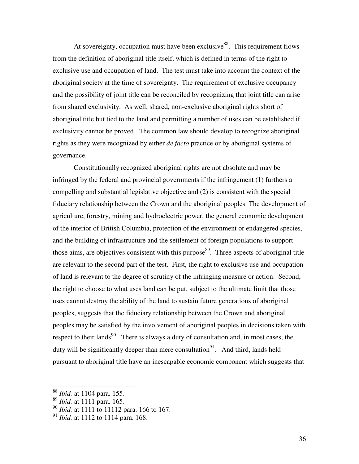At sovereignty, occupation must have been exclusive  $88$ . This requirement flows from the definition of aboriginal title itself, which is defined in terms of the right to exclusive use and occupation of land. The test must take into account the context of the aboriginal society at the time of sovereignty. The requirement of exclusive occupancy and the possibility of joint title can be reconciled by recognizing that joint title can arise from shared exclusivity. As well, shared, non-exclusive aboriginal rights short of aboriginal title but tied to the land and permitting a number of uses can be established if exclusivity cannot be proved. The common law should develop to recognize aboriginal rights as they were recognized by either *de facto* practice or by aboriginal systems of governance.

Constitutionally recognized aboriginal rights are not absolute and may be infringed by the federal and provincial governments if the infringement (1) furthers a compelling and substantial legislative objective and (2) is consistent with the special fiduciary relationship between the Crown and the aboriginal peoples The development of agriculture, forestry, mining and hydroelectric power, the general economic development of the interior of British Columbia, protection of the environment or endangered species, and the building of infrastructure and the settlement of foreign populations to support those aims, are objectives consistent with this purpose<sup>89</sup>. Three aspects of aboriginal title are relevant to the second part of the test. First, the right to exclusive use and occupation of land is relevant to the degree of scrutiny of the infringing measure or action. Second, the right to choose to what uses land can be put, subject to the ultimate limit that those uses cannot destroy the ability of the land to sustain future generations of aboriginal peoples, suggests that the fiduciary relationship between the Crown and aboriginal peoples may be satisfied by the involvement of aboriginal peoples in decisions taken with respect to their lands<sup>90</sup>. There is always a duty of consultation and, in most cases, the duty will be significantly deeper than mere consultation<sup>91</sup>. And third, lands held pursuant to aboriginal title have an inescapable economic component which suggests that

<sup>88</sup> *Ibid.* at 1104 para. 155.

<sup>89</sup> *Ibid.* at 1111 para. 165.

<sup>90</sup> *Ibid.* at 1111 to 11112 para. 166 to 167.

<sup>91</sup> *Ibid.* at 1112 to 1114 para. 168.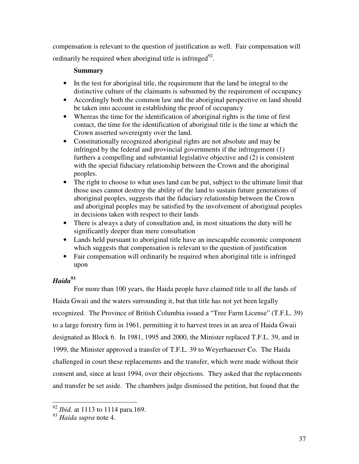compensation is relevant to the question of justification as well. Fair compensation will ordinarily be required when aboriginal title is infringed $^{92}$ .

# **Summary**

- In the test for aboriginal title, the requirement that the land be integral to the distinctive culture of the claimants is subsumed by the requirement of occupancy
- Accordingly both the common law and the aboriginal perspective on land should be taken into account in establishing the proof of occupancy
- Whereas the time for the identification of aboriginal rights is the time of first contact, the time for the identification of aboriginal title is the time at which the Crown asserted sovereignty over the land.
- Constitutionally recognized aboriginal rights are not absolute and may be infringed by the federal and provincial governments if the infringement (1) furthers a compelling and substantial legislative objective and (2) is consistent with the special fiduciary relationship between the Crown and the aboriginal peoples.
- The right to choose to what uses land can be put, subject to the ultimate limit that those uses cannot destroy the ability of the land to sustain future generations of aboriginal peoples, suggests that the fiduciary relationship between the Crown and aboriginal peoples may be satisfied by the involvement of aboriginal peoples in decisions taken with respect to their lands
- There is always a duty of consultation and, in most situations the duty will be significantly deeper than mere consultation
- Lands held pursuant to aboriginal title have an inescapable economic component which suggests that compensation is relevant to the question of justification
- Fair compensation will ordinarily be required when aboriginal title is infringed upon

# *Haida***<sup>93</sup>**

For more than 100 years, the Haida people have claimed title to all the lands of Haida Gwaii and the waters surrounding it, but that title has not yet been legally recognized. The Province of British Columbia issued a "Tree Farm License" (T.F.L. 39) to a large forestry firm in 1961, permitting it to harvest trees in an area of Haida Gwaii designated as Block 6. In 1981, 1995 and 2000, the Minister replaced T.F.L. 39, and in 1999, the Minister approved a transfer of T.F.L. 39 to Weyerhaeuser Co. The Haida challenged in court these replacements and the transfer, which were made without their consent and, since at least 1994, over their objections. They asked that the replacements and transfer be set aside. The chambers judge dismissed the petition, but found that the

<sup>92</sup> *Ibid.* at 1113 to 1114 para.169.

<sup>93</sup> *Haida supra* note 4.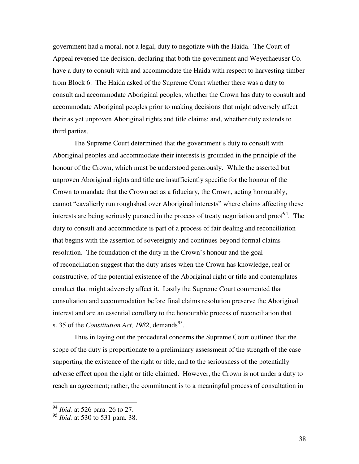government had a moral, not a legal, duty to negotiate with the Haida. The Court of Appeal reversed the decision, declaring that both the government and Weyerhaeuser Co. have a duty to consult with and accommodate the Haida with respect to harvesting timber from Block 6. The Haida asked of the Supreme Court whether there was a duty to consult and accommodate Aboriginal peoples; whether the Crown has duty to consult and accommodate Aboriginal peoples prior to making decisions that might adversely affect their as yet unproven Aboriginal rights and title claims; and, whether duty extends to third parties.

 The Supreme Court determined that the government's duty to consult with Aboriginal peoples and accommodate their interests is grounded in the principle of the honour of the Crown, which must be understood generously. While the asserted but unproven Aboriginal rights and title are insufficiently specific for the honour of the Crown to mandate that the Crown act as a fiduciary, the Crown, acting honourably, cannot "cavalierly run roughshod over Aboriginal interests" where claims affecting these interests are being seriously pursued in the process of treaty negotiation and proof $94$ . The duty to consult and accommodate is part of a process of fair dealing and reconciliation that begins with the assertion of sovereignty and continues beyond formal claims resolution. The foundation of the duty in the Crown's honour and the goal of reconciliation suggest that the duty arises when the Crown has knowledge, real or constructive, of the potential existence of the Aboriginal right or title and contemplates conduct that might adversely affect it. Lastly the Supreme Court commented that consultation and accommodation before final claims resolution preserve the Aboriginal interest and are an essential corollary to the honourable process of reconciliation that s. 35 of the *Constitution Act*, 1982, demands<sup>95</sup>.

 Thus in laying out the procedural concerns the Supreme Court outlined that the scope of the duty is proportionate to a preliminary assessment of the strength of the case supporting the existence of the right or title, and to the seriousness of the potentially adverse effect upon the right or title claimed. However, the Crown is not under a duty to reach an agreement; rather, the commitment is to a meaningful process of consultation in

<sup>94</sup> *Ibid.* at 526 para. 26 to 27.

<sup>95</sup> *Ibid.* at 530 to 531 para. 38.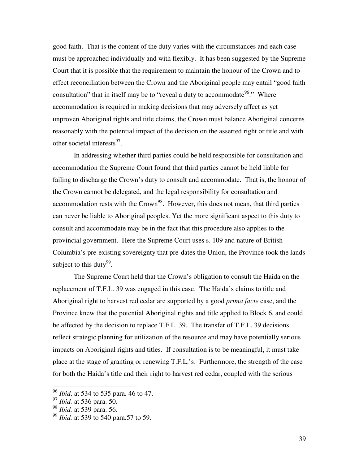good faith. That is the content of the duty varies with the circumstances and each case must be approached individually and with flexibly. It has been suggested by the Supreme Court that it is possible that the requirement to maintain the honour of the Crown and to effect reconciliation between the Crown and the Aboriginal people may entail "good faith consultation" that in itself may be to "reveal a duty to accommodate  $96$ ." Where accommodation is required in making decisions that may adversely affect as yet unproven Aboriginal rights and title claims, the Crown must balance Aboriginal concerns reasonably with the potential impact of the decision on the asserted right or title and with other societal interests<sup>97</sup>.

In addressing whether third parties could be held responsible for consultation and accommodation the Supreme Court found that third parties cannot be held liable for failing to discharge the Crown's duty to consult and accommodate. That is, the honour of the Crown cannot be delegated, and the legal responsibility for consultation and accommodation rests with the Crown<sup>98</sup>. However, this does not mean, that third parties can never be liable to Aboriginal peoples. Yet the more significant aspect to this duty to consult and accommodate may be in the fact that this procedure also applies to the provincial government. Here the Supreme Court uses s. 109 and nature of British Columbia's pre-existing sovereignty that pre-dates the Union, the Province took the lands subject to this duty<sup>99</sup>.

 The Supreme Court held that the Crown's obligation to consult the Haida on the replacement of T.F.L. 39 was engaged in this case. The Haida's claims to title and Aboriginal right to harvest red cedar are supported by a good *prima facie* case, and the Province knew that the potential Aboriginal rights and title applied to Block 6, and could be affected by the decision to replace T.F.L. 39. The transfer of T.F.L. 39 decisions reflect strategic planning for utilization of the resource and may have potentially serious impacts on Aboriginal rights and titles. If consultation is to be meaningful, it must take place at the stage of granting or renewing T.F.L.'s. Furthermore, the strength of the case for both the Haida's title and their right to harvest red cedar, coupled with the serious

<sup>96</sup> *Ibid*. at 534 to 535 para. 46 to 47.

<sup>97</sup> *Ibid.* at 536 para. 50.

<sup>98</sup> *Ibid.* at 539 para. 56.

<sup>99</sup> *Ibid.* at 539 to 540 para.57 to 59.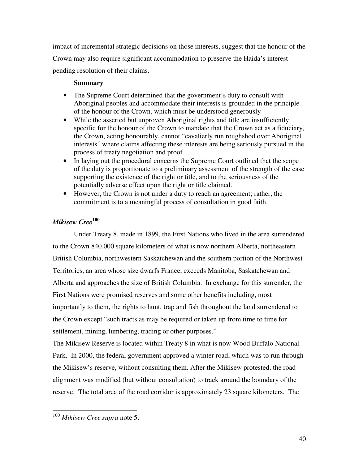impact of incremental strategic decisions on those interests, suggest that the honour of the Crown may also require significant accommodation to preserve the Haida's interest pending resolution of their claims.

# **Summary**

- The Supreme Court determined that the government's duty to consult with Aboriginal peoples and accommodate their interests is grounded in the principle of the honour of the Crown, which must be understood generously
- While the asserted but unproven Aboriginal rights and title are insufficiently specific for the honour of the Crown to mandate that the Crown act as a fiduciary, the Crown, acting honourably, cannot "cavalierly run roughshod over Aboriginal interests" where claims affecting these interests are being seriously pursued in the process of treaty negotiation and proof
- In laying out the procedural concerns the Supreme Court outlined that the scope of the duty is proportionate to a preliminary assessment of the strength of the case supporting the existence of the right or title, and to the seriousness of the potentially adverse effect upon the right or title claimed.
- However, the Crown is not under a duty to reach an agreement; rather, the commitment is to a meaningful process of consultation in good faith.

# *Mikisew Cree***<sup>100</sup>**

Under Treaty 8, made in 1899, the First Nations who lived in the area surrendered to the Crown 840,000 square kilometers of what is now northern Alberta, northeastern British Columbia, northwestern Saskatchewan and the southern portion of the Northwest Territories, an area whose size dwarfs France, exceeds Manitoba, Saskatchewan and Alberta and approaches the size of British Columbia. In exchange for this surrender, the First Nations were promised reserves and some other benefits including, most importantly to them, the rights to hunt, trap and fish throughout the land surrendered to the Crown except "such tracts as may be required or taken up from time to time for settlement, mining, lumbering, trading or other purposes."

The Mikisew Reserve is located within Treaty 8 in what is now Wood Buffalo National Park. In 2000, the federal government approved a winter road, which was to run through the Mikisew's reserve, without consulting them. After the Mikisew protested, the road alignment was modified (but without consultation) to track around the boundary of the reserve. The total area of the road corridor is approximately 23 square kilometers. The

 $\overline{a}$ <sup>100</sup> *Mikisew Cree supra* note 5.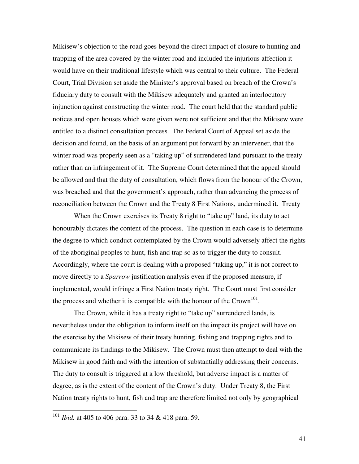Mikisew's objection to the road goes beyond the direct impact of closure to hunting and trapping of the area covered by the winter road and included the injurious affection it would have on their traditional lifestyle which was central to their culture. The Federal Court, Trial Division set aside the Minister's approval based on breach of the Crown's fiduciary duty to consult with the Mikisew adequately and granted an interlocutory injunction against constructing the winter road. The court held that the standard public notices and open houses which were given were not sufficient and that the Mikisew were entitled to a distinct consultation process. The Federal Court of Appeal set aside the decision and found, on the basis of an argument put forward by an intervener, that the winter road was properly seen as a "taking up" of surrendered land pursuant to the treaty rather than an infringement of it. The Supreme Court determined that the appeal should be allowed and that the duty of consultation, which flows from the honour of the Crown, was breached and that the government's approach, rather than advancing the process of reconciliation between the Crown and the Treaty 8 First Nations, undermined it. Treaty

When the Crown exercises its Treaty 8 right to "take up" land, its duty to act honourably dictates the content of the process. The question in each case is to determine the degree to which conduct contemplated by the Crown would adversely affect the rights of the aboriginal peoples to hunt, fish and trap so as to trigger the duty to consult. Accordingly, where the court is dealing with a proposed "taking up," it is not correct to move directly to a *Sparrow* justification analysis even if the proposed measure, if implemented, would infringe a First Nation treaty right. The Court must first consider the process and whether it is compatible with the honour of the Crown<sup>101</sup>.

The Crown, while it has a treaty right to "take up" surrendered lands, is nevertheless under the obligation to inform itself on the impact its project will have on the exercise by the Mikisew of their treaty hunting, fishing and trapping rights and to communicate its findings to the Mikisew. The Crown must then attempt to deal with the Mikisew in good faith and with the intention of substantially addressing their concerns. The duty to consult is triggered at a low threshold, but adverse impact is a matter of degree, as is the extent of the content of the Crown's duty. Under Treaty 8, the First Nation treaty rights to hunt, fish and trap are therefore limited not only by geographical

<sup>101</sup> *Ibid.* at 405 to 406 para. 33 to 34 & 418 para. 59.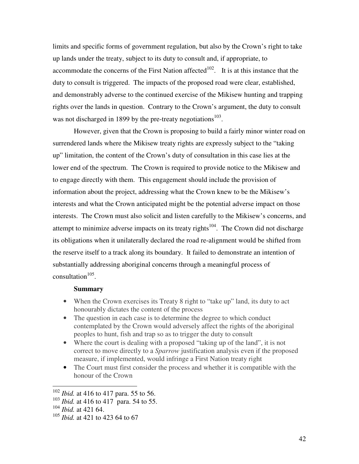limits and specific forms of government regulation, but also by the Crown's right to take up lands under the treaty, subject to its duty to consult and, if appropriate, to accommodate the concerns of the First Nation affected $102$ . It is at this instance that the duty to consult is triggered. The impacts of the proposed road were clear, established, and demonstrably adverse to the continued exercise of the Mikisew hunting and trapping rights over the lands in question. Contrary to the Crown's argument, the duty to consult was not discharged in 1899 by the pre-treaty negotiations $103$ .

 However, given that the Crown is proposing to build a fairly minor winter road on surrendered lands where the Mikisew treaty rights are expressly subject to the "taking up" limitation, the content of the Crown's duty of consultation in this case lies at the lower end of the spectrum. The Crown is required to provide notice to the Mikisew and to engage directly with them. This engagement should include the provision of information about the project, addressing what the Crown knew to be the Mikisew's interests and what the Crown anticipated might be the potential adverse impact on those interests. The Crown must also solicit and listen carefully to the Mikisew's concerns, and attempt to minimize adverse impacts on its treaty rights<sup> $104$ </sup>. The Crown did not discharge its obligations when it unilaterally declared the road re-alignment would be shifted from the reserve itself to a track along its boundary. It failed to demonstrate an intention of substantially addressing aboriginal concerns through a meaningful process of  $constant^{105}$ .

### **Summary**

- When the Crown exercises its Treaty 8 right to "take up" land, its duty to act honourably dictates the content of the process
- The question in each case is to determine the degree to which conduct contemplated by the Crown would adversely affect the rights of the aboriginal peoples to hunt, fish and trap so as to trigger the duty to consult
- Where the court is dealing with a proposed "taking up of the land", it is not correct to move directly to a *Sparrow* justification analysis even if the proposed measure, if implemented, would infringe a First Nation treaty right
- The Court must first consider the process and whether it is compatible with the honour of the Crown

<sup>102</sup> *Ibid.* at 416 to 417 para. 55 to 56.

<sup>103</sup> *Ibid.* at 416 to 417 para. 54 to 55.

<sup>104</sup> *Ibid.* at 421 64.

<sup>105</sup> *Ibid.* at 421 to 423 64 to 67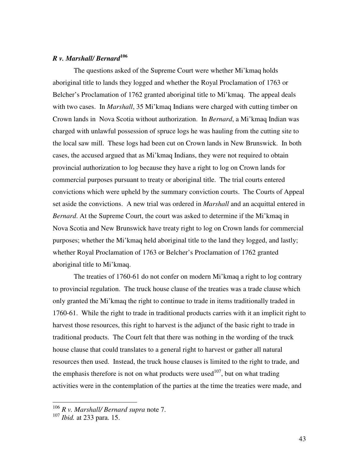# *R v. Marshall/ Bernard***<sup>106</sup>**

The questions asked of the Supreme Court were whether Mi'kmaq holds aboriginal title to lands they logged and whether the Royal Proclamation of 1763 or Belcher's Proclamation of 1762 granted aboriginal title to Mi'kmaq. The appeal deals with two cases. In *Marshall*, 35 Mi'kmaq Indians were charged with cutting timber on Crown lands in Nova Scotia without authorization. In *Bernard*, a Mi'kmaq Indian was charged with unlawful possession of spruce logs he was hauling from the cutting site to the local saw mill. These logs had been cut on Crown lands in New Brunswick. In both cases, the accused argued that as Mi'kmaq Indians, they were not required to obtain provincial authorization to log because they have a right to log on Crown lands for commercial purposes pursuant to treaty or aboriginal title. The trial courts entered convictions which were upheld by the summary conviction courts. The Courts of Appeal set aside the convictions. A new trial was ordered in *Marshall* and an acquittal entered in *Bernard*. At the Supreme Court, the court was asked to determine if the Mi'kmaq in Nova Scotia and New Brunswick have treaty right to log on Crown lands for commercial purposes; whether the Mi'kmaq held aboriginal title to the land they logged, and lastly; whether Royal Proclamation of 1763 or Belcher's Proclamation of 1762 granted aboriginal title to Mi'kmaq.

The treaties of 1760-61 do not confer on modern Mi'kmaq a right to log contrary to provincial regulation. The truck house clause of the treaties was a trade clause which only granted the Mi'kmaq the right to continue to trade in items traditionally traded in 1760-61. While the right to trade in traditional products carries with it an implicit right to harvest those resources, this right to harvest is the adjunct of the basic right to trade in traditional products. The Court felt that there was nothing in the wording of the truck house clause that could translates to a general right to harvest or gather all natural resources then used. Instead, the truck house clauses is limited to the right to trade, and the emphasis therefore is not on what products were used<sup>107</sup>, but on what trading activities were in the contemplation of the parties at the time the treaties were made, and

<sup>106</sup> *R v. Marshall/ Bernard supra* note 7.

<sup>107</sup> *Ibid.* at 233 para. 15.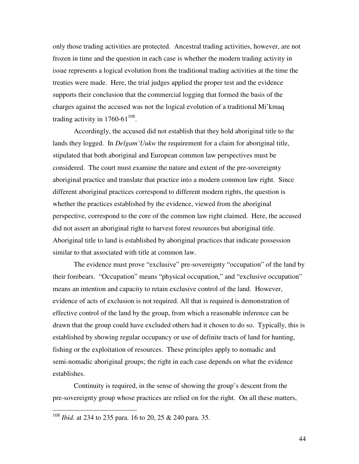only those trading activities are protected. Ancestral trading activities, however, are not frozen in time and the question in each case is whether the modern trading activity in issue represents a logical evolution from the traditional trading activities at the time the treaties were made. Here, the trial judges applied the proper test and the evidence supports their conclusion that the commercial logging that formed the basis of the charges against the accused was not the logical evolution of a traditional Mi'kmaq trading activity in  $1760-61^{108}$ .

Accordingly, the accused did not establish that they hold aboriginal title to the lands they logged. In *Delgam'Uukw* the requirement for a claim for aboriginal title, stipulated that both aboriginal and European common law perspectives must be considered. The court must examine the nature and extent of the pre-sovereignty aboriginal practice and translate that practice into a modern common law right. Since different aboriginal practices correspond to different modern rights, the question is whether the practices established by the evidence, viewed from the aboriginal perspective, correspond to the core of the common law right claimed. Here, the accused did not assert an aboriginal right to harvest forest resources but aboriginal title. Aboriginal title to land is established by aboriginal practices that indicate possession similar to that associated with title at common law.

The evidence must prove "exclusive" pre-sovereignty "occupation" of the land by their forebears. "Occupation" means "physical occupation," and "exclusive occupation" means an intention and capacity to retain exclusive control of the land. However, evidence of acts of exclusion is not required. All that is required is demonstration of effective control of the land by the group, from which a reasonable inference can be drawn that the group could have excluded others had it chosen to do so. Typically, this is established by showing regular occupancy or use of definite tracts of land for hunting, fishing or the exploitation of resources. These principles apply to nomadic and semi-nomadic aboriginal groups; the right in each case depends on what the evidence establishes.

Continuity is required, in the sense of showing the group's descent from the pre-sovereignty group whose practices are relied on for the right. On all these matters,

<sup>108</sup> *Ibid.* at 234 to 235 para. 16 to 20, 25 & 240 para. 35.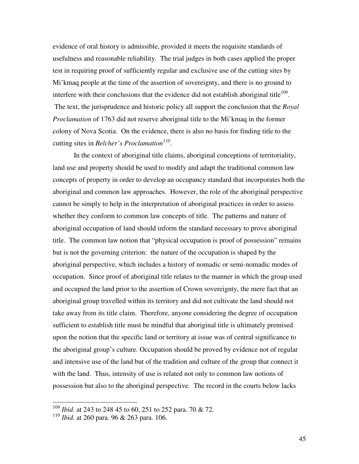evidence of oral history is admissible, provided it meets the requisite standards of usefulness and reasonable reliability. The trial judges in both cases applied the proper test in requiring proof of sufficiently regular and exclusive use of the cutting sites by Mi'kmaq people at the time of the assertion of sovereignty, and there is no ground to interfere with their conclusions that the evidence did not establish aboriginal title $109$ . The text, the jurisprudence and historic policy all support the conclusion that the *Royal Proclamation* of 1763 did not reserve aboriginal title to the Mi'kmaq in the former colony of Nova Scotia. On the evidence, there is also no basis for finding title to the cutting sites in *Belcher's Proclamation<sup>110</sup>* .

In the context of aboriginal title claims, aboriginal conceptions of territoriality, land use and property should be used to modify and adapt the traditional common law concepts of property in order to develop an occupancy standard that incorporates both the aboriginal and common law approaches. However, the role of the aboriginal perspective cannot be simply to help in the interpretation of aboriginal practices in order to assess whether they conform to common law concepts of title. The patterns and nature of aboriginal occupation of land should inform the standard necessary to prove aboriginal title. The common law notion that "physical occupation is proof of possession" remains but is not the governing criterion: the nature of the occupation is shaped by the aboriginal perspective, which includes a history of nomadic or semi-nomadic modes of occupation. Since proof of aboriginal title relates to the manner in which the group used and occupied the land prior to the assertion of Crown sovereignty, the mere fact that an aboriginal group travelled within its territory and did not cultivate the land should not take away from its title claim. Therefore, anyone considering the degree of occupation sufficient to establish title must be mindful that aboriginal title is ultimately premised upon the notion that the specific land or territory at issue was of central significance to the aboriginal group's culture. Occupation should be proved by evidence not of regular and intensive use of the land but of the tradition and culture of the group that connect it with the land. Thus, intensity of use is related not only to common law notions of possession but also to the aboriginal perspective. The record in the courts below lacks

<sup>109</sup> *Ibid.* at 243 to 248 45 to 60, 251 to 252 para. 70 & 72.

<sup>110</sup> *Ibid.* at 260 para. 96 & 263 para. 106.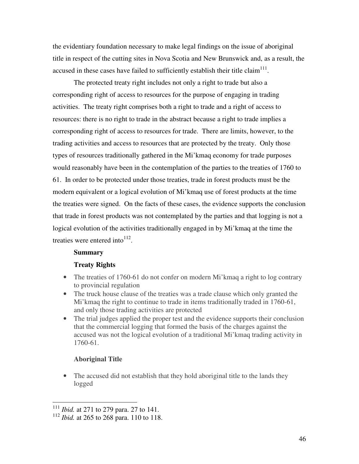the evidentiary foundation necessary to make legal findings on the issue of aboriginal title in respect of the cutting sites in Nova Scotia and New Brunswick and, as a result, the accused in these cases have failed to sufficiently establish their title claim<sup>111</sup>.

 The protected treaty right includes not only a right to trade but also a corresponding right of access to resources for the purpose of engaging in trading activities. The treaty right comprises both a right to trade and a right of access to resources: there is no right to trade in the abstract because a right to trade implies a corresponding right of access to resources for trade. There are limits, however, to the trading activities and access to resources that are protected by the treaty. Only those types of resources traditionally gathered in the Mi'kmaq economy for trade purposes would reasonably have been in the contemplation of the parties to the treaties of 1760 to 61. In order to be protected under those treaties, trade in forest products must be the modern equivalent or a logical evolution of Mi'kmaq use of forest products at the time the treaties were signed. On the facts of these cases, the evidence supports the conclusion that trade in forest products was not contemplated by the parties and that logging is not a logical evolution of the activities traditionally engaged in by Mi'kmaq at the time the treaties were entered into<sup>112</sup>.

### **Summary**

#### **Treaty Rights**

- The treaties of 1760-61 do not confer on modern Mi'kmaq a right to log contrary to provincial regulation
- The truck house clause of the treaties was a trade clause which only granted the Mi'kmaq the right to continue to trade in items traditionally traded in 1760-61, and only those trading activities are protected
- The trial judges applied the proper test and the evidence supports their conclusion that the commercial logging that formed the basis of the charges against the accused was not the logical evolution of a traditional Mi'kmaq trading activity in 1760-61.

### **Aboriginal Title**

 $\overline{a}$ 

• The accused did not establish that they hold aboriginal title to the lands they logged

<sup>111</sup> *Ibid.* at 271 to 279 para. 27 to 141.

<sup>112</sup> *Ibid.* at 265 to 268 para. 110 to 118.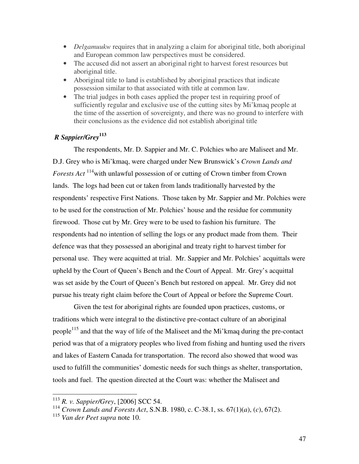- *Delgamuukw* requires that in analyzing a claim for aboriginal title, both aboriginal and European common law perspectives must be considered.
- The accused did not assert an aboriginal right to harvest forest resources but aboriginal title.
- Aboriginal title to land is established by aboriginal practices that indicate possession similar to that associated with title at common law.
- The trial judges in both cases applied the proper test in requiring proof of sufficiently regular and exclusive use of the cutting sites by Mi'kmaq people at the time of the assertion of sovereignty, and there was no ground to interfere with their conclusions as the evidence did not establish aboriginal title

# *R Sappier/Grey***<sup>113</sup>**

The respondents, Mr. D. Sappier and Mr. C. Polchies who are Maliseet and Mr. D.J. Grey who is Mi'kmaq, were charged under New Brunswick's *Crown Lands and Forests Act* <sup>114</sup> with unlawful possession of or cutting of Crown timber from Crown lands. The logs had been cut or taken from lands traditionally harvested by the respondents' respective First Nations. Those taken by Mr. Sappier and Mr. Polchies were to be used for the construction of Mr. Polchies' house and the residue for community firewood. Those cut by Mr. Grey were to be used to fashion his furniture. The respondents had no intention of selling the logs or any product made from them. Their defence was that they possessed an aboriginal and treaty right to harvest timber for personal use. They were acquitted at trial. Mr. Sappier and Mr. Polchies' acquittals were upheld by the Court of Queen's Bench and the Court of Appeal. Mr. Grey's acquittal was set aside by the Court of Queen's Bench but restored on appeal. Mr. Grey did not pursue his treaty right claim before the Court of Appeal or before the Supreme Court.

Given the test for aboriginal rights are founded upon practices, customs, or traditions which were integral to the distinctive pre-contact culture of an aboriginal people<sup>115</sup> and that the way of life of the Maliseet and the Mi'kmaq during the pre-contact period was that of a migratory peoples who lived from fishing and hunting used the rivers and lakes of Eastern Canada for transportation. The record also showed that wood was used to fulfill the communities' domestic needs for such things as shelter, transportation, tools and fuel. The question directed at the Court was: whether the Maliseet and

<sup>113</sup> *R. v. Sappier/Grey*, [2006] SCC 54.

<sup>114</sup> *Crown Lands and Forests Act*, S.N.B. 1980, c. C-38.1, ss. 67(1)(*a*), (*c*), 67(2).

<sup>115</sup> *Van der Peet supra* note 10.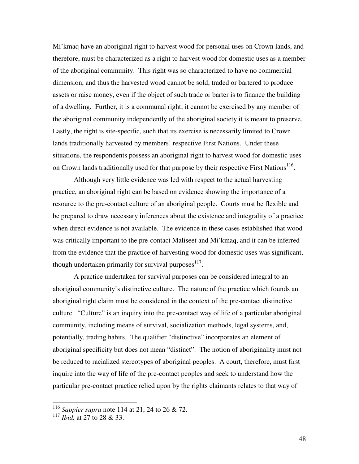Mi'kmaq have an aboriginal right to harvest wood for personal uses on Crown lands, and therefore, must be characterized as a right to harvest wood for domestic uses as a member of the aboriginal community. This right was so characterized to have no commercial dimension, and thus the harvested wood cannot be sold, traded or bartered to produce assets or raise money, even if the object of such trade or barter is to finance the building of a dwelling. Further, it is a communal right; it cannot be exercised by any member of the aboriginal community independently of the aboriginal society it is meant to preserve. Lastly, the right is site-specific, such that its exercise is necessarily limited to Crown lands traditionally harvested by members' respective First Nations. Under these situations, the respondents possess an aboriginal right to harvest wood for domestic uses on Crown lands traditionally used for that purpose by their respective First Nations $^{116}$ .

 Although very little evidence was led with respect to the actual harvesting practice, an aboriginal right can be based on evidence showing the importance of a resource to the pre-contact culture of an aboriginal people. Courts must be flexible and be prepared to draw necessary inferences about the existence and integrality of a practice when direct evidence is not available. The evidence in these cases established that wood was critically important to the pre-contact Maliseet and Mi'kmaq, and it can be inferred from the evidence that the practice of harvesting wood for domestic uses was significant, though undertaken primarily for survival purposes $117$ .

A practice undertaken for survival purposes can be considered integral to an aboriginal community's distinctive culture. The nature of the practice which founds an aboriginal right claim must be considered in the context of the pre-contact distinctive culture. "Culture" is an inquiry into the pre-contact way of life of a particular aboriginal community, including means of survival, socialization methods, legal systems, and, potentially, trading habits. The qualifier "distinctive" incorporates an element of aboriginal specificity but does not mean "distinct". The notion of aboriginality must not be reduced to racialized stereotypes of aboriginal peoples. A court, therefore, must first inquire into the way of life of the pre-contact peoples and seek to understand how the particular pre-contact practice relied upon by the rights claimants relates to that way of

<sup>116</sup> *Sappier supra* note 114 at 21, 24 to 26 & 72.

<sup>117</sup> *Ibid.* at 27 to 28 & 33.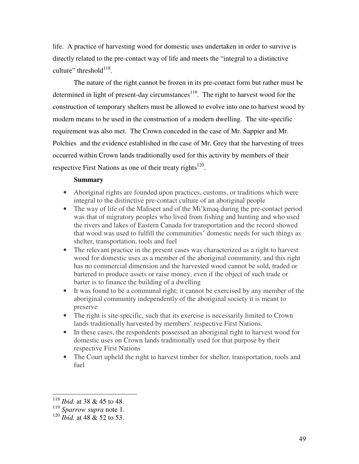life. A practice of harvesting wood for domestic uses undertaken in order to survive is directly related to the pre-contact way of life and meets the "integral to a distinctive culture" threshold $^{118}$ .

The nature of the right cannot be frozen in its pre-contact form but rather must be determined in light of present-day circumstances<sup>119</sup>. The right to harvest wood for the construction of temporary shelters must be allowed to evolve into one to harvest wood by modern means to be used in the construction of a modern dwelling. The site-specific requirement was also met. The Crown conceded in the case of Mr. Sappier and Mr. Polchies and the evidence established in the case of Mr. Grey that the harvesting of trees occurred within Crown lands traditionally used for this activity by members of their respective First Nations as one of their treaty rights $120$ .

### **Summary**

- Aboriginal rights are founded upon practices, customs, or traditions which were integral to the distinctive pre-contact culture of an aboriginal people
- The way of life of the Maliseet and of the Mi'kmaq during the pre-contact period was that of migratory peoples who lived from fishing and hunting and who used the rivers and lakes of Eastern Canada for transportation and the record showed that wood was used to fulfill the communities' domestic needs for such things as shelter, transportation, tools and fuel
- The relevant practice in the present cases was characterized as a right to harvest wood for domestic uses as a member of the aboriginal community, and this right has no commercial dimension and the harvested wood cannot be sold, traded or bartered to produce assets or raise money, even if the object of such trade or barter is to finance the building of a dwelling
- It was found to be a communal right; it cannot be exercised by any member of the aboriginal community independently of the aboriginal society it is meant to preserve
- The right is site-specific, such that its exercise is necessarily limited to Crown lands traditionally harvested by members' respective First Nations.
- In these cases, the respondents possessed an aboriginal right to harvest wood for domestic uses on Crown lands traditionally used for that purpose by their respective First Nations
- The Court upheld the right to harvest timber for shelter, transportation, tools and fuel

<sup>118</sup> *Ibid.* at 38 & 45 to 48.

<sup>119</sup> *Sparrow supra* note 1.

<sup>120</sup> *Ibid.* at 48 & 52 to 53.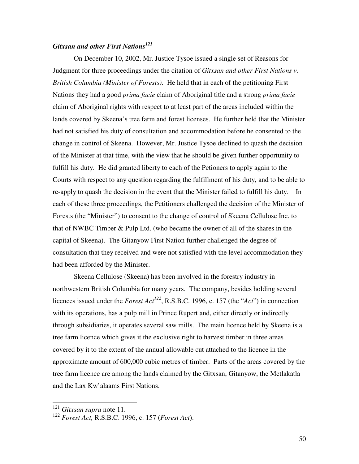## *Gitxsan and other First Nations<sup>121</sup>*

On December 10, 2002, Mr. Justice Tysoe issued a single set of Reasons for Judgment for three proceedings under the citation of *Gitxsan and other First Nations v. British Columbia (Minister of Forests)*. He held that in each of the petitioning First Nations they had a good *prima facie* claim of Aboriginal title and a strong *prima facie* claim of Aboriginal rights with respect to at least part of the areas included within the lands covered by Skeena's tree farm and forest licenses. He further held that the Minister had not satisfied his duty of consultation and accommodation before he consented to the change in control of Skeena. However, Mr. Justice Tysoe declined to quash the decision of the Minister at that time, with the view that he should be given further opportunity to fulfill his duty. He did granted liberty to each of the Petioners to apply again to the Courts with respect to any question regarding the fulfillment of his duty, and to be able to re-apply to quash the decision in the event that the Minister failed to fulfill his duty. In each of these three proceedings, the Petitioners challenged the decision of the Minister of Forests (the "Minister") to consent to the change of control of Skeena Cellulose Inc. to that of NWBC Timber & Pulp Ltd. (who became the owner of all of the shares in the capital of Skeena). The Gitanyow First Nation further challenged the degree of consultation that they received and were not satisfied with the level accommodation they had been afforded by the Minister.

Skeena Cellulose (Skeena) has been involved in the forestry industry in northwestern British Columbia for many years. The company, besides holding several licences issued under the *Forest Act<sup>122</sup>*, R.S.B.C. 1996, c. 157 (the "*Act*") in connection with its operations, has a pulp mill in Prince Rupert and, either directly or indirectly through subsidiaries, it operates several saw mills. The main licence held by Skeena is a tree farm licence which gives it the exclusive right to harvest timber in three areas covered by it to the extent of the annual allowable cut attached to the licence in the approximate amount of 600,000 cubic metres of timber. Parts of the areas covered by the tree farm licence are among the lands claimed by the Gitxsan, Gitanyow, the Metlakatla and the Lax Kw'alaams First Nations.

<sup>121</sup> *Gitxsan supra* note 11.

<sup>122</sup> *Forest Act,* R.S.B.C. 1996, c. 157 (*Forest Act*).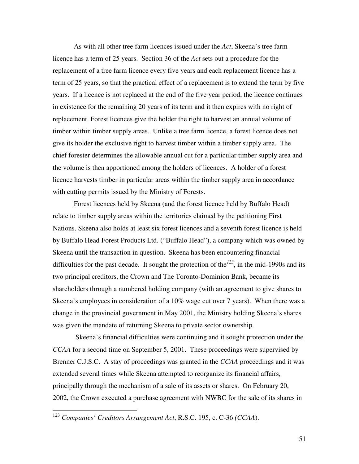As with all other tree farm licences issued under the *Act*, Skeena's tree farm licence has a term of 25 years. Section 36 of the *Act* sets out a procedure for the replacement of a tree farm licence every five years and each replacement licence has a term of 25 years, so that the practical effect of a replacement is to extend the term by five years. If a licence is not replaced at the end of the five year period, the licence continues in existence for the remaining 20 years of its term and it then expires with no right of replacement. Forest licences give the holder the right to harvest an annual volume of timber within timber supply areas. Unlike a tree farm licence, a forest licence does not give its holder the exclusive right to harvest timber within a timber supply area. The chief forester determines the allowable annual cut for a particular timber supply area and the volume is then apportioned among the holders of licences. A holder of a forest licence harvests timber in particular areas within the timber supply area in accordance with cutting permits issued by the Ministry of Forests.

Forest licences held by Skeena (and the forest licence held by Buffalo Head) relate to timber supply areas within the territories claimed by the petitioning First Nations. Skeena also holds at least six forest licences and a seventh forest licence is held by Buffalo Head Forest Products Ltd. ("Buffalo Head"), a company which was owned by Skeena until the transaction in question. Skeena has been encountering financial difficulties for the past decade. It sought the protection of the*<sup>123</sup>*, in the mid-1990s and its two principal creditors, the Crown and The Toronto-Dominion Bank, became its shareholders through a numbered holding company (with an agreement to give shares to Skeena's employees in consideration of a 10% wage cut over 7 years). When there was a change in the provincial government in May 2001, the Ministry holding Skeena's shares was given the mandate of returning Skeena to private sector ownership.

 Skeena's financial difficulties were continuing and it sought protection under the *CCAA* for a second time on September 5, 2001. These proceedings were supervised by Brenner C.J.S.C. A stay of proceedings was granted in the *CCAA* proceedings and it was extended several times while Skeena attempted to reorganize its financial affairs, principally through the mechanism of a sale of its assets or shares. On February 20, 2002, the Crown executed a purchase agreement with NWBC for the sale of its shares in

<sup>123</sup> *Companies' Creditors Arrangement Act*, R.S.C. 195, c. C-36 *(CCAA*).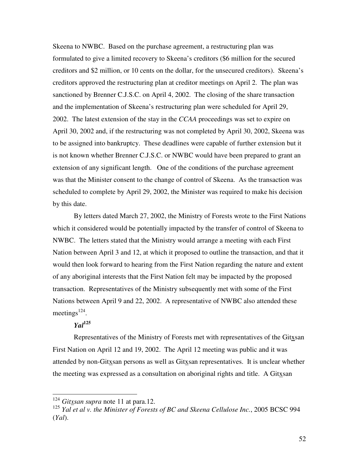Skeena to NWBC. Based on the purchase agreement, a restructuring plan was formulated to give a limited recovery to Skeena's creditors (\$6 million for the secured creditors and \$2 million, or 10 cents on the dollar, for the unsecured creditors). Skeena's creditors approved the restructuring plan at creditor meetings on April 2. The plan was sanctioned by Brenner C.J.S.C. on April 4, 2002. The closing of the share transaction and the implementation of Skeena's restructuring plan were scheduled for April 29, 2002. The latest extension of the stay in the *CCAA* proceedings was set to expire on April 30, 2002 and, if the restructuring was not completed by April 30, 2002, Skeena was to be assigned into bankruptcy. These deadlines were capable of further extension but it is not known whether Brenner C.J.S.C. or NWBC would have been prepared to grant an extension of any significant length. One of the conditions of the purchase agreement was that the Minister consent to the change of control of Skeena. As the transaction was scheduled to complete by April 29, 2002, the Minister was required to make his decision by this date.

By letters dated March 27, 2002, the Ministry of Forests wrote to the First Nations which it considered would be potentially impacted by the transfer of control of Skeena to NWBC. The letters stated that the Ministry would arrange a meeting with each First Nation between April 3 and 12, at which it proposed to outline the transaction, and that it would then look forward to hearing from the First Nation regarding the nature and extent of any aboriginal interests that the First Nation felt may be impacted by the proposed transaction. Representatives of the Ministry subsequently met with some of the First Nations between April 9 and 22, 2002. A representative of NWBC also attended these meetings $^{124}$ .

# *Yal***<sup>125</sup>**

 $\overline{a}$ 

Representatives of the Ministry of Forests met with representatives of the Gitxsan First Nation on April 12 and 19, 2002. The April 12 meeting was public and it was attended by non-Gitxsan persons as well as Gitxsan representatives. It is unclear whether the meeting was expressed as a consultation on aboriginal rights and title. A Gitxsan

<sup>124</sup> *Gitxsan supra* note 11 at para.12.

<sup>&</sup>lt;sup>125</sup> *Yal et al v. the Minister of Forests of BC and Skeena Cellulose Inc.*, 2005 BCSC 994 (*Yal*).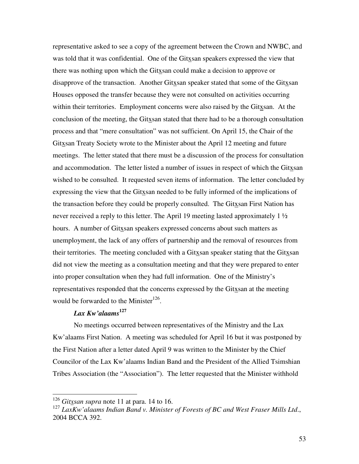representative asked to see a copy of the agreement between the Crown and NWBC, and was told that it was confidential. One of the Gitxsan speakers expressed the view that there was nothing upon which the Gitxsan could make a decision to approve or disapprove of the transaction. Another Gitxsan speaker stated that some of the Gitxsan Houses opposed the transfer because they were not consulted on activities occurring within their territories. Employment concerns were also raised by the Gitxsan. At the conclusion of the meeting, the Gitxsan stated that there had to be a thorough consultation process and that "mere consultation" was not sufficient. On April 15, the Chair of the Gitxsan Treaty Society wrote to the Minister about the April 12 meeting and future meetings. The letter stated that there must be a discussion of the process for consultation and accommodation. The letter listed a number of issues in respect of which the Gitxsan wished to be consulted. It requested seven items of information. The letter concluded by expressing the view that the Gitxsan needed to be fully informed of the implications of the transaction before they could be properly consulted. The Gitxsan First Nation has never received a reply to this letter. The April 19 meeting lasted approximately 1 ½ hours. A number of Gitxsan speakers expressed concerns about such matters as unemployment, the lack of any offers of partnership and the removal of resources from their territories. The meeting concluded with a Gitxsan speaker stating that the Gitxsan did not view the meeting as a consultation meeting and that they were prepared to enter into proper consultation when they had full information. One of the Ministry's representatives responded that the concerns expressed by the Gitxsan at the meeting would be forwarded to the Minister<sup>126</sup>.

## *Lax Kw'alaams***<sup>127</sup>**

No meetings occurred between representatives of the Ministry and the Lax Kw'alaams First Nation. A meeting was scheduled for April 16 but it was postponed by the First Nation after a letter dated April 9 was written to the Minister by the Chief Councilor of the Lax Kw'alaams Indian Band and the President of the Allied Tsimshian Tribes Association (the "Association"). The letter requested that the Minister withhold

<sup>126</sup> *Gitxsan supra* note 11 at para. 14 to 16.

<sup>127</sup> *LaxKw'alaams Indian Band v. Minister of Forests of BC and West Fraser Mills Ltd*., 2004 BCCA 392.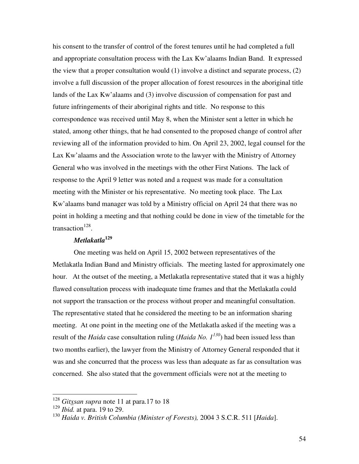his consent to the transfer of control of the forest tenures until he had completed a full and appropriate consultation process with the Lax Kw'alaams Indian Band. It expressed the view that a proper consultation would (1) involve a distinct and separate process, (2) involve a full discussion of the proper allocation of forest resources in the aboriginal title lands of the Lax Kw'alaams and (3) involve discussion of compensation for past and future infringements of their aboriginal rights and title. No response to this correspondence was received until May 8, when the Minister sent a letter in which he stated, among other things, that he had consented to the proposed change of control after reviewing all of the information provided to him. On April 23, 2002, legal counsel for the Lax Kw'alaams and the Association wrote to the lawyer with the Ministry of Attorney General who was involved in the meetings with the other First Nations. The lack of response to the April 9 letter was noted and a request was made for a consultation meeting with the Minister or his representative. No meeting took place. The Lax Kw'alaams band manager was told by a Ministry official on April 24 that there was no point in holding a meeting and that nothing could be done in view of the timetable for the transaction $^{128}$ .

# *Metlakatla***<sup>129</sup>**

One meeting was held on April 15, 2002 between representatives of the Metlakatla Indian Band and Ministry officials. The meeting lasted for approximately one hour. At the outset of the meeting, a Metlakatla representative stated that it was a highly flawed consultation process with inadequate time frames and that the Metlakatla could not support the transaction or the process without proper and meaningful consultation. The representative stated that he considered the meeting to be an information sharing meeting. At one point in the meeting one of the Metlakatla asked if the meeting was a result of the *Haida* case consultation ruling (*Haida No. 1<sup>130</sup>*) had been issued less than two months earlier), the lawyer from the Ministry of Attorney General responded that it was and she concurred that the process was less than adequate as far as consultation was concerned. She also stated that the government officials were not at the meeting to

 $\overline{a}$ 

54

<sup>128</sup> *Gitxsan supra* note 11 at para.17 to 18

<sup>129</sup> *Ibid.* at para. 19 to 29.

<sup>130</sup> *Haida v. British Columbia (Minister of Forests),* 2004 3 S.C.R. 511 [*Haida*].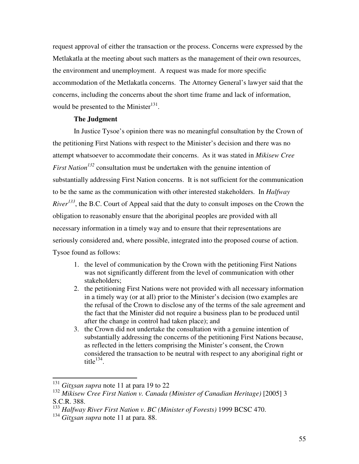request approval of either the transaction or the process. Concerns were expressed by the Metlakatla at the meeting about such matters as the management of their own resources, the environment and unemployment. A request was made for more specific accommodation of the Metlakatla concerns. The Attorney General's lawyer said that the concerns, including the concerns about the short time frame and lack of information, would be presented to the Minister $^{131}$ .

## **The Judgment**

In Justice Tysoe's opinion there was no meaningful consultation by the Crown of the petitioning First Nations with respect to the Minister's decision and there was no attempt whatsoever to accommodate their concerns. As it was stated in *Mikisew Cree First Nation<sup>132</sup>* consultation must be undertaken with the genuine intention of substantially addressing First Nation concerns. It is not sufficient for the communication to be the same as the communication with other interested stakeholders. In *Halfway River*<sup>133</sup>, the B.C. Court of Appeal said that the duty to consult imposes on the Crown the obligation to reasonably ensure that the aboriginal peoples are provided with all necessary information in a timely way and to ensure that their representations are seriously considered and, where possible, integrated into the proposed course of action. Tysoe found as follows:

- 1. the level of communication by the Crown with the petitioning First Nations was not significantly different from the level of communication with other stakeholders;
- 2. the petitioning First Nations were not provided with all necessary information in a timely way (or at all) prior to the Minister's decision (two examples are the refusal of the Crown to disclose any of the terms of the sale agreement and the fact that the Minister did not require a business plan to be produced until after the change in control had taken place); and
- 3. the Crown did not undertake the consultation with a genuine intention of substantially addressing the concerns of the petitioning First Nations because, as reflected in the letters comprising the Minister's consent, the Crown considered the transaction to be neutral with respect to any aboriginal right or title $^{134}$ .

<sup>131</sup> *Gitxsan supra* note 11 at para 19 to 22

<sup>132</sup> *Mikisew Cree First Nation v. Canada (Minister of Canadian Heritage)* [2005] 3 S.C.R. 388.

<sup>133</sup> *Halfway River First Nation v. BC (Minister of Forests)* 1999 BCSC 470.

<sup>134</sup> *Gitxsan supra* note 11 at para. 88.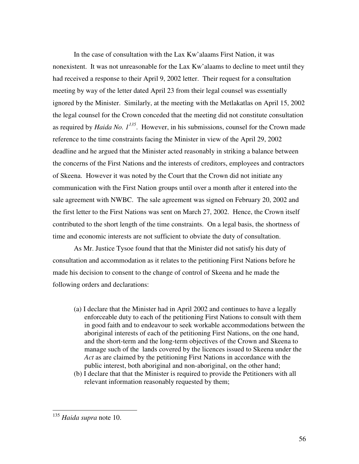In the case of consultation with the Lax Kw'alaams First Nation, it was nonexistent. It was not unreasonable for the Lax Kw'alaams to decline to meet until they had received a response to their April 9, 2002 letter. Their request for a consultation meeting by way of the letter dated April 23 from their legal counsel was essentially ignored by the Minister. Similarly, at the meeting with the Metlakatlas on April 15, 2002 the legal counsel for the Crown conceded that the meeting did not constitute consultation as required by *Haida No.*  $1^{135}$ . However, in his submissions, counsel for the Crown made reference to the time constraints facing the Minister in view of the April 29, 2002 deadline and he argued that the Minister acted reasonably in striking a balance between the concerns of the First Nations and the interests of creditors, employees and contractors of Skeena. However it was noted by the Court that the Crown did not initiate any communication with the First Nation groups until over a month after it entered into the sale agreement with NWBC. The sale agreement was signed on February 20, 2002 and the first letter to the First Nations was sent on March 27, 2002. Hence, the Crown itself contributed to the short length of the time constraints. On a legal basis, the shortness of time and economic interests are not sufficient to obviate the duty of consultation.

As Mr. Justice Tysoe found that that the Minister did not satisfy his duty of consultation and accommodation as it relates to the petitioning First Nations before he made his decision to consent to the change of control of Skeena and he made the following orders and declarations:

- (a) I declare that the Minister had in April 2002 and continues to have a legally enforceable duty to each of the petitioning First Nations to consult with them in good faith and to endeavour to seek workable accommodations between the aboriginal interests of each of the petitioning First Nations, on the one hand, and the short-term and the long-term objectives of the Crown and Skeena to manage such of the lands covered by the licences issued to Skeena under the *Act* as are claimed by the petitioning First Nations in accordance with the public interest, both aboriginal and non-aboriginal, on the other hand;
- (b) I declare that that the Minister is required to provide the Petitioners with all relevant information reasonably requested by them;

<sup>135</sup> *Haida supra* note 10.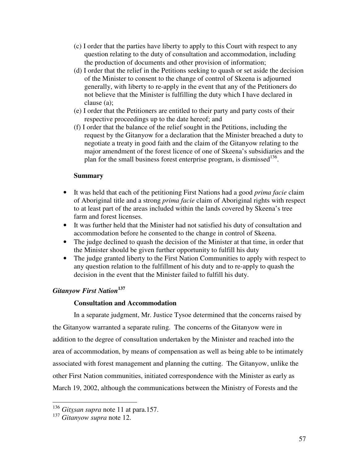- (c) I order that the parties have liberty to apply to this Court with respect to any question relating to the duty of consultation and accommodation, including the production of documents and other provision of information;
- (d) I order that the relief in the Petitions seeking to quash or set aside the decision of the Minister to consent to the change of control of Skeena is adjourned generally, with liberty to re-apply in the event that any of the Petitioners do not believe that the Minister is fulfilling the duty which I have declared in clause (a);
- (e) I order that the Petitioners are entitled to their party and party costs of their respective proceedings up to the date hereof; and
- (f) I order that the balance of the relief sought in the Petitions, including the request by the Gitanyow for a declaration that the Minister breached a duty to negotiate a treaty in good faith and the claim of the Gitanyow relating to the major amendment of the forest licence of one of Skeena's subsidiaries and the plan for the small business forest enterprise program, is dismissed $136$ .

## **Summary**

- It was held that each of the petitioning First Nations had a good *prima facie* claim of Aboriginal title and a strong *prima facie* claim of Aboriginal rights with respect to at least part of the areas included within the lands covered by Skeena's tree farm and forest licenses.
- It was further held that the Minister had not satisfied his duty of consultation and accommodation before he consented to the change in control of Skeena.
- The judge declined to quash the decision of the Minister at that time, in order that the Minister should be given further opportunity to fulfill his duty
- The judge granted liberty to the First Nation Communities to apply with respect to any question relation to the fulfillment of his duty and to re-apply to quash the decision in the event that the Minister failed to fulfill his duty.

# *Gitanyow First Nation***<sup>137</sup>**

# **Consultation and Accommodation**

In a separate judgment, Mr. Justice Tysoe determined that the concerns raised by the Gitanyow warranted a separate ruling. The concerns of the Gitanyow were in addition to the degree of consultation undertaken by the Minister and reached into the area of accommodation, by means of compensation as well as being able to be intimately associated with forest management and planning the cutting. The Gitanyow, unlike the other First Nation communities, initiated correspondence with the Minister as early as March 19, 2002, although the communications between the Ministry of Forests and the

<sup>136</sup> *Gitxsan supra* note 11 at para.157.

<sup>137</sup> *Gitanyow supra* note 12.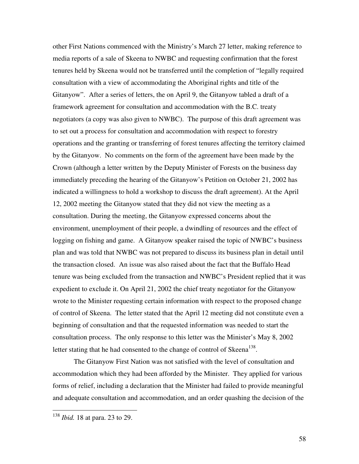other First Nations commenced with the Ministry's March 27 letter, making reference to media reports of a sale of Skeena to NWBC and requesting confirmation that the forest tenures held by Skeena would not be transferred until the completion of "legally required consultation with a view of accommodating the Aboriginal rights and title of the Gitanyow". After a series of letters, the on April 9, the Gitanyow tabled a draft of a framework agreement for consultation and accommodation with the B.C. treaty negotiators (a copy was also given to NWBC). The purpose of this draft agreement was to set out a process for consultation and accommodation with respect to forestry operations and the granting or transferring of forest tenures affecting the territory claimed by the Gitanyow. No comments on the form of the agreement have been made by the Crown (although a letter written by the Deputy Minister of Forests on the business day immediately preceding the hearing of the Gitanyow's Petition on October 21, 2002 has indicated a willingness to hold a workshop to discuss the draft agreement). At the April 12, 2002 meeting the Gitanyow stated that they did not view the meeting as a consultation. During the meeting, the Gitanyow expressed concerns about the environment, unemployment of their people, a dwindling of resources and the effect of logging on fishing and game. A Gitanyow speaker raised the topic of NWBC's business plan and was told that NWBC was not prepared to discuss its business plan in detail until the transaction closed. An issue was also raised about the fact that the Buffalo Head tenure was being excluded from the transaction and NWBC's President replied that it was expedient to exclude it. On April 21, 2002 the chief treaty negotiator for the Gitanyow wrote to the Minister requesting certain information with respect to the proposed change of control of Skeena. The letter stated that the April 12 meeting did not constitute even a beginning of consultation and that the requested information was needed to start the consultation process. The only response to this letter was the Minister's May 8, 2002 letter stating that he had consented to the change of control of Skeena<sup>138</sup>.

The Gitanyow First Nation was not satisfied with the level of consultation and accommodation which they had been afforded by the Minister. They applied for various forms of relief, including a declaration that the Minister had failed to provide meaningful and adequate consultation and accommodation, and an order quashing the decision of the

<sup>138</sup> *Ibid.* 18 at para. 23 to 29.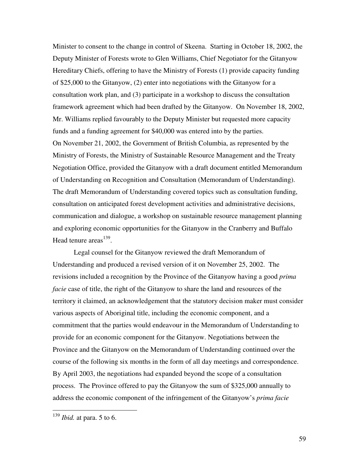Minister to consent to the change in control of Skeena. Starting in October 18, 2002, the Deputy Minister of Forests wrote to Glen Williams, Chief Negotiator for the Gitanyow Hereditary Chiefs, offering to have the Ministry of Forests (1) provide capacity funding of \$25,000 to the Gitanyow, (2) enter into negotiations with the Gitanyow for a consultation work plan, and (3) participate in a workshop to discuss the consultation framework agreement which had been drafted by the Gitanyow. On November 18, 2002, Mr. Williams replied favourably to the Deputy Minister but requested more capacity funds and a funding agreement for \$40,000 was entered into by the parties. On November 21, 2002, the Government of British Columbia, as represented by the Ministry of Forests, the Ministry of Sustainable Resource Management and the Treaty Negotiation Office, provided the Gitanyow with a draft document entitled Memorandum of Understanding on Recognition and Consultation (Memorandum of Understanding). The draft Memorandum of Understanding covered topics such as consultation funding, consultation on anticipated forest development activities and administrative decisions, communication and dialogue, a workshop on sustainable resource management planning and exploring economic opportunities for the Gitanyow in the Cranberry and Buffalo Head tenure  $\arccos^{139}$ .

Legal counsel for the Gitanyow reviewed the draft Memorandum of Understanding and produced a revised version of it on November 25, 2002. The revisions included a recognition by the Province of the Gitanyow having a good *prima facie* case of title, the right of the Gitanyow to share the land and resources of the territory it claimed, an acknowledgement that the statutory decision maker must consider various aspects of Aboriginal title, including the economic component, and a commitment that the parties would endeavour in the Memorandum of Understanding to provide for an economic component for the Gitanyow. Negotiations between the Province and the Gitanyow on the Memorandum of Understanding continued over the course of the following six months in the form of all day meetings and correspondence. By April 2003, the negotiations had expanded beyond the scope of a consultation process. The Province offered to pay the Gitanyow the sum of \$325,000 annually to address the economic component of the infringement of the Gitanyow's *prima facie*

<sup>139</sup> *Ibid.* at para. 5 to 6.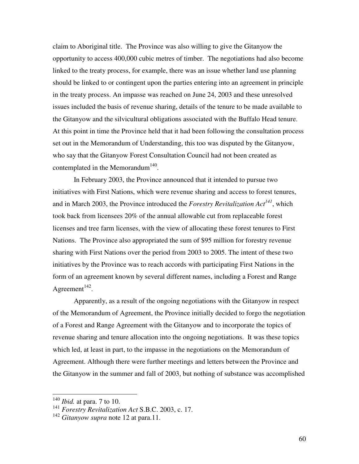claim to Aboriginal title. The Province was also willing to give the Gitanyow the opportunity to access 400,000 cubic metres of timber. The negotiations had also become linked to the treaty process, for example, there was an issue whether land use planning should be linked to or contingent upon the parties entering into an agreement in principle in the treaty process. An impasse was reached on June 24, 2003 and these unresolved issues included the basis of revenue sharing, details of the tenure to be made available to the Gitanyow and the silvicultural obligations associated with the Buffalo Head tenure. At this point in time the Province held that it had been following the consultation process set out in the Memorandum of Understanding, this too was disputed by the Gitanyow, who say that the Gitanyow Forest Consultation Council had not been created as contemplated in the Memorandum<sup>140</sup>.

In February 2003, the Province announced that it intended to pursue two initiatives with First Nations, which were revenue sharing and access to forest tenures, and in March 2003, the Province introduced the *Forestry Revitalization Act<sup>141</sup>*, which took back from licensees 20% of the annual allowable cut from replaceable forest licenses and tree farm licenses, with the view of allocating these forest tenures to First Nations. The Province also appropriated the sum of \$95 million for forestry revenue sharing with First Nations over the period from 2003 to 2005. The intent of these two initiatives by the Province was to reach accords with participating First Nations in the form of an agreement known by several different names, including a Forest and Range Agreement $142$ .

Apparently, as a result of the ongoing negotiations with the Gitanyow in respect of the Memorandum of Agreement, the Province initially decided to forgo the negotiation of a Forest and Range Agreement with the Gitanyow and to incorporate the topics of revenue sharing and tenure allocation into the ongoing negotiations. It was these topics which led, at least in part, to the impasse in the negotiations on the Memorandum of Agreement. Although there were further meetings and letters between the Province and the Gitanyow in the summer and fall of 2003, but nothing of substance was accomplished

l

<sup>140</sup> *Ibid.* at para. 7 to 10.

<sup>141</sup> *Forestry Revitalization Act* S.B.C. 2003, c. 17.

<sup>142</sup> *Gitanyow supra* note 12 at para.11.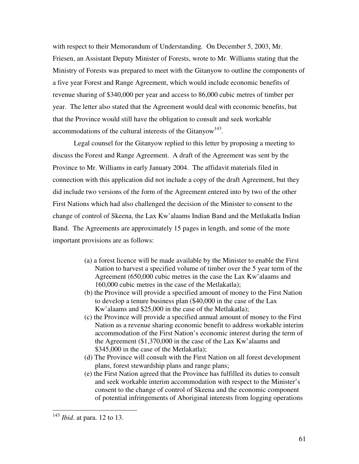with respect to their Memorandum of Understanding. On December 5, 2003, Mr. Friesen, an Assistant Deputy Minister of Forests, wrote to Mr. Williams stating that the Ministry of Forests was prepared to meet with the Gitanyow to outline the components of a five year Forest and Range Agreement, which would include economic benefits of revenue sharing of \$340,000 per year and access to 86,000 cubic metres of timber per year. The letter also stated that the Agreement would deal with economic benefits, but that the Province would still have the obligation to consult and seek workable accommodations of the cultural interests of the Gitanyow<sup>143</sup>.

Legal counsel for the Gitanyow replied to this letter by proposing a meeting to discuss the Forest and Range Agreement. A draft of the Agreement was sent by the Province to Mr. Williams in early January 2004. The affidavit materials filed in connection with this application did not include a copy of the draft Agreement, but they did include two versions of the form of the Agreement entered into by two of the other First Nations which had also challenged the decision of the Minister to consent to the change of control of Skeena, the Lax Kw'alaams Indian Band and the Metlakatla Indian Band. The Agreements are approximately 15 pages in length, and some of the more important provisions are as follows:

- (a) a forest licence will be made available by the Minister to enable the First Nation to harvest a specified volume of timber over the 5 year term of the Agreement (650,000 cubic metres in the case the Lax Kw'alaams and 160,000 cubic metres in the case of the Metlakatla);
- (b) the Province will provide a specified amount of money to the First Nation to develop a tenure business plan (\$40,000 in the case of the Lax Kw'alaams and \$25,000 in the case of the Metlakatla);
- (c) the Province will provide a specified annual amount of money to the First Nation as a revenue sharing economic benefit to address workable interim accommodation of the First Nation's economic interest during the term of the Agreement (\$1,370,000 in the case of the Lax Kw'alaams and \$345,000 in the case of the Metlakatla);
- (d) The Province will consult with the First Nation on all forest development plans, forest stewardship plans and range plans;
- (e) the First Nation agreed that the Province has fulfilled its duties to consult and seek workable interim accommodation with respect to the Minister's consent to the change of control of Skeena and the economic component of potential infringements of Aboriginal interests from logging operations

<sup>143</sup> *Ibid*. at para. 12 to 13.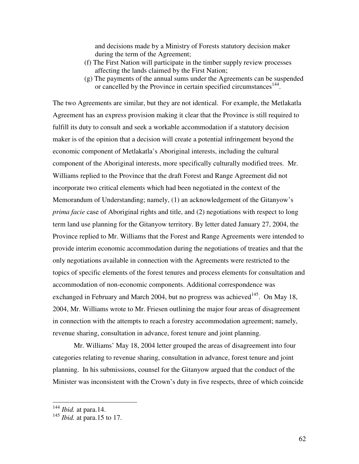and decisions made by a Ministry of Forests statutory decision maker during the term of the Agreement;

- (f) The First Nation will participate in the timber supply review processes affecting the lands claimed by the First Nation;
- (g) The payments of the annual sums under the Agreements can be suspended or cancelled by the Province in certain specified circumstances<sup>144</sup>.

The two Agreements are similar, but they are not identical. For example, the Metlakatla Agreement has an express provision making it clear that the Province is still required to fulfill its duty to consult and seek a workable accommodation if a statutory decision maker is of the opinion that a decision will create a potential infringement beyond the economic component of Metlakatla's Aboriginal interests, including the cultural component of the Aboriginal interests, more specifically culturally modified trees. Mr. Williams replied to the Province that the draft Forest and Range Agreement did not incorporate two critical elements which had been negotiated in the context of the Memorandum of Understanding; namely, (1) an acknowledgement of the Gitanyow's *prima facie* case of Aboriginal rights and title, and (2) negotiations with respect to long term land use planning for the Gitanyow territory. By letter dated January 27, 2004, the Province replied to Mr. Williams that the Forest and Range Agreements were intended to provide interim economic accommodation during the negotiations of treaties and that the only negotiations available in connection with the Agreements were restricted to the topics of specific elements of the forest tenures and process elements for consultation and accommodation of non-economic components. Additional correspondence was exchanged in February and March 2004, but no progress was achieved<sup>145</sup>. On May 18, 2004, Mr. Williams wrote to Mr. Friesen outlining the major four areas of disagreement in connection with the attempts to reach a forestry accommodation agreement; namely, revenue sharing, consultation in advance, forest tenure and joint planning.

Mr. Williams' May 18, 2004 letter grouped the areas of disagreement into four categories relating to revenue sharing, consultation in advance, forest tenure and joint planning. In his submissions, counsel for the Gitanyow argued that the conduct of the Minister was inconsistent with the Crown's duty in five respects, three of which coincide

<sup>144</sup> *Ibid.* at para.14.

<sup>145</sup> *Ibid.* at para.15 to 17.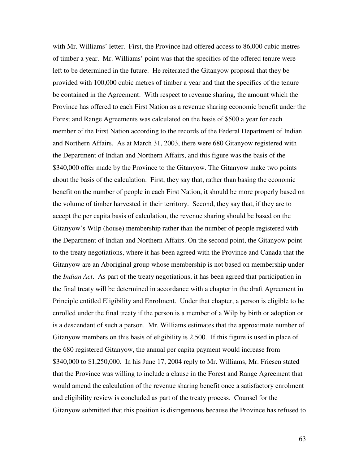with Mr. Williams' letter. First, the Province had offered access to 86,000 cubic metres of timber a year. Mr. Williams' point was that the specifics of the offered tenure were left to be determined in the future. He reiterated the Gitanyow proposal that they be provided with 100,000 cubic metres of timber a year and that the specifics of the tenure be contained in the Agreement. With respect to revenue sharing, the amount which the Province has offered to each First Nation as a revenue sharing economic benefit under the Forest and Range Agreements was calculated on the basis of \$500 a year for each member of the First Nation according to the records of the Federal Department of Indian and Northern Affairs. As at March 31, 2003, there were 680 Gitanyow registered with the Department of Indian and Northern Affairs, and this figure was the basis of the \$340,000 offer made by the Province to the Gitanyow. The Gitanyow make two points about the basis of the calculation. First, they say that, rather than basing the economic benefit on the number of people in each First Nation, it should be more properly based on the volume of timber harvested in their territory. Second, they say that, if they are to accept the per capita basis of calculation, the revenue sharing should be based on the Gitanyow's Wilp (house) membership rather than the number of people registered with the Department of Indian and Northern Affairs. On the second point, the Gitanyow point to the treaty negotiations, where it has been agreed with the Province and Canada that the Gitanyow are an Aboriginal group whose membership is not based on membership under the *Indian Act*. As part of the treaty negotiations, it has been agreed that participation in the final treaty will be determined in accordance with a chapter in the draft Agreement in Principle entitled Eligibility and Enrolment. Under that chapter, a person is eligible to be enrolled under the final treaty if the person is a member of a Wilp by birth or adoption or is a descendant of such a person. Mr. Williams estimates that the approximate number of Gitanyow members on this basis of eligibility is 2,500. If this figure is used in place of the 680 registered Gitanyow, the annual per capita payment would increase from \$340,000 to \$1,250,000. In his June 17, 2004 reply to Mr. Williams, Mr. Friesen stated that the Province was willing to include a clause in the Forest and Range Agreement that would amend the calculation of the revenue sharing benefit once a satisfactory enrolment and eligibility review is concluded as part of the treaty process. Counsel for the Gitanyow submitted that this position is disingenuous because the Province has refused to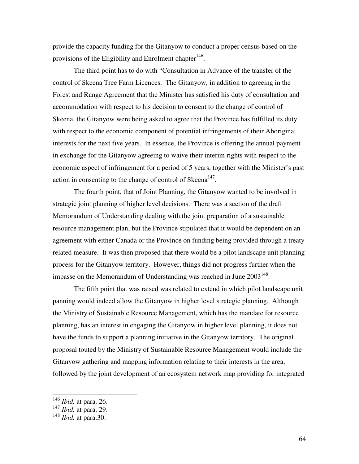provide the capacity funding for the Gitanyow to conduct a proper census based on the provisions of the Eligibility and Enrolment chapter<sup>146</sup>.

The third point has to do with "Consultation in Advance of the transfer of the control of Skeena Tree Farm Licences. The Gitanyow, in addition to agreeing in the Forest and Range Agreement that the Minister has satisfied his duty of consultation and accommodation with respect to his decision to consent to the change of control of Skeena, the Gitanyow were being asked to agree that the Province has fulfilled its duty with respect to the economic component of potential infringements of their Aboriginal interests for the next five years. In essence, the Province is offering the annual payment in exchange for the Gitanyow agreeing to waive their interim rights with respect to the economic aspect of infringement for a period of 5 years, together with the Minister's past action in consenting to the change of control of Skeena $147$ .

The fourth point, that of Joint Planning, the Gitanyow wanted to be involved in strategic joint planning of higher level decisions. There was a section of the draft Memorandum of Understanding dealing with the joint preparation of a sustainable resource management plan, but the Province stipulated that it would be dependent on an agreement with either Canada or the Province on funding being provided through a treaty related measure. It was then proposed that there would be a pilot landscape unit planning process for the Gitanyow territory. However, things did not progress further when the impasse on the Memorandum of Understanding was reached in June  $2003^{148}$ .

The fifth point that was raised was related to extend in which pilot landscape unit panning would indeed allow the Gitanyow in higher level strategic planning. Although the Ministry of Sustainable Resource Management, which has the mandate for resource planning, has an interest in engaging the Gitanyow in higher level planning, it does not have the funds to support a planning initiative in the Gitanyow territory. The original proposal touted by the Ministry of Sustainable Resource Management would include the Gitanyow gathering and mapping information relating to their interests in the area, followed by the joint development of an ecosystem network map providing for integrated

l

<sup>146</sup> *Ibid.* at para. 26.

<sup>147</sup> *Ibid.* at para. 29.

<sup>148</sup> *Ibid.* at para.30.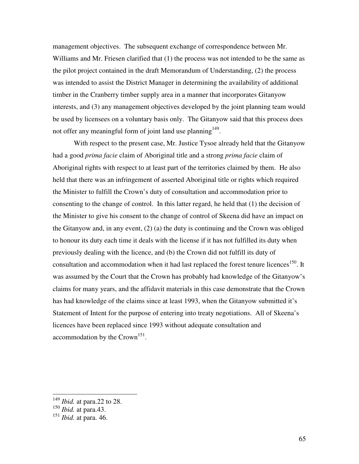management objectives. The subsequent exchange of correspondence between Mr. Williams and Mr. Friesen clarified that  $(1)$  the process was not intended to be the same as the pilot project contained in the draft Memorandum of Understanding, (2) the process was intended to assist the District Manager in determining the availability of additional timber in the Cranberry timber supply area in a manner that incorporates Gitanyow interests, and (3) any management objectives developed by the joint planning team would be used by licensees on a voluntary basis only. The Gitanyow said that this process does not offer any meaningful form of joint land use planning  $149$ .

With respect to the present case, Mr. Justice Tysoe already held that the Gitanyow had a good *prima facie* claim of Aboriginal title and a strong *prima facie* claim of Aboriginal rights with respect to at least part of the territories claimed by them. He also held that there was an infringement of asserted Aboriginal title or rights which required the Minister to fulfill the Crown's duty of consultation and accommodation prior to consenting to the change of control. In this latter regard, he held that (1) the decision of the Minister to give his consent to the change of control of Skeena did have an impact on the Gitanyow and, in any event, (2) (a) the duty is continuing and the Crown was obliged to honour its duty each time it deals with the license if it has not fulfilled its duty when previously dealing with the licence, and (b) the Crown did not fulfill its duty of consultation and accommodation when it had last replaced the forest tenure licences<sup>150</sup>. It was assumed by the Court that the Crown has probably had knowledge of the Gitanyow's claims for many years, and the affidavit materials in this case demonstrate that the Crown has had knowledge of the claims since at least 1993, when the Gitanyow submitted it's Statement of Intent for the purpose of entering into treaty negotiations. All of Skeena's licences have been replaced since 1993 without adequate consultation and accommodation by the  $Crown<sup>151</sup>$ .

l

<sup>149</sup> *Ibid.* at para.22 to 28.

<sup>150</sup> *Ibid.* at para.43.

<sup>151</sup> *Ibid.* at para. 46.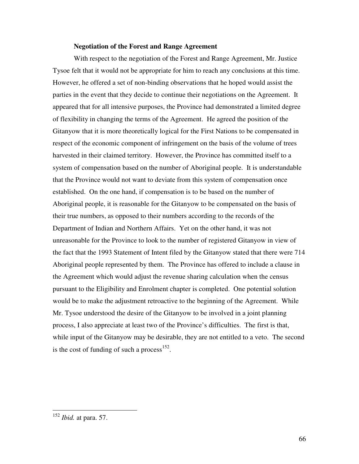## **Negotiation of the Forest and Range Agreement**

With respect to the negotiation of the Forest and Range Agreement, Mr. Justice Tysoe felt that it would not be appropriate for him to reach any conclusions at this time. However, he offered a set of non-binding observations that he hoped would assist the parties in the event that they decide to continue their negotiations on the Agreement. It appeared that for all intensive purposes, the Province had demonstrated a limited degree of flexibility in changing the terms of the Agreement. He agreed the position of the Gitanyow that it is more theoretically logical for the First Nations to be compensated in respect of the economic component of infringement on the basis of the volume of trees harvested in their claimed territory. However, the Province has committed itself to a system of compensation based on the number of Aboriginal people. It is understandable that the Province would not want to deviate from this system of compensation once established. On the one hand, if compensation is to be based on the number of Aboriginal people, it is reasonable for the Gitanyow to be compensated on the basis of their true numbers, as opposed to their numbers according to the records of the Department of Indian and Northern Affairs. Yet on the other hand, it was not unreasonable for the Province to look to the number of registered Gitanyow in view of the fact that the 1993 Statement of Intent filed by the Gitanyow stated that there were 714 Aboriginal people represented by them. The Province has offered to include a clause in the Agreement which would adjust the revenue sharing calculation when the census pursuant to the Eligibility and Enrolment chapter is completed. One potential solution would be to make the adjustment retroactive to the beginning of the Agreement. While Mr. Tysoe understood the desire of the Gitanyow to be involved in a joint planning process, I also appreciate at least two of the Province's difficulties. The first is that, while input of the Gitanyow may be desirable, they are not entitled to a veto. The second is the cost of funding of such a process<sup>152</sup>.

<sup>152</sup> *Ibid.* at para. 57.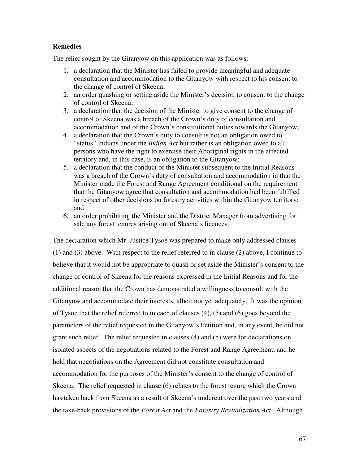## **Remedies**

The relief sought by the Gitanyow on this application was as follows:

- 1. a declaration that the Minister has failed to provide meaningful and adequate consultation and accommodation to the Gitanyow with respect to his consent to the change of control of Skeena;
- 2. an order quashing or setting aside the Minister's decision to consent to the change of control of Skeena;
- 3. a declaration that the decision of the Minister to give consent to the change of control of Skeena was a breach of the Crown's duty of consultation and accommodation and of the Crown's constitutional duties towards the Gitanyow;
- 4. a declaration that the Crown's duty to consult is not an obligation owed to "status" Indians under the *Indian Act* but rather is an obligation owed to all persons who have the right to exercise their Aboriginal rights in the affected territory and, in this case, is an obligation to the Gitanyow;
- 5. a declaration that the conduct of the Minister subsequent to the Initial Reasons was a breach of the Crown's duty of consultation and accommodation in that the Minister made the Forest and Range Agreement conditional on the requirement that the Gitanyow agree that consultation and accommodation had been fulfilled in respect of other decisions on forestry activities within the Gitanyow territory; and
- 6. an order prohibiting the Minister and the District Manager from advertising for sale any forest tenures arising out of Skeena's licences.

The declaration which Mr. Justice Tysoe was prepared to make only addressed clauses (1) and (3) above. With respect to the relief referred to in clause (2) above, I continue to believe that it would not be appropriate to quash or set aside the Minister's consent to the change of control of Skeena for the reasons expressed in the Initial Reasons and for the additional reason that the Crown has demonstrated a willingness to consult with the Gitanyow and accommodate their interests, albeit not yet adequately. It was the opinion of Tysoe that the relief referred to in each of clauses (4), (5) and (6) goes beyond the parameters of the relief requested in the Gitanyow's Petition and, in any event, he did not grant such relief. The relief requested in clauses (4) and (5) were for declarations on isolated aspects of the negotiations related to the Forest and Range Agreement, and he held that negotiations on the Agreement did not constitute consultation and accommodation for the purposes of the Minister's consent to the change of control of Skeena. The relief requested in clause (6) relates to the forest tenure which the Crown has taken back from Skeena as a result of Skeena's undercut over the past two years and the take-back provisions of the *Forest Act* and the *Forestry Revitalization Act*. Although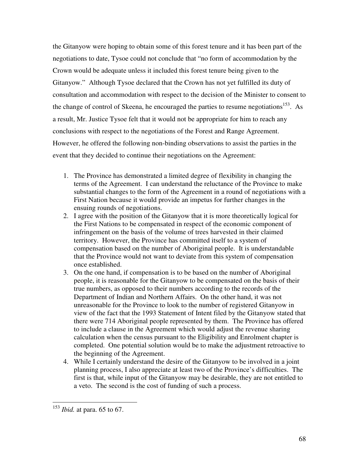the Gitanyow were hoping to obtain some of this forest tenure and it has been part of the negotiations to date, Tysoe could not conclude that "no form of accommodation by the Crown would be adequate unless it included this forest tenure being given to the Gitanyow." Although Tysoe declared that the Crown has not yet fulfilled its duty of consultation and accommodation with respect to the decision of the Minister to consent to the change of control of Skeena, he encouraged the parties to resume negotiations<sup>153</sup>. As a result, Mr. Justice Tysoe felt that it would not be appropriate for him to reach any conclusions with respect to the negotiations of the Forest and Range Agreement. However, he offered the following non-binding observations to assist the parties in the event that they decided to continue their negotiations on the Agreement:

- 1. The Province has demonstrated a limited degree of flexibility in changing the terms of the Agreement. I can understand the reluctance of the Province to make substantial changes to the form of the Agreement in a round of negotiations with a First Nation because it would provide an impetus for further changes in the ensuing rounds of negotiations.
- 2. I agree with the position of the Gitanyow that it is more theoretically logical for the First Nations to be compensated in respect of the economic component of infringement on the basis of the volume of trees harvested in their claimed territory. However, the Province has committed itself to a system of compensation based on the number of Aboriginal people. It is understandable that the Province would not want to deviate from this system of compensation once established.
- 3. On the one hand, if compensation is to be based on the number of Aboriginal people, it is reasonable for the Gitanyow to be compensated on the basis of their true numbers, as opposed to their numbers according to the records of the Department of Indian and Northern Affairs. On the other hand, it was not unreasonable for the Province to look to the number of registered Gitanyow in view of the fact that the 1993 Statement of Intent filed by the Gitanyow stated that there were 714 Aboriginal people represented by them. The Province has offered to include a clause in the Agreement which would adjust the revenue sharing calculation when the census pursuant to the Eligibility and Enrolment chapter is completed. One potential solution would be to make the adjustment retroactive to the beginning of the Agreement.
- 4. While I certainly understand the desire of the Gitanyow to be involved in a joint planning process, I also appreciate at least two of the Province's difficulties. The first is that, while input of the Gitanyow may be desirable, they are not entitled to a veto. The second is the cost of funding of such a process.

<sup>153</sup> *Ibid.* at para. 65 to 67.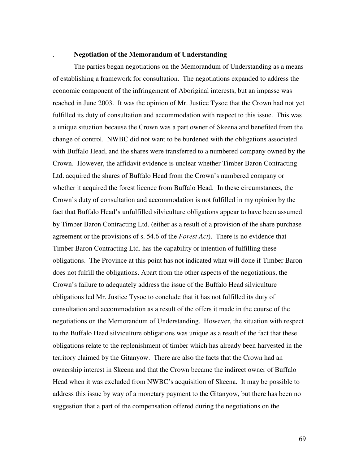### . **Negotiation of the Memorandum of Understanding**

The parties began negotiations on the Memorandum of Understanding as a means of establishing a framework for consultation. The negotiations expanded to address the economic component of the infringement of Aboriginal interests, but an impasse was reached in June 2003. It was the opinion of Mr. Justice Tysoe that the Crown had not yet fulfilled its duty of consultation and accommodation with respect to this issue. This was a unique situation because the Crown was a part owner of Skeena and benefited from the change of control. NWBC did not want to be burdened with the obligations associated with Buffalo Head, and the shares were transferred to a numbered company owned by the Crown. However, the affidavit evidence is unclear whether Timber Baron Contracting Ltd. acquired the shares of Buffalo Head from the Crown's numbered company or whether it acquired the forest licence from Buffalo Head. In these circumstances, the Crown's duty of consultation and accommodation is not fulfilled in my opinion by the fact that Buffalo Head's unfulfilled silviculture obligations appear to have been assumed by Timber Baron Contracting Ltd. (either as a result of a provision of the share purchase agreement or the provisions of s. 54.6 of the *Forest Act*). There is no evidence that Timber Baron Contracting Ltd. has the capability or intention of fulfilling these obligations. The Province at this point has not indicated what will done if Timber Baron does not fulfill the obligations. Apart from the other aspects of the negotiations, the Crown's failure to adequately address the issue of the Buffalo Head silviculture obligations led Mr. Justice Tysoe to conclude that it has not fulfilled its duty of consultation and accommodation as a result of the offers it made in the course of the negotiations on the Memorandum of Understanding. However, the situation with respect to the Buffalo Head silviculture obligations was unique as a result of the fact that these obligations relate to the replenishment of timber which has already been harvested in the territory claimed by the Gitanyow. There are also the facts that the Crown had an ownership interest in Skeena and that the Crown became the indirect owner of Buffalo Head when it was excluded from NWBC's acquisition of Skeena. It may be possible to address this issue by way of a monetary payment to the Gitanyow, but there has been no suggestion that a part of the compensation offered during the negotiations on the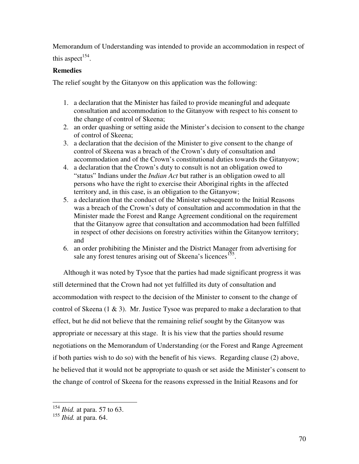Memorandum of Understanding was intended to provide an accommodation in respect of this aspect<sup>154</sup>.

# **Remedies**

The relief sought by the Gitanyow on this application was the following:

- 1. a declaration that the Minister has failed to provide meaningful and adequate consultation and accommodation to the Gitanyow with respect to his consent to the change of control of Skeena;
- 2. an order quashing or setting aside the Minister's decision to consent to the change of control of Skeena;
- 3. a declaration that the decision of the Minister to give consent to the change of control of Skeena was a breach of the Crown's duty of consultation and accommodation and of the Crown's constitutional duties towards the Gitanyow;
- 4. a declaration that the Crown's duty to consult is not an obligation owed to "status" Indians under the *Indian Act* but rather is an obligation owed to all persons who have the right to exercise their Aboriginal rights in the affected territory and, in this case, is an obligation to the Gitanyow;
- 5. a declaration that the conduct of the Minister subsequent to the Initial Reasons was a breach of the Crown's duty of consultation and accommodation in that the Minister made the Forest and Range Agreement conditional on the requirement that the Gitanyow agree that consultation and accommodation had been fulfilled in respect of other decisions on forestry activities within the Gitanyow territory; and
- 6. an order prohibiting the Minister and the District Manager from advertising for sale any forest tenures arising out of Skeena's licences<sup>155</sup>.

Although it was noted by Tysoe that the parties had made significant progress it was still determined that the Crown had not yet fulfilled its duty of consultation and accommodation with respect to the decision of the Minister to consent to the change of control of Skeena  $(1 \& 3)$ . Mr. Justice Tysoe was prepared to make a declaration to that effect, but he did not believe that the remaining relief sought by the Gitanyow was appropriate or necessary at this stage. It is his view that the parties should resume negotiations on the Memorandum of Understanding (or the Forest and Range Agreement if both parties wish to do so) with the benefit of his views. Regarding clause (2) above, he believed that it would not be appropriate to quash or set aside the Minister's consent to the change of control of Skeena for the reasons expressed in the Initial Reasons and for

<sup>154</sup> *Ibid.* at para. 57 to 63.

<sup>155</sup> *Ibid.* at para. 64.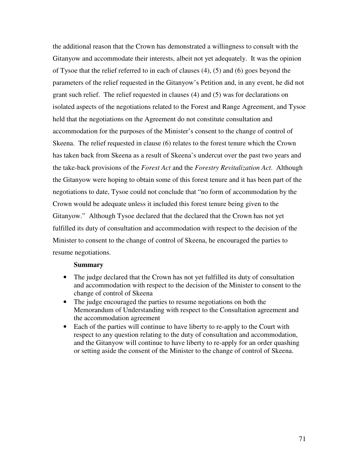the additional reason that the Crown has demonstrated a willingness to consult with the Gitanyow and accommodate their interests, albeit not yet adequately. It was the opinion of Tysoe that the relief referred to in each of clauses (4), (5) and (6) goes beyond the parameters of the relief requested in the Gitanyow's Petition and, in any event, he did not grant such relief. The relief requested in clauses (4) and (5) was for declarations on isolated aspects of the negotiations related to the Forest and Range Agreement, and Tysoe held that the negotiations on the Agreement do not constitute consultation and accommodation for the purposes of the Minister's consent to the change of control of Skeena. The relief requested in clause (6) relates to the forest tenure which the Crown has taken back from Skeena as a result of Skeena's undercut over the past two years and the take-back provisions of the *Forest Act* and the *Forestry Revitalization Act*. Although the Gitanyow were hoping to obtain some of this forest tenure and it has been part of the negotiations to date, Tysoe could not conclude that "no form of accommodation by the Crown would be adequate unless it included this forest tenure being given to the Gitanyow." Although Tysoe declared that the declared that the Crown has not yet fulfilled its duty of consultation and accommodation with respect to the decision of the Minister to consent to the change of control of Skeena, he encouraged the parties to resume negotiations.

#### **Summary**

- The judge declared that the Crown has not yet fulfilled its duty of consultation and accommodation with respect to the decision of the Minister to consent to the change of control of Skeena
- The judge encouraged the parties to resume negotiations on both the Memorandum of Understanding with respect to the Consultation agreement and the accommodation agreement
- Each of the parties will continue to have liberty to re-apply to the Court with respect to any question relating to the duty of consultation and accommodation, and the Gitanyow will continue to have liberty to re-apply for an order quashing or setting aside the consent of the Minister to the change of control of Skeena.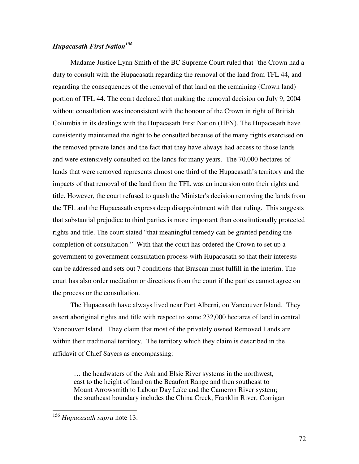# *Hupacasath First Nation<sup>156</sup>*

Madame Justice Lynn Smith of the BC Supreme Court ruled that "the Crown had a duty to consult with the Hupacasath regarding the removal of the land from TFL 44, and regarding the consequences of the removal of that land on the remaining (Crown land) portion of TFL 44. The court declared that making the removal decision on July 9, 2004 without consultation was inconsistent with the honour of the Crown in right of British Columbia in its dealings with the Hupacasath First Nation (HFN). The Hupacasath have consistently maintained the right to be consulted because of the many rights exercised on the removed private lands and the fact that they have always had access to those lands and were extensively consulted on the lands for many years. The 70,000 hectares of lands that were removed represents almost one third of the Hupacasath's territory and the impacts of that removal of the land from the TFL was an incursion onto their rights and title. However, the court refused to quash the Minister's decision removing the lands from the TFL and the Hupacasath express deep disappointment with that ruling. This suggests that substantial prejudice to third parties is more important than constitutionally protected rights and title. The court stated "that meaningful remedy can be granted pending the completion of consultation." With that the court has ordered the Crown to set up a government to government consultation process with Hupacasath so that their interests can be addressed and sets out 7 conditions that Brascan must fulfill in the interim. The court has also order mediation or directions from the court if the parties cannot agree on the process or the consultation.

The Hupacasath have always lived near Port Alberni, on Vancouver Island. They assert aboriginal rights and title with respect to some 232,000 hectares of land in central Vancouver Island. They claim that most of the privately owned Removed Lands are within their traditional territory. The territory which they claim is described in the affidavit of Chief Sayers as encompassing:

… the headwaters of the Ash and Elsie River systems in the northwest, east to the height of land on the Beaufort Range and then southeast to Mount Arrowsmith to Labour Day Lake and the Cameron River system; the southeast boundary includes the China Creek, Franklin River, Corrigan

<sup>156</sup> *Hupacasath supra* note 13.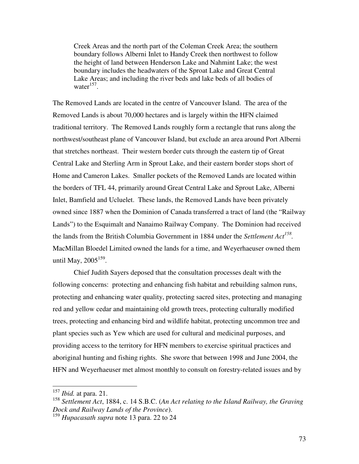Creek Areas and the north part of the Coleman Creek Area; the southern boundary follows Alberni Inlet to Handy Creek then northwest to follow the height of land between Henderson Lake and Nahmint Lake; the west boundary includes the headwaters of the Sproat Lake and Great Central Lake Areas; and including the river beds and lake beds of all bodies of water $157$ .

The Removed Lands are located in the centre of Vancouver Island. The area of the Removed Lands is about 70,000 hectares and is largely within the HFN claimed traditional territory. The Removed Lands roughly form a rectangle that runs along the northwest/southeast plane of Vancouver Island, but exclude an area around Port Alberni that stretches northeast. Their western border cuts through the eastern tip of Great Central Lake and Sterling Arm in Sprout Lake, and their eastern border stops short of Home and Cameron Lakes. Smaller pockets of the Removed Lands are located within the borders of TFL 44, primarily around Great Central Lake and Sprout Lake, Alberni Inlet, Bamfield and Ucluelet. These lands, the Removed Lands have been privately owned since 1887 when the Dominion of Canada transferred a tract of land (the "Railway Lands") to the Esquimalt and Nanaimo Railway Company. The Dominion had received the lands from the British Columbia Government in 1884 under the *Settlement Act<sup>158</sup> .* MacMillan Bloedel Limited owned the lands for a time, and Weyerhaeuser owned them until May,  $2005^{159}$ .

Chief Judith Sayers deposed that the consultation processes dealt with the following concerns: protecting and enhancing fish habitat and rebuilding salmon runs, protecting and enhancing water quality, protecting sacred sites, protecting and managing red and yellow cedar and maintaining old growth trees, protecting culturally modified trees, protecting and enhancing bird and wildlife habitat, protecting uncommon tree and plant species such as Yew which are used for cultural and medicinal purposes, and providing access to the territory for HFN members to exercise spiritual practices and aboriginal hunting and fishing rights. She swore that between 1998 and June 2004, the HFN and Weyerhaeuser met almost monthly to consult on forestry-related issues and by

<sup>157</sup> *Ibid.* at para. 21.

<sup>158</sup> *Settlement Act*, 1884, c. 14 S.B.C. (*An Act relating to the Island Railway, the Graving Dock and Railway Lands of the Province*).

<sup>159</sup> *Hupacasath supra* note 13 para. 22 to 24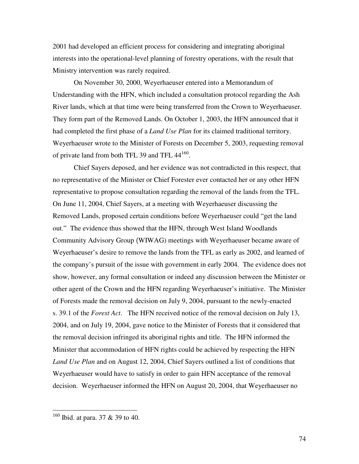2001 had developed an efficient process for considering and integrating aboriginal interests into the operational-level planning of forestry operations, with the result that Ministry intervention was rarely required.

On November 30, 2000, Weyerhaeuser entered into a Memorandum of Understanding with the HFN, which included a consultation protocol regarding the Ash River lands, which at that time were being transferred from the Crown to Weyerhaeuser. They form part of the Removed Lands. On October 1, 2003, the HFN announced that it had completed the first phase of a *Land Use Plan* for its claimed traditional territory. Weyerhaeuser wrote to the Minister of Forests on December 5, 2003, requesting removal of private land from both TFL 39 and TFL  $44^{160}$ .

 Chief Sayers deposed, and her evidence was not contradicted in this respect, that no representative of the Minister or Chief Forester ever contacted her or any other HFN representative to propose consultation regarding the removal of the lands from the TFL. On June 11, 2004, Chief Sayers, at a meeting with Weyerhaeuser discussing the Removed Lands, proposed certain conditions before Weyerhaeuser could "get the land out." The evidence thus showed that the HFN, through West Island Woodlands Community Advisory Group (WIWAG) meetings with Weyerhaeuser became aware of Weyerhaeuser's desire to remove the lands from the TFL as early as 2002, and learned of the company's pursuit of the issue with government in early 2004. The evidence does not show, however, any formal consultation or indeed any discussion between the Minister or other agent of the Crown and the HFN regarding Weyerhaeuser's initiative. The Minister of Forests made the removal decision on July 9, 2004, pursuant to the newly-enacted s. 39.1 of the *Forest Act*. The HFN received notice of the removal decision on July 13, 2004, and on July 19, 2004, gave notice to the Minister of Forests that it considered that the removal decision infringed its aboriginal rights and title. The HFN informed the Minister that accommodation of HFN rights could be achieved by respecting the HFN *Land Use Plan* and on August 12, 2004, Chief Sayers outlined a list of conditions that Weyerhaeuser would have to satisfy in order to gain HFN acceptance of the removal decision. Weyerhaeuser informed the HFN on August 20, 2004, that Weyerhaeuser no

 $160$  Ibid. at para. 37 & 39 to 40.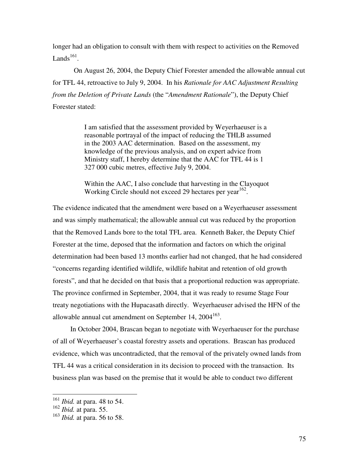longer had an obligation to consult with them with respect to activities on the Removed Lands $^{161}$ .

On August 26, 2004, the Deputy Chief Forester amended the allowable annual cut for TFL 44, retroactive to July 9, 2004. In his *Rationale for AAC Adjustment Resulting from the Deletion of Private Lands* (the "*Amendment Rationale*"), the Deputy Chief Forester stated:

> I am satisfied that the assessment provided by Weyerhaeuser is a reasonable portrayal of the impact of reducing the THLB assumed in the 2003 AAC determination. Based on the assessment, my knowledge of the previous analysis, and on expert advice from Ministry staff, I hereby determine that the AAC for TFL 44 is 1 327 000 cubic metres, effective July 9, 2004.

> Within the AAC, I also conclude that harvesting in the Clayoquot Working Circle should not exceed 29 hectares per year<sup>162</sup>.

The evidence indicated that the amendment were based on a Weyerhaeuser assessment and was simply mathematical; the allowable annual cut was reduced by the proportion that the Removed Lands bore to the total TFL area. Kenneth Baker, the Deputy Chief Forester at the time, deposed that the information and factors on which the original determination had been based 13 months earlier had not changed, that he had considered "concerns regarding identified wildlife, wildlife habitat and retention of old growth forests", and that he decided on that basis that a proportional reduction was appropriate. The province confirmed in September, 2004, that it was ready to resume Stage Four treaty negotiations with the Hupacasath directly. Weyerhaeuser advised the HFN of the allowable annual cut amendment on September 14,  $2004^{163}$ .

In October 2004, Brascan began to negotiate with Weyerhaeuser for the purchase of all of Weyerhaeuser's coastal forestry assets and operations. Brascan has produced evidence, which was uncontradicted, that the removal of the privately owned lands from TFL 44 was a critical consideration in its decision to proceed with the transaction. Its business plan was based on the premise that it would be able to conduct two different

l

<sup>161</sup> *Ibid.* at para. 48 to 54.

<sup>162</sup> *Ibid.* at para. 55.

<sup>163</sup> *Ibid.* at para. 56 to 58.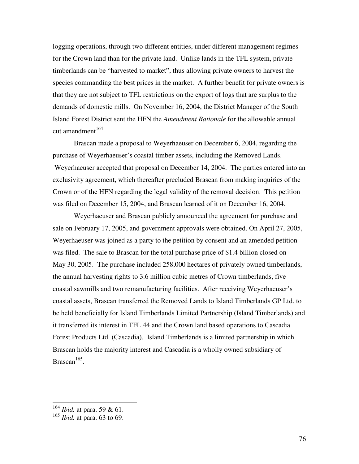logging operations, through two different entities, under different management regimes for the Crown land than for the private land. Unlike lands in the TFL system, private timberlands can be "harvested to market", thus allowing private owners to harvest the species commanding the best prices in the market. A further benefit for private owners is that they are not subject to TFL restrictions on the export of logs that are surplus to the demands of domestic mills. On November 16, 2004, the District Manager of the South Island Forest District sent the HFN the *Amendment Rationale* for the allowable annual  $cut$  amendment<sup>164</sup>.

 Brascan made a proposal to Weyerhaeuser on December 6, 2004, regarding the purchase of Weyerhaeuser's coastal timber assets, including the Removed Lands. Weyerhaeuser accepted that proposal on December 14, 2004. The parties entered into an exclusivity agreement, which thereafter precluded Brascan from making inquiries of the Crown or of the HFN regarding the legal validity of the removal decision. This petition was filed on December 15, 2004, and Brascan learned of it on December 16, 2004.

Weyerhaeuser and Brascan publicly announced the agreement for purchase and sale on February 17, 2005, and government approvals were obtained. On April 27, 2005, Weyerhaeuser was joined as a party to the petition by consent and an amended petition was filed. The sale to Brascan for the total purchase price of \$1.4 billion closed on May 30, 2005. The purchase included 258,000 hectares of privately owned timberlands, the annual harvesting rights to 3.6 million cubic metres of Crown timberlands, five coastal sawmills and two remanufacturing facilities. After receiving Weyerhaeuser's coastal assets, Brascan transferred the Removed Lands to Island Timberlands GP Ltd. to be held beneficially for Island Timberlands Limited Partnership (Island Timberlands) and it transferred its interest in TFL 44 and the Crown land based operations to Cascadia Forest Products Ltd. (Cascadia). Island Timberlands is a limited partnership in which Brascan holds the majority interest and Cascadia is a wholly owned subsidiary of Brascan $165$ .

<sup>164</sup> *Ibid.* at para. 59 & 61.

<sup>165</sup> *Ibid.* at para. 63 to 69.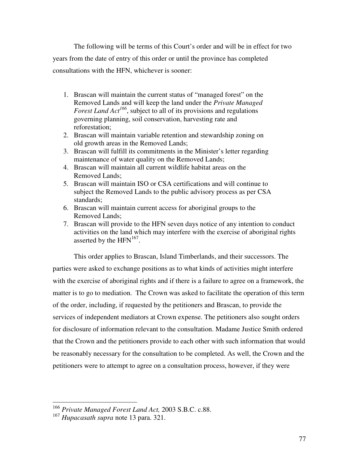The following will be terms of this Court's order and will be in effect for two years from the date of entry of this order or until the province has completed consultations with the HFN, whichever is sooner:

- 1. Brascan will maintain the current status of "managed forest" on the Removed Lands and will keep the land under the *Private Managed Forest Land Act<sup>166</sup>*, subject to all of its provisions and regulations governing planning, soil conservation, harvesting rate and reforestation;
- 2. Brascan will maintain variable retention and stewardship zoning on old growth areas in the Removed Lands;
- 3. Brascan will fulfill its commitments in the Minister's letter regarding maintenance of water quality on the Removed Lands;
- 4. Brascan will maintain all current wildlife habitat areas on the Removed Lands;
- 5. Brascan will maintain ISO or CSA certifications and will continue to subject the Removed Lands to the public advisory process as per CSA standards;
- 6. Brascan will maintain current access for aboriginal groups to the Removed Lands;
- 7. Brascan will provide to the HFN seven days notice of any intention to conduct activities on the land which may interfere with the exercise of aboriginal rights asserted by the  $HFN^{167}$ .

This order applies to Brascan, Island Timberlands, and their successors. The parties were asked to exchange positions as to what kinds of activities might interfere with the exercise of aboriginal rights and if there is a failure to agree on a framework, the matter is to go to mediation. The Crown was asked to facilitate the operation of this term of the order, including, if requested by the petitioners and Brascan, to provide the services of independent mediators at Crown expense. The petitioners also sought orders for disclosure of information relevant to the consultation. Madame Justice Smith ordered that the Crown and the petitioners provide to each other with such information that would be reasonably necessary for the consultation to be completed. As well, the Crown and the petitioners were to attempt to agree on a consultation process, however, if they were

<sup>166</sup> *Private Managed Forest Land Act,* 2003 S.B.C. c.88.

<sup>167</sup> *Hupacasath supra* note 13 para. 321.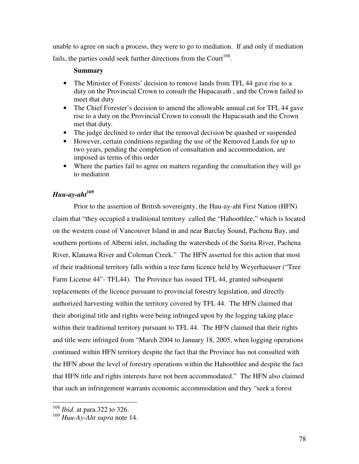unable to agree on such a process, they were to go to mediation. If and only if mediation fails, the parties could seek further directions from the Court<sup>168</sup>.

#### **Summary**

- The Minister of Forests' decision to remove lands from TFL 44 gave rise to a duty on the Provincial Crown to consult the Hupacasath , and the Crown failed to meet that duty
- The Chief Forester's decision to amend the allowable annual cut for TFL 44 gave rise to a duty on the Provincial Crown to consult the Hupacasath and the Crown met that duty.
- The judge declined to order that the removal decision be quashed or suspended
- However, certain conditions regarding the use of the Removed Lands for up to two years, pending the completion of consultation and accommodation, are imposed as terms of this order
- Where the parties fail to agree on matters regarding the consultation they will go to mediation

# *Huu-ay-aht***<sup>169</sup>**

 Prior to the assertion of British sovereignty, the Huu-ay-aht First Nation (HFN) claim that "they occupied a traditional territory called the "Hahoothlee," which is located on the western coast of Vancouver Island in and near Barclay Sound, Pachena Bay, and southern portions of Alberni inlet, including the watersheds of the Sarita River, Pachena River, Klanawa River and Coleman Creek." The HFN asserted for this action that most of their traditional territory falls within a tree farm licence held by Weyerhaeuser ("Tree Farm License 44"- TFL44). The Province has issued TFL 44, granted subsequent replacements of the licence pursuant to provincial forestry legislation, and directly authorized harvesting within the territory covered by TFL 44. The HFN claimed that their aboriginal title and rights were being infringed upon by the logging taking place within their traditional territory pursuant to TFL 44. The HFN claimed that their rights and title were infringed from "March 2004 to January 18, 2005, when logging operations continued within HFN territory despite the fact that the Province has not consulted with the HFN about the level of forestry operations within the Hahoothlee and despite the fact that HFN title and rights interests have not been accommodated." The HFN also claimed that such an infringement warrants economic accommodation and they "seek a forest

<sup>168</sup> *Ibid.* at para.322 to 326.

<sup>169</sup> *Huu-Ay-Aht supra* note 14.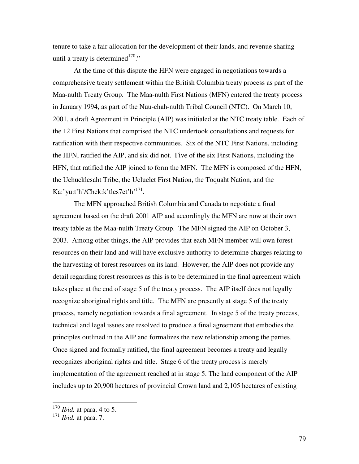tenure to take a fair allocation for the development of their lands, and revenue sharing until a treaty is determined $170$ ."

At the time of this dispute the HFN were engaged in negotiations towards a comprehensive treaty settlement within the British Columbia treaty process as part of the Maa-nulth Treaty Group. The Maa-nulth First Nations (MFN) entered the treaty process in January 1994, as part of the Nuu-chah-nulth Tribal Council (NTC). On March 10, 2001, a draft Agreement in Principle (AIP) was initialed at the NTC treaty table. Each of the 12 First Nations that comprised the NTC undertook consultations and requests for ratification with their respective communities. Six of the NTC First Nations, including the HFN, ratified the AIP, and six did not. Five of the six First Nations, including the HFN, that ratified the AIP joined to form the MFN. The MFN is composed of the HFN, the Uchucklesaht Tribe, the Ucluelet First Nation, the Toquaht Nation, and the Ka:'yu:t'h'/Chek:k'tles7et'h'<sup>171</sup>.

The MFN approached British Columbia and Canada to negotiate a final agreement based on the draft 2001 AIP and accordingly the MFN are now at their own treaty table as the Maa-nulth Treaty Group. The MFN signed the AIP on October 3, 2003. Among other things, the AIP provides that each MFN member will own forest resources on their land and will have exclusive authority to determine charges relating to the harvesting of forest resources on its land. However, the AIP does not provide any detail regarding forest resources as this is to be determined in the final agreement which takes place at the end of stage 5 of the treaty process. The AIP itself does not legally recognize aboriginal rights and title. The MFN are presently at stage 5 of the treaty process, namely negotiation towards a final agreement. In stage 5 of the treaty process, technical and legal issues are resolved to produce a final agreement that embodies the principles outlined in the AIP and formalizes the new relationship among the parties. Once signed and formally ratified, the final agreement becomes a treaty and legally recognizes aboriginal rights and title. Stage 6 of the treaty process is merely implementation of the agreement reached at in stage 5. The land component of the AIP includes up to 20,900 hectares of provincial Crown land and 2,105 hectares of existing

<sup>170</sup> *Ibid.* at para. 4 to 5.

<sup>171</sup> *Ibid.* at para. 7.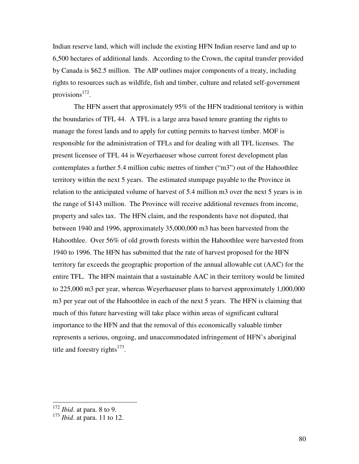Indian reserve land, which will include the existing HFN Indian reserve land and up to 6,500 hectares of additional lands. According to the Crown, the capital transfer provided by Canada is \$62.5 million. The AIP outlines major components of a treaty, including rights to resources such as wildlife, fish and timber, culture and related self-government provisions<sup>172</sup>.

The HFN assert that approximately 95% of the HFN traditional territory is within the boundaries of TFL 44. A TFL is a large area based tenure granting the rights to manage the forest lands and to apply for cutting permits to harvest timber. MOF is responsible for the administration of TFLs and for dealing with all TFL licenses. The present licensee of TFL 44 is Weyerhaeuser whose current forest development plan contemplates a further 5.4 million cubic metres of timber ("m3") out of the Hahoothlee territory within the next 5 years. The estimated stumpage payable to the Province in relation to the anticipated volume of harvest of 5.4 million m3 over the next 5 years is in the range of \$143 million. The Province will receive additional revenues from income, property and sales tax. The HFN claim, and the respondents have not disputed, that between 1940 and 1996, approximately 35,000,000 m3 has been harvested from the Hahoothlee. Over 56% of old growth forests within the Hahoothlee were harvested from 1940 to 1996. The HFN has submitted that the rate of harvest proposed for the HFN territory far exceeds the geographic proportion of the annual allowable cut (AAC) for the entire TFL. The HFN maintain that a sustainable AAC in their territory would be limited to 225,000 m3 per year, whereas Weyerhaeuser plans to harvest approximately 1,000,000 m3 per year out of the Hahoothlee in each of the next 5 years. The HFN is claiming that much of this future harvesting will take place within areas of significant cultural importance to the HFN and that the removal of this economically valuable timber represents a serious, ongoing, and unaccommodated infringement of HFN's aboriginal title and forestry rights $^{173}$ .

<sup>172</sup> *Ibid*. at para. 8 to 9.

<sup>173</sup> *Ibid*. at para. 11 to 12.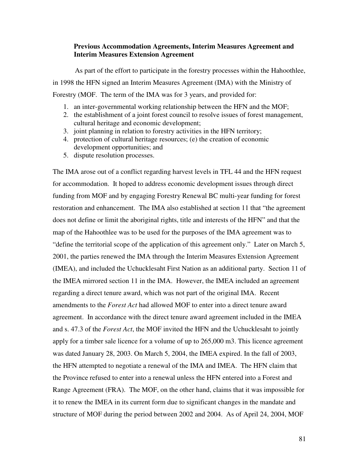#### **Previous Accommodation Agreements, Interim Measures Agreement and Interim Measures Extension Agreement**

As part of the effort to participate in the forestry processes within the Hahoothlee, in 1998 the HFN signed an Interim Measures Agreement (IMA) with the Ministry of Forestry (MOF. The term of the IMA was for 3 years, and provided for:

- 1. an inter-governmental working relationship between the HFN and the MOF;
- 2. the establishment of a joint forest council to resolve issues of forest management, cultural heritage and economic development;
- 3. joint planning in relation to forestry activities in the HFN territory;
- 4. protection of cultural heritage resources; (e) the creation of economic development opportunities; and
- 5. dispute resolution processes.

The IMA arose out of a conflict regarding harvest levels in TFL 44 and the HFN request for accommodation. It hoped to address economic development issues through direct funding from MOF and by engaging Forestry Renewal BC multi-year funding for forest restoration and enhancement. The IMA also established at section 11 that "the agreement does not define or limit the aboriginal rights, title and interests of the HFN" and that the map of the Hahoothlee was to be used for the purposes of the IMA agreement was to "define the territorial scope of the application of this agreement only." Later on March 5, 2001, the parties renewed the IMA through the Interim Measures Extension Agreement (IMEA), and included the Uchucklesaht First Nation as an additional party. Section 11 of the IMEA mirrored section 11 in the IMA. However, the IMEA included an agreement regarding a direct tenure award, which was not part of the original IMA. Recent amendments to the *Forest Act* had allowed MOF to enter into a direct tenure award agreement. In accordance with the direct tenure award agreement included in the IMEA and s. 47.3 of the *Forest Act*, the MOF invited the HFN and the Uchucklesaht to jointly apply for a timber sale licence for a volume of up to 265,000 m3. This licence agreement was dated January 28, 2003. On March 5, 2004, the IMEA expired. In the fall of 2003, the HFN attempted to negotiate a renewal of the IMA and IMEA. The HFN claim that the Province refused to enter into a renewal unless the HFN entered into a Forest and Range Agreement (FRA). The MOF, on the other hand, claims that it was impossible for it to renew the IMEA in its current form due to significant changes in the mandate and structure of MOF during the period between 2002 and 2004. As of April 24, 2004, MOF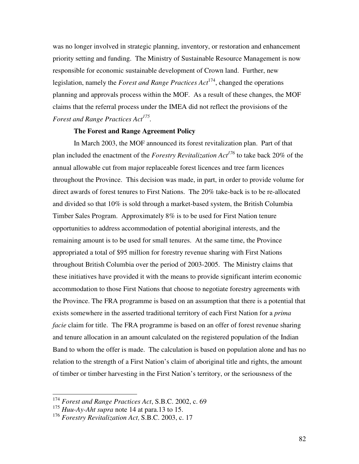was no longer involved in strategic planning, inventory, or restoration and enhancement priority setting and funding. The Ministry of Sustainable Resource Management is now responsible for economic sustainable development of Crown land. Further, new legislation, namely the *Forest and Range Practices Act*<sup>174</sup>, changed the operations planning and approvals process within the MOF. As a result of these changes, the MOF claims that the referral process under the IMEA did not reflect the provisions of the *Forest and Range Practices Act<sup>175</sup> .*

#### **The Forest and Range Agreement Policy**

In March 2003, the MOF announced its forest revitalization plan. Part of that plan included the enactment of the *Forestry Revitalization Act<sup>176</sup>* to take back 20% of the annual allowable cut from major replaceable forest licences and tree farm licences throughout the Province. This decision was made, in part, in order to provide volume for direct awards of forest tenures to First Nations. The 20% take-back is to be re-allocated and divided so that 10% is sold through a market-based system, the British Columbia Timber Sales Program. Approximately 8% is to be used for First Nation tenure opportunities to address accommodation of potential aboriginal interests, and the remaining amount is to be used for small tenures. At the same time, the Province appropriated a total of \$95 million for forestry revenue sharing with First Nations throughout British Columbia over the period of 2003-2005. The Ministry claims that these initiatives have provided it with the means to provide significant interim economic accommodation to those First Nations that choose to negotiate forestry agreements with the Province. The FRA programme is based on an assumption that there is a potential that exists somewhere in the asserted traditional territory of each First Nation for a *prima facie* claim for title. The FRA programme is based on an offer of forest revenue sharing and tenure allocation in an amount calculated on the registered population of the Indian Band to whom the offer is made. The calculation is based on population alone and has no relation to the strength of a First Nation's claim of aboriginal title and rights, the amount of timber or timber harvesting in the First Nation's territory, or the seriousness of the

l

<sup>174</sup> *Forest and Range Practices Act*, S.B.C. 2002, c. 69

<sup>175</sup> *Huu-Ay-Aht supra* note 14 at para.13 to 15.

<sup>176</sup> *Forestry Revitalization Act*, S.B.C. 2003, c. 17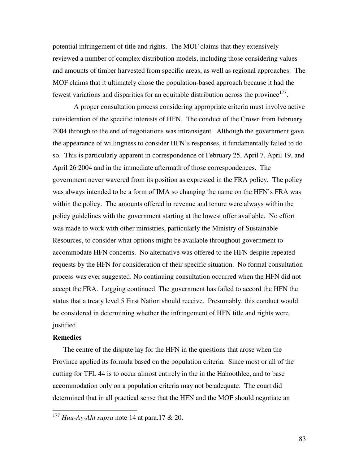potential infringement of title and rights. The MOF claims that they extensively reviewed a number of complex distribution models, including those considering values and amounts of timber harvested from specific areas, as well as regional approaches. The MOF claims that it ultimately chose the population-based approach because it had the fewest variations and disparities for an equitable distribution across the province  $177$ .

A proper consultation process considering appropriate criteria must involve active consideration of the specific interests of HFN. The conduct of the Crown from February 2004 through to the end of negotiations was intransigent. Although the government gave the appearance of willingness to consider HFN's responses, it fundamentally failed to do so. This is particularly apparent in correspondence of February 25, April 7, April 19, and April 26 2004 and in the immediate aftermath of those correspondences. The government never wavered from its position as expressed in the FRA policy. The policy was always intended to be a form of IMA so changing the name on the HFN's FRA was within the policy. The amounts offered in revenue and tenure were always within the policy guidelines with the government starting at the lowest offer available. No effort was made to work with other ministries, particularly the Ministry of Sustainable Resources, to consider what options might be available throughout government to accommodate HFN concerns. No alternative was offered to the HFN despite repeated requests by the HFN for consideration of their specific situation. No formal consultation process was ever suggested. No continuing consultation occurred when the HFN did not accept the FRA. Logging continued The government has failed to accord the HFN the status that a treaty level 5 First Nation should receive. Presumably, this conduct would be considered in determining whether the infringement of HFN title and rights were justified.

#### **Remedies**

 $\overline{a}$ 

The centre of the dispute lay for the HFN in the questions that arose when the Province applied its formula based on the population criteria. Since most or all of the cutting for TFL 44 is to occur almost entirely in the in the Hahoothlee, and to base accommodation only on a population criteria may not be adequate. The court did determined that in all practical sense that the HFN and the MOF should negotiate an

<sup>177</sup> *Huu-Ay-Aht supra* note 14 at para.17 & 20.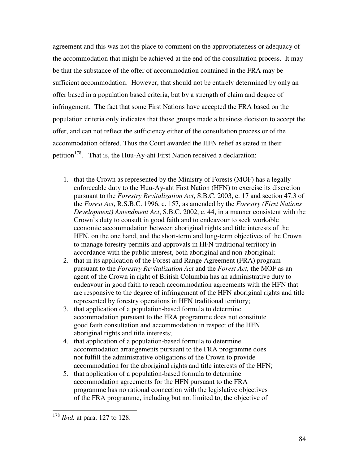agreement and this was not the place to comment on the appropriateness or adequacy of the accommodation that might be achieved at the end of the consultation process. It may be that the substance of the offer of accommodation contained in the FRA may be sufficient accommodation. However, that should not be entirely determined by only an offer based in a population based criteria, but by a strength of claim and degree of infringement. The fact that some First Nations have accepted the FRA based on the population criteria only indicates that those groups made a business decision to accept the offer, and can not reflect the sufficiency either of the consultation process or of the accommodation offered. Thus the Court awarded the HFN relief as stated in their petition<sup>178</sup>. That is, the Huu-Ay-aht First Nation received a declaration:

- 1. that the Crown as represented by the Ministry of Forests (MOF) has a legally enforceable duty to the Huu-Ay-aht First Nation (HFN) to exercise its discretion pursuant to the *Forestry Revitalization Act*, S.B.C. 2003, c. 17 and section 47.3 of the *Forest Act*, R.S.B.C. 1996, c. 157, as amended by the *Forestry (First Nations Development) Amendment Act*, S.B.C. 2002, c. 44, in a manner consistent with the Crown's duty to consult in good faith and to endeavour to seek workable economic accommodation between aboriginal rights and title interests of the HFN, on the one hand, and the short-term and long-term objectives of the Crown to manage forestry permits and approvals in HFN traditional territory in accordance with the public interest, both aboriginal and non-aboriginal;
- 2. that in its application of the Forest and Range Agreement (FRA) program pursuant to the *Forestry Revitalization Act* and the *Forest Act,* the MOF as an agent of the Crown in right of British Columbia has an administrative duty to endeavour in good faith to reach accommodation agreements with the HFN that are responsive to the degree of infringement of the HFN aboriginal rights and title represented by forestry operations in HFN traditional territory;
- 3. that application of a population-based formula to determine accommodation pursuant to the FRA programme does not constitute good faith consultation and accommodation in respect of the HFN aboriginal rights and title interests;
- 4. that application of a population-based formula to determine accommodation arrangements pursuant to the FRA programme does not fulfill the administrative obligations of the Crown to provide accommodation for the aboriginal rights and title interests of the HFN;
- 5. that application of a population-based formula to determine accommodation agreements for the HFN pursuant to the FRA programme has no rational connection with the legislative objectives of the FRA programme, including but not limited to, the objective of

 $\overline{a}$ <sup>178</sup> *Ibid.* at para. 127 to 128.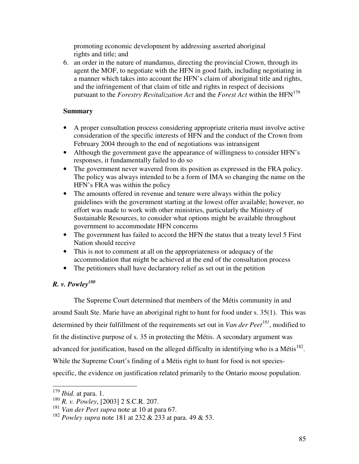promoting economic development by addressing asserted aboriginal rights and title; and

6. an order in the nature of mandamus, directing the provincial Crown, through its agent the MOF, to negotiate with the HFN in good faith, including negotiating in a manner which takes into account the HFN's claim of aboriginal title and rights, and the infringement of that claim of title and rights in respect of decisions pursuant to the *Forestry Revitalization Act* and the *Forest Act* within the HFN<sup>179</sup>

#### **Summary**

- A proper consultation process considering appropriate criteria must involve active consideration of the specific interests of HFN and the conduct of the Crown from February 2004 through to the end of negotiations was intransigent
- Although the government gave the appearance of willingness to consider HFN's responses, it fundamentally failed to do so
- The government never wavered from its position as expressed in the FRA policy. The policy was always intended to be a form of IMA so changing the name on the HFN's FRA was within the policy
- The amounts offered in revenue and tenure were always within the policy guidelines with the government starting at the lowest offer available; however, no effort was made to work with other ministries, particularly the Ministry of Sustainable Resources, to consider what options might be available throughout government to accommodate HFN concerns
- The government has failed to accord the HFN the status that a treaty level 5 First Nation should receive
- This is not to comment at all on the appropriateness or adequacy of the accommodation that might be achieved at the end of the consultation process
- The petitioners shall have declaratory relief as set out in the petition

# *R. v. Powley<sup>180</sup>*

The Supreme Court determined that members of the Métis community in and around Sault Ste. Marie have an aboriginal right to hunt for food under s. 35(1). This was determined by their fulfillment of the requirements set out in *Van der Peet<sup>181</sup>*, modified to fit the distinctive purpose of s. 35 in protecting the Métis. A secondary argument was advanced for justification, based on the alleged difficulty in identifying who is a Métis<sup>182</sup>. While the Supreme Court's finding of a Métis right to hunt for food is not speciesspecific, the evidence on justification related primarily to the Ontario moose population.

 $\overline{a}$ <sup>179</sup> *Ibid.* at para. 1.

<sup>180</sup> *R. v. Powley*, [2003] 2 S.C.R. 207.

<sup>181</sup> *Van der Peet supra* note at 10 at para 67.

<sup>182</sup> *Powley supra* note 181 at 232 & 233 at para. 49 & 53.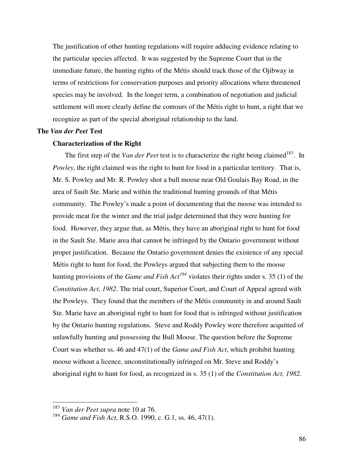The justification of other hunting regulations will require adducing evidence relating to the particular species affected. It was suggested by the Supreme Court that in the immediate future, the hunting rights of the Métis should track those of the Ojibway in terms of restrictions for conservation purposes and priority allocations where threatened species may be involved. In the longer term, a combination of negotiation and judicial settlement will more clearly define the contours of the Métis right to hunt, a right that we recognize as part of the special aboriginal relationship to the land.

#### **The** *Van der Peet* **Test**

#### **Characterization of the Right**

The first step of the *Van der Peet* test is to characterize the right being claimed<sup>183</sup>. In *Powley,* the right claimed was the right to hunt for food in a particular territory. That is, Mr. S. Powley and Mr. R. Powley shot a bull moose near Old Goulais Bay Road, in the area of Sault Ste. Marie and within the traditional hunting grounds of that Métis community. The Powley's made a point of documenting that the moose was intended to provide meat for the winter and the trial judge determined that they were hunting for food. However, they argue that, as Métis, they have an aboriginal right to hunt for food in the Sault Ste. Marie area that cannot be infringed by the Ontario government without proper justification. Because the Ontario government denies the existence of any special Métis right to hunt for food, the Powleys argued that subjecting them to the moose hunting provisions of the *Game and Fish Act<sup>184</sup>* violates their rights under s. 35 (1) of the *Constitution Act, 1982*. The trial court, Superior Court, and Court of Appeal agreed with the Powleys. They found that the members of the Métis community in and around Sault Ste. Marie have an aboriginal right to hunt for food that is infringed without justification by the Ontario hunting regulations. Steve and Roddy Powley were therefore acquitted of unlawfully hunting and possessing the Bull Moose. The question before the Supreme Court was whether ss. 46 and 47(1) of the *Game and Fish Act*, which prohibit hunting moose without a licence, unconstitutionally infringed on Mr. Steve and Roddy's aboriginal right to hunt for food, as recognized in s. 35 (1) of the *Constitution Act, 1982*.

<sup>183</sup> *Van der Peet supra* note 10 at 76.

<sup>184</sup> *Game and Fish Act*, R.S.O. 1990, c. G.1, ss. 46, 47(1).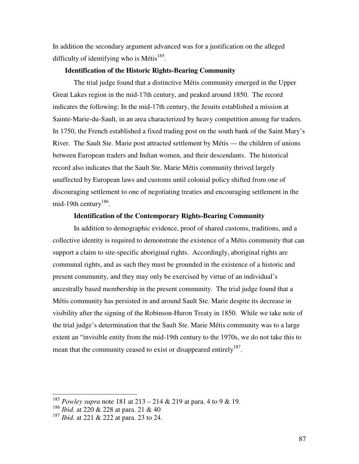In addition the secondary argument advanced was for a justification on the alleged difficulty of identifying who is Métis<sup>185</sup>.

#### **Identification of the Historic Rights-Bearing Community**

The trial judge found that a distinctive Métis community emerged in the Upper Great Lakes region in the mid-17th century, and peaked around 1850. The record indicates the following: In the mid-17th century, the Jesuits established a mission at Sainte-Marie-du-Sault, in an area characterized by heavy competition among fur traders. In 1750, the French established a fixed trading post on the south bank of the Saint Mary's River. The Sault Ste. Marie post attracted settlement by Métis — the children of unions between European traders and Indian women, and their descendants. The historical record also indicates that the Sault Ste. Marie Métis community thrived largely unaffected by European laws and customs until colonial policy shifted from one of discouraging settlement to one of negotiating treaties and encouraging settlement in the mid-19th century<sup>186</sup>.

#### **Identification of the Contemporary Rights-Bearing Community**

In addition to demographic evidence, proof of shared customs, traditions, and a collective identity is required to demonstrate the existence of a Métis community that can support a claim to site-specific aboriginal rights. Accordingly, aboriginal rights are communal rights, and as such they must be grounded in the existence of a historic and present community, and they may only be exercised by virtue of an individual's ancestrally based membership in the present community. The trial judge found that a Métis community has persisted in and around Sault Ste. Marie despite its decrease in visibility after the signing of the Robinson-Huron Treaty in 1850. While we take note of the trial judge's determination that the Sault Ste. Marie Métis community was to a large extent an "invisible entity from the mid-19th century to the 1970s, we do not take this to mean that the community ceased to exist or disappeared entirely<sup>187</sup>.

l

<sup>185</sup> *Powley supra* note 181 at 213 – 214 & 219 at para. 4 to 9 & 19.

<sup>186</sup> *Ibid.* at 220 & 228 at para. 21 & 40

<sup>187</sup> *Ibid.* at 221 & 222 at para. 23 to 24.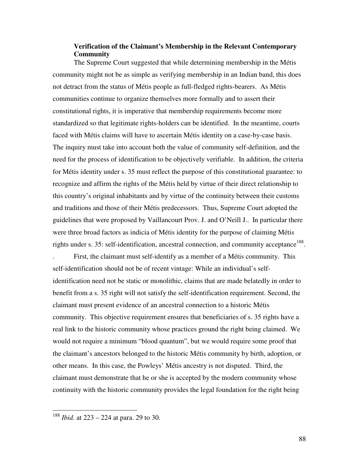#### **Verification of the Claimant's Membership in the Relevant Contemporary Community**

The Supreme Court suggested that while determining membership in the Métis community might not be as simple as verifying membership in an Indian band, this does not detract from the status of Métis people as full-fledged rights-bearers. As Métis communities continue to organize themselves more formally and to assert their constitutional rights, it is imperative that membership requirements become more standardized so that legitimate rights-holders can be identified. In the meantime, courts faced with Métis claims will have to ascertain Métis identity on a case-by-case basis. The inquiry must take into account both the value of community self-definition, and the need for the process of identification to be objectively verifiable. In addition, the criteria for Métis identity under s. 35 must reflect the purpose of this constitutional guarantee: to recognize and affirm the rights of the Métis held by virtue of their direct relationship to this country's original inhabitants and by virtue of the continuity between their customs and traditions and those of their Métis predecessors. Thus, Supreme Court adopted the guidelines that were proposed by Vaillancourt Prov. J. and O'Neill J.. In particular there were three broad factors as indicia of Métis identity for the purpose of claiming Métis rights under s. 35: self-identification, ancestral connection, and community acceptance  $^{188}$ .

. First, the claimant must self-identify as a member of a Métis community. This self-identification should not be of recent vintage: While an individual's selfidentification need not be static or monolithic, claims that are made belatedly in order to benefit from a s. 35 right will not satisfy the self-identification requirement. Second, the claimant must present evidence of an ancestral connection to a historic Métis community. This objective requirement ensures that beneficiaries of s. 35 rights have a real link to the historic community whose practices ground the right being claimed. We would not require a minimum "blood quantum", but we would require some proof that the claimant's ancestors belonged to the historic Métis community by birth, adoption, or other means. In this case, the Powleys' Métis ancestry is not disputed. Third, the claimant must demonstrate that he or she is accepted by the modern community whose continuity with the historic community provides the legal foundation for the right being

<sup>188</sup> *Ibid.* at 223 – 224 at para. 29 to 30.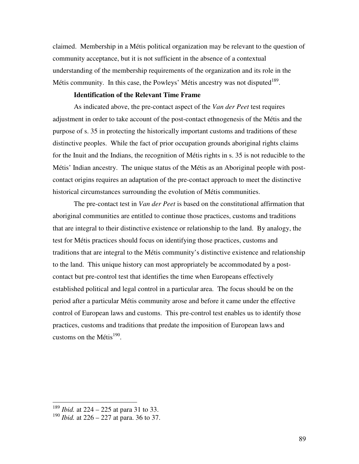claimed. Membership in a Métis political organization may be relevant to the question of community acceptance, but it is not sufficient in the absence of a contextual understanding of the membership requirements of the organization and its role in the Métis community. In this case, the Powleys' Métis ancestry was not disputed<sup>189</sup>.

#### **Identification of the Relevant Time Frame**

As indicated above, the pre-contact aspect of the *Van der Peet* test requires adjustment in order to take account of the post-contact ethnogenesis of the Métis and the purpose of s. 35 in protecting the historically important customs and traditions of these distinctive peoples. While the fact of prior occupation grounds aboriginal rights claims for the Inuit and the Indians, the recognition of Métis rights in s. 35 is not reducible to the Métis' Indian ancestry. The unique status of the Métis as an Aboriginal people with postcontact origins requires an adaptation of the pre-contact approach to meet the distinctive historical circumstances surrounding the evolution of Métis communities.

The pre-contact test in *Van der Peet* is based on the constitutional affirmation that aboriginal communities are entitled to continue those practices, customs and traditions that are integral to their distinctive existence or relationship to the land. By analogy, the test for Métis practices should focus on identifying those practices, customs and traditions that are integral to the Métis community's distinctive existence and relationship to the land. This unique history can most appropriately be accommodated by a postcontact but pre-control test that identifies the time when Europeans effectively established political and legal control in a particular area. The focus should be on the period after a particular Métis community arose and before it came under the effective control of European laws and customs. This pre-control test enables us to identify those practices, customs and traditions that predate the imposition of European laws and customs on the Métis $^{190}$ .

<sup>189</sup> *Ibid.* at 224 – 225 at para 31 to 33.

<sup>190</sup> *Ibid.* at 226 – 227 at para. 36 to 37.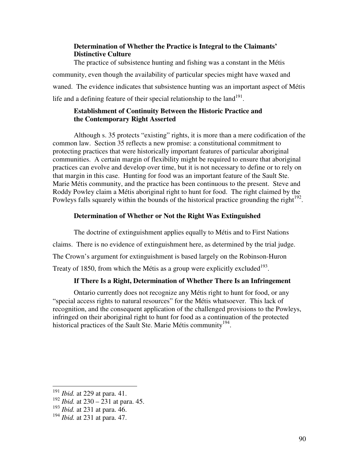#### **Determination of Whether the Practice is Integral to the Claimants' Distinctive Culture**

The practice of subsistence hunting and fishing was a constant in the Métis community, even though the availability of particular species might have waxed and waned. The evidence indicates that subsistence hunting was an important aspect of Métis life and a defining feature of their special relationship to the land<sup>191</sup>.

#### **Establishment of Continuity Between the Historic Practice and the Contemporary Right Asserted**

Although s. 35 protects "existing" rights, it is more than a mere codification of the common law. Section 35 reflects a new promise: a constitutional commitment to protecting practices that were historically important features of particular aboriginal communities. A certain margin of flexibility might be required to ensure that aboriginal practices can evolve and develop over time, but it is not necessary to define or to rely on that margin in this case. Hunting for food was an important feature of the Sault Ste. Marie Métis community, and the practice has been continuous to the present. Steve and Roddy Powley claim a Métis aboriginal right to hunt for food. The right claimed by the Powleys falls squarely within the bounds of the historical practice grounding the right $192$ .

#### **Determination of Whether or Not the Right Was Extinguished**

The doctrine of extinguishment applies equally to Métis and to First Nations claims. There is no evidence of extinguishment here, as determined by the trial judge. The Crown's argument for extinguishment is based largely on the Robinson-Huron Treaty of 1850, from which the Métis as a group were explicitly excluded<sup>193</sup>.

### **If There Is a Right, Determination of Whether There Is an Infringement**

Ontario currently does not recognize any Métis right to hunt for food, or any "special access rights to natural resources" for the Métis whatsoever. This lack of recognition, and the consequent application of the challenged provisions to the Powleys, infringed on their aboriginal right to hunt for food as a continuation of the protected historical practices of the Sault Ste. Marie Métis community<sup>194</sup>.

<sup>191</sup> *Ibid.* at 229 at para. 41.

<sup>192</sup> *Ibid.* at 230 – 231 at para. 45.

<sup>193</sup> *Ibid.* at 231 at para. 46.

<sup>194</sup> *Ibid.* at 231 at para. 47.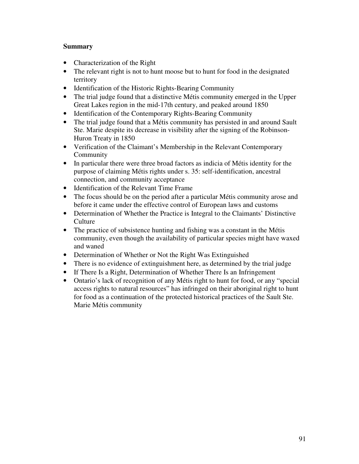# **Summary**

- Characterization of the Right
- The relevant right is not to hunt moose but to hunt for food in the designated territory
- Identification of the Historic Rights-Bearing Community
- The trial judge found that a distinctive Métis community emerged in the Upper Great Lakes region in the mid-17th century, and peaked around 1850
- Identification of the Contemporary Rights-Bearing Community
- The trial judge found that a Métis community has persisted in and around Sault Ste. Marie despite its decrease in visibility after the signing of the Robinson-Huron Treaty in 1850
- Verification of the Claimant's Membership in the Relevant Contemporary Community
- In particular there were three broad factors as indicia of Métis identity for the purpose of claiming Métis rights under s. 35: self-identification, ancestral connection, and community acceptance
- Identification of the Relevant Time Frame
- The focus should be on the period after a particular Métis community arose and before it came under the effective control of European laws and customs
- Determination of Whether the Practice is Integral to the Claimants' Distinctive Culture
- The practice of subsistence hunting and fishing was a constant in the Métis community, even though the availability of particular species might have waxed and waned
- Determination of Whether or Not the Right Was Extinguished
- There is no evidence of extinguishment here, as determined by the trial judge
- If There Is a Right, Determination of Whether There Is an Infringement
- Ontario's lack of recognition of any Métis right to hunt for food, or any "special" access rights to natural resources" has infringed on their aboriginal right to hunt for food as a continuation of the protected historical practices of the Sault Ste. Marie Métis community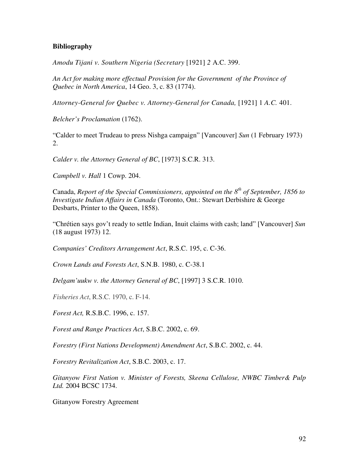#### **Bibliography**

*Amodu Tijani v. Southern Nigeria (Secretary* [1921] *2* A.C. 399.

*An Act for making more effectual Provision for the Government of the Province of Quebec in North America*, 14 Geo. 3, c. 83 (1774).

*Attorney-General for Quebec v. Attorney-General for Canada,* [1921] 1 *A.C.* 401.

*Belcher's Proclamation* (1762).

"Calder to meet Trudeau to press Nishga campaign" [Vancouver] *Sun* (1 February 1973) 2.

*Calder v. the Attorney General of BC*, [1973] S.C.R. 313.

*Campbell v. Hall* 1 Cowp. 204.

Canada, *Report of the Special Commissioners, appointed on the 8th of September, 1856 to Investigate Indian Affairs in Canada* (Toronto, Ont.: Stewart Derbishire & George Desbarts, Printer to the Queen, 1858).

"Chrétien says gov't ready to settle Indian, Inuit claims with cash; land" [Vancouver] *Sun* (18 august 1973) 12.

*Companies' Creditors Arrangement Act*, R.S.C. 195, c. C-36.

*Crown Lands and Forests Act*, S.N.B. 1980, c. C-38.1

*Delgam'uukw v. the Attorney General of BC*, [1997] 3 S.C.R. 1010.

*Fisheries Act*, R.S.C. 1970, c. F-14.

*Forest Act,* R.S.B.C. 1996, c. 157.

*Forest and Range Practices Act*, S.B.C. 2002, c. 69.

*Forestry (First Nations Development) Amendment Act*, S.B.C. 2002, c. 44.

*Forestry Revitalization Act*, S.B.C. 2003, c. 17.

*Gitanyow First Nation v. Minister of Forests, Skeena Cellulose, NWBC Timber& Pulp Ltd.* 2004 BCSC 1734.

Gitanyow Forestry Agreement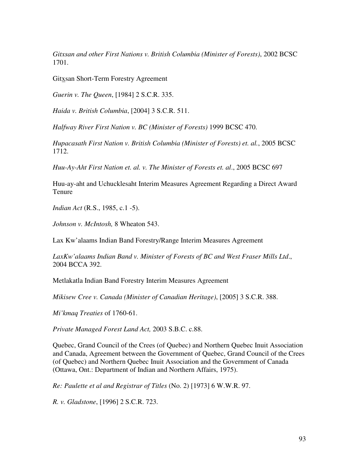*Gitxsan and other First Nations v. British Columbia (Minister of Forests)*, 2002 BCSC 1701.

Gitxsan Short-Term Forestry Agreement

*Guerin v. The Queen*, [1984] 2 S.C.R. 335.

*Haida v. British Columbia*, [2004] 3 S.C.R. 511.

*Halfway River First Nation v. BC (Minister of Forests)* 1999 BCSC 470.

*Hupacasath First Nation v. British Columbia (Minister of Forests) et. al.*, 2005 BCSC 1712.

*Huu-Ay-Aht First Nation et. al. v. The Minister of Forests et. al*., 2005 BCSC 697

Huu-ay-aht and Uchucklesaht Interim Measures Agreement Regarding a Direct Award Tenure

*Indian Act* (R.S., 1985, c.1 -5).

*Johnson v. McIntosh,* 8 Wheaton 543.

Lax Kw'alaams Indian Band Forestry/Range Interim Measures Agreement

*LaxKw'alaams Indian Band v. Minister of Forests of BC and West Fraser Mills Ltd*., 2004 BCCA 392.

Metlakatla Indian Band Forestry Interim Measures Agreement

*Mikisew Cree v. Canada (Minister of Canadian Heritage)*, [2005] 3 S.C.R. 388.

*Mi'kmaq Treaties* of 1760-61.

*Private Managed Forest Land Act,* 2003 S.B.C. c.88.

Quebec, Grand Council of the Crees (of Quebec) and Northern Quebec Inuit Association and Canada, Agreement between the Government of Quebec, Grand Council of the Crees (of Quebec) and Northern Quebec Inuit Association and the Government of Canada (Ottawa, Ont.: Department of Indian and Northern Affairs, 1975).

*Re: Paulette et al and Registrar of Titles* (No. 2) [1973] 6 W.W.R. 97.

*R. v. Gladstone*, [1996] 2 S.C.R. 723.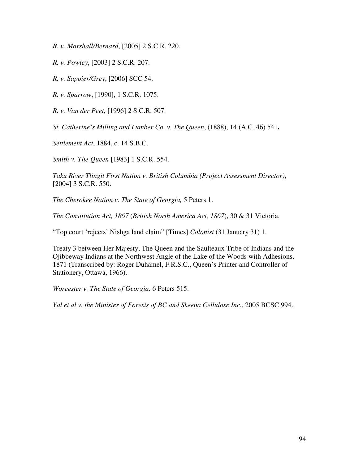*R. v. Marshall/Bernard*, [2005] 2 S.C.R. 220.

*R. v. Powley*, [2003] 2 S.C.R. 207.

*R. v. Sappier/Grey*, [2006] SCC 54.

*R. v. Sparrow*, [1990], 1 S.C.R. 1075.

*R. v. Van der Peet*, [1996] 2 S.C.R. 507.

*St. Catherine's Milling and Lumber Co. v. The Queen*, (1888), 14 (A.C. 46) 541**.** 

*Settlement Act*, 1884, c. 14 S.B.C.

*Smith v. The Queen* [1983] 1 S.C.R. 554.

*Taku River Tlingit First Nation v. British Columbia (Project Assessment Director)*, [2004] 3 S.C.R. 550.

*The Cherokee Nation v. The State of Georgia,* 5 Peters 1.

*The Constitution Act, 1867* (*British North America Act, 1867*), 30 & 31 Victoria.

"Top court 'rejects' Nishga land claim" [Times] *Colonist* (31 January 31) 1.

Treaty 3 between Her Majesty, The Queen and the Saulteaux Tribe of Indians and the Ojibbeway Indians at the Northwest Angle of the Lake of the Woods with Adhesions, 1871 (Transcribed by: Roger Duhamel, F.R.S.C., Queen's Printer and Controller of Stationery, Ottawa, 1966).

*Worcester v. The State of Georgia,* 6 Peters 515.

*Yal et al v. the Minister of Forests of BC and Skeena Cellulose Inc.*, 2005 BCSC 994.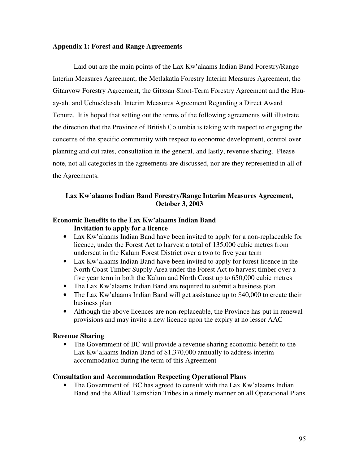#### **Appendix 1: Forest and Range Agreements**

 Laid out are the main points of the Lax Kw'alaams Indian Band Forestry/Range Interim Measures Agreement, the Metlakatla Forestry Interim Measures Agreement, the Gitanyow Forestry Agreement, the Gitxsan Short-Term Forestry Agreement and the Huuay-aht and Uchucklesaht Interim Measures Agreement Regarding a Direct Award Tenure. It is hoped that setting out the terms of the following agreements will illustrate the direction that the Province of British Columbia is taking with respect to engaging the concerns of the specific community with respect to economic development, control over planning and cut rates, consultation in the general, and lastly, revenue sharing. Please note, not all categories in the agreements are discussed, nor are they represented in all of the Agreements.

### **Lax Kw'alaams Indian Band Forestry/Range Interim Measures Agreement, October 3, 2003**

#### **Economic Benefits to the Lax Kw'alaams Indian Band Invitation to apply for a licence**

- Lax Kw'alaams Indian Band have been invited to apply for a non-replaceable for licence, under the Forest Act to harvest a total of 135,000 cubic metres from underscut in the Kalum Forest District over a two to five year term
- Lax Kw'alaams Indian Band have been invited to apply for forest licence in the North Coast Timber Supply Area under the Forest Act to harvest timber over a five year term in both the Kalum and North Coast up to 650,000 cubic metres
- The Lax Kw'alaams Indian Band are required to submit a business plan
- The Lax Kw'alaams Indian Band will get assistance up to \$40,000 to create their business plan
- Although the above licences are non-replaceable, the Province has put in renewal provisions and may invite a new licence upon the expiry at no lesser AAC

#### **Revenue Sharing**

• The Government of BC will provide a revenue sharing economic benefit to the Lax Kw'alaams Indian Band of \$1,370,000 annually to address interim accommodation during the term of this Agreement

#### **Consultation and Accommodation Respecting Operational Plans**

• The Government of BC has agreed to consult with the Lax Kw'alaams Indian Band and the Allied Tsimshian Tribes in a timely manner on all Operational Plans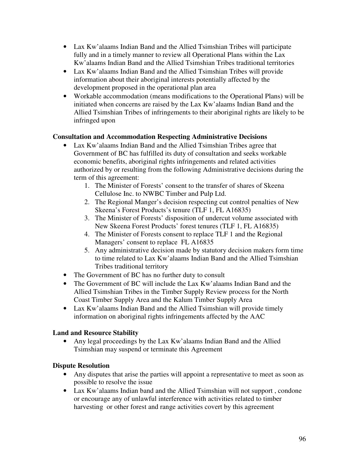- Lax Kw'alaams Indian Band and the Allied Tsimshian Tribes will participate fully and in a timely manner to review all Operational Plans within the Lax Kw'alaams Indian Band and the Allied Tsimshian Tribes traditional territories
- Lax Kw'alaams Indian Band and the Allied Tsimshian Tribes will provide information about their aboriginal interests potentially affected by the development proposed in the operational plan area
- Workable accommodation (means modifications to the Operational Plans) will be initiated when concerns are raised by the Lax Kw'alaams Indian Band and the Allied Tsimshian Tribes of infringements to their aboriginal rights are likely to be infringed upon

# **Consultation and Accommodation Respecting Administrative Decisions**

- Lax Kw'alaams Indian Band and the Allied Tsimshian Tribes agree that Government of BC has fulfilled its duty of consultation and seeks workable economic benefits, aboriginal rights infringements and related activities authorized by or resulting from the following Administrative decisions during the term of this agreement:
	- 1. The Minister of Forests' consent to the transfer of shares of Skeena Cellulose Inc. to NWBC Timber and Pulp Ltd.
	- 2. The Regional Manger's decision respecting cut control penalties of New Skeena's Forest Products's tenure (TLF 1, FL A16835)
	- 3. The Minister of Forests' disposition of undercut volume associated with New Skeena Forest Products' forest tenures (TLF 1, FL A16835)
	- 4. The Minister of Forests consent to replace TLF 1 and the Regional Managers' consent to replace FL A16835
	- 5. Any administrative decision made by statutory decision makers form time to time related to Lax Kw'alaams Indian Band and the Allied Tsimshian Tribes traditional territory
- The Government of BC has no further duty to consult
- The Government of BC will include the Lax Kw'alaams Indian Band and the Allied Tsimshian Tribes in the Timber Supply Review process for the North Coast Timber Supply Area and the Kalum Timber Supply Area
- Lax Kw'alaams Indian Band and the Allied Tsimshian will provide timely information on aboriginal rights infringements affected by the AAC

### **Land and Resource Stability**

• Any legal proceedings by the Lax Kw'alaams Indian Band and the Allied Tsimshian may suspend or terminate this Agreement

### **Dispute Resolution**

- Any disputes that arise the parties will appoint a representative to meet as soon as possible to resolve the issue
- Lax Kw'alaams Indian band and the Allied Tsimshian will not support, condone or encourage any of unlawful interference with activities related to timber harvesting or other forest and range activities covert by this agreement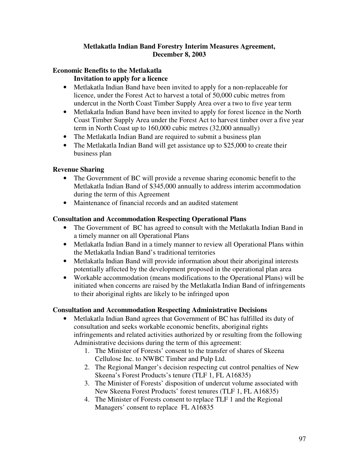### **Metlakatla Indian Band Forestry Interim Measures Agreement, December 8, 2003**

# **Economic Benefits to the Metlakatla**

# **Invitation to apply for a licence**

- Metlakatla Indian Band have been invited to apply for a non-replaceable for licence, under the Forest Act to harvest a total of 50,000 cubic metres from undercut in the North Coast Timber Supply Area over a two to five year term
- Metlakatla Indian Band have been invited to apply for forest licence in the North Coast Timber Supply Area under the Forest Act to harvest timber over a five year term in North Coast up to 160,000 cubic metres (32,000 annually)
- The Metlakatla Indian Band are required to submit a business plan
- The Metlakatla Indian Band will get assistance up to \$25,000 to create their business plan

### **Revenue Sharing**

- The Government of BC will provide a revenue sharing economic benefit to the Metlakatla Indian Band of \$345,000 annually to address interim accommodation during the term of this Agreement
- Maintenance of financial records and an audited statement

### **Consultation and Accommodation Respecting Operational Plans**

- The Government of BC has agreed to consult with the Metlakatla Indian Band in a timely manner on all Operational Plans
- Metlakatla Indian Band in a timely manner to review all Operational Plans within the Metlakatla Indian Band's traditional territories
- Metlakatla Indian Band will provide information about their aboriginal interests potentially affected by the development proposed in the operational plan area
- Workable accommodation (means modifications to the Operational Plans) will be initiated when concerns are raised by the Metlakatla Indian Band of infringements to their aboriginal rights are likely to be infringed upon

### **Consultation and Accommodation Respecting Administrative Decisions**

- Metlakatla Indian Band agrees that Government of BC has fulfilled its duty of consultation and seeks workable economic benefits, aboriginal rights infringements and related activities authorized by or resulting from the following Administrative decisions during the term of this agreement:
	- 1. The Minister of Forests' consent to the transfer of shares of Skeena Cellulose Inc. to NWBC Timber and Pulp Ltd.
	- 2. The Regional Manger's decision respecting cut control penalties of New Skeena's Forest Products's tenure (TLF 1, FL A16835)
	- 3. The Minister of Forests' disposition of undercut volume associated with New Skeena Forest Products' forest tenures (TLF 1, FL A16835)
	- 4. The Minister of Forests consent to replace TLF 1 and the Regional Managers' consent to replace FL A16835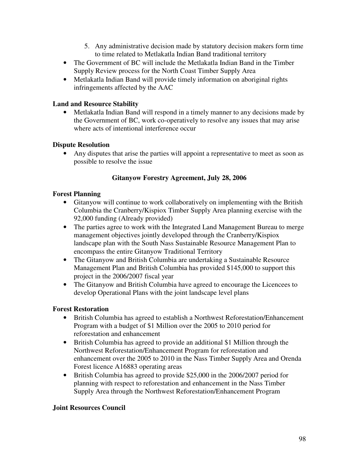- 5. Any administrative decision made by statutory decision makers form time to time related to Metlakatla Indian Band traditional territory
- The Government of BC will include the Metlakatla Indian Band in the Timber Supply Review process for the North Coast Timber Supply Area
- Metlakatla Indian Band will provide timely information on aboriginal rights infringements affected by the AAC

# **Land and Resource Stability**

• Metlakatla Indian Band will respond in a timely manner to any decisions made by the Government of BC, work co-operatively to resolve any issues that may arise where acts of intentional interference occur

### **Dispute Resolution**

• Any disputes that arise the parties will appoint a representative to meet as soon as possible to resolve the issue

# **Gitanyow Forestry Agreement, July 28, 2006**

### **Forest Planning**

- Gitanyow will continue to work collaboratively on implementing with the British Columbia the Cranberry/Kispiox Timber Supply Area planning exercise with the 92,000 funding (Already provided)
- The parties agree to work with the Integrated Land Management Bureau to merge management objectives jointly developed through the Cranberry/Kispiox landscape plan with the South Nass Sustainable Resource Management Plan to encompass the entire Gitanyow Traditional Territory
- The Gitanyow and British Columbia are undertaking a Sustainable Resource Management Plan and British Columbia has provided \$145,000 to support this project in the 2006/2007 fiscal year
- The Gitanyow and British Columbia have agreed to encourage the Licencees to develop Operational Plans with the joint landscape level plans

### **Forest Restoration**

- British Columbia has agreed to establish a Northwest Reforestation/Enhancement Program with a budget of \$1 Million over the 2005 to 2010 period for reforestation and enhancement
- British Columbia has agreed to provide an additional \$1 Million through the Northwest Reforestation/Enhancement Program for reforestation and enhancement over the 2005 to 2010 in the Nass Timber Supply Area and Orenda Forest licence A16883 operating areas
- British Columbia has agreed to provide \$25,000 in the 2006/2007 period for planning with respect to reforestation and enhancement in the Nass Timber Supply Area through the Northwest Reforestation/Enhancement Program

### **Joint Resources Council**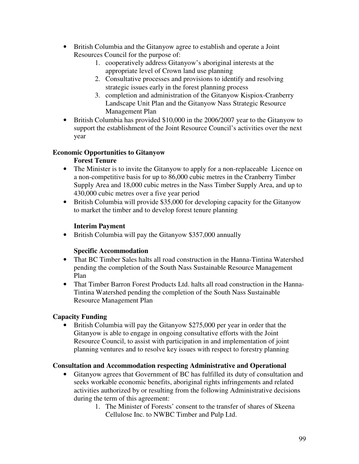- British Columbia and the Gitanyow agree to establish and operate a Joint Resources Council for the purpose of:
	- 1. cooperatively address Gitanyow's aboriginal interests at the appropriate level of Crown land use planning
	- 2. Consultative processes and provisions to identify and resolving strategic issues early in the forest planning process
	- 3. completion and administration of the Gitanyow Kispiox-Cranberry Landscape Unit Plan and the Gitanyow Nass Strategic Resource Management Plan
- British Columbia has provided \$10,000 in the 2006/2007 year to the Gitanyow to support the establishment of the Joint Resource Council's activities over the next year

### **Economic Opportunities to Gitanyow**

# **Forest Tenure**

- The Minister is to invite the Gitanyow to apply for a non-replaceable Licence on a non-competitive basis for up to 86,000 cubic metres in the Cranberry Timber Supply Area and 18,000 cubic metres in the Nass Timber Supply Area, and up to 430,000 cubic metres over a five year period
- British Columbia will provide \$35,000 for developing capacity for the Gitanyow to market the timber and to develop forest tenure planning

# **Interim Payment**

• British Columbia will pay the Gitanyow \$357,000 annually

### **Specific Accommodation**

- That BC Timber Sales halts all road construction in the Hanna-Tintina Watershed pending the completion of the South Nass Sustainable Resource Management Plan
- That Timber Barron Forest Products Ltd. halts all road construction in the Hanna-Tintina Watershed pending the completion of the South Nass Sustainable Resource Management Plan

### **Capacity Funding**

• British Columbia will pay the Gitanyow \$275,000 per year in order that the Gitanyow is able to engage in ongoing consultative efforts with the Joint Resource Council, to assist with participation in and implementation of joint planning ventures and to resolve key issues with respect to forestry planning

### **Consultation and Accommodation respecting Administrative and Operational**

- Gitanyow agrees that Government of BC has fulfilled its duty of consultation and seeks workable economic benefits, aboriginal rights infringements and related activities authorized by or resulting from the following Administrative decisions during the term of this agreement:
	- 1. The Minister of Forests' consent to the transfer of shares of Skeena Cellulose Inc. to NWBC Timber and Pulp Ltd.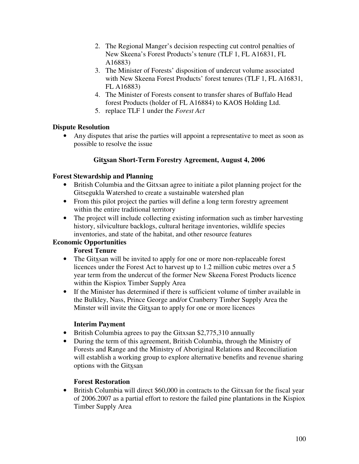- 2. The Regional Manger's decision respecting cut control penalties of New Skeena's Forest Products's tenure (TLF 1, FL A16831, FL A16883)
- 3. The Minister of Forests' disposition of undercut volume associated with New Skeena Forest Products' forest tenures (TLF 1, FL A16831, FL A16883)
- 4. The Minister of Forests consent to transfer shares of Buffalo Head forest Products (holder of FL A16884) to KAOS Holding Ltd.
- 5. replace TLF 1 under the *Forest Act*

# **Dispute Resolution**

• Any disputes that arise the parties will appoint a representative to meet as soon as possible to resolve the issue

# **Gitxsan Short-Term Forestry Agreement, August 4, 2006**

# **Forest Stewardship and Planning**

- British Columbia and the Gitxsan agree to initiate a pilot planning project for the Gitsegukla Watershed to create a sustainable watershed plan
- From this pilot project the parties will define a long term forestry agreement within the entire traditional territory
- The project will include collecting existing information such as timber harvesting history, silviculture backlogs, cultural heritage inventories, wildlife species inventories, and state of the habitat, and other resource features

# **Economic Opportunities**

**Forest Tenure** 

- The Gitxsan will be invited to apply for one or more non-replaceable forest licences under the Forest Act to harvest up to 1.2 million cubic metres over a 5 year term from the undercut of the former New Skeena Forest Products licence within the Kispiox Timber Supply Area
- If the Minister has determined if there is sufficient volume of timber available in the Bulkley, Nass, Prince George and/or Cranberry Timber Supply Area the Minster will invite the Gitxsan to apply for one or more licences

### **Interim Payment**

- British Columbia agrees to pay the Gitxsan \$2,775,310 annually
- During the term of this agreement, British Columbia, through the Ministry of Forests and Range and the Ministry of Aboriginal Relations and Reconciliation will establish a working group to explore alternative benefits and revenue sharing options with the Gitxsan

# **Forest Restoration**

• British Columbia will direct \$60,000 in contracts to the Gitxsan for the fiscal year of 2006.2007 as a partial effort to restore the failed pine plantations in the Kispiox Timber Supply Area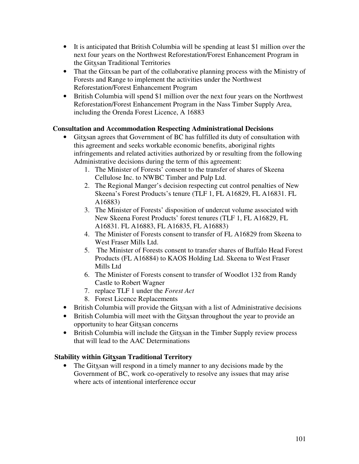- It is anticipated that British Columbia will be spending at least \$1 million over the next four years on the Northwest Reforestation/Forest Enhancement Program in the Gitxsan Traditional Territories
- That the Gitxsan be part of the collaborative planning process with the Ministry of Forests and Range to implement the activities under the Northwest Reforestation/Forest Enhancement Program
- British Columbia will spend \$1 million over the next four years on the Northwest Reforestation/Forest Enhancement Program in the Nass Timber Supply Area, including the Orenda Forest Licence, A 16883

# **Consultation and Accommodation Respecting Administrational Decisions**

- Gitxsan agrees that Government of BC has fulfilled its duty of consultation with this agreement and seeks workable economic benefits, aboriginal rights infringements and related activities authorized by or resulting from the following Administrative decisions during the term of this agreement:
	- 1. The Minister of Forests' consent to the transfer of shares of Skeena Cellulose Inc. to NWBC Timber and Pulp Ltd.
	- 2. The Regional Manger's decision respecting cut control penalties of New Skeena's Forest Products's tenure (TLF 1, FL A16829, FL A16831. FL A16883)
	- 3. The Minister of Forests' disposition of undercut volume associated with New Skeena Forest Products' forest tenures (TLF 1, FL A16829, FL A16831. FL A16883, FL A16835, FL A16883)
	- 4. The Minister of Forests consent to transfer of FL A16829 from Skeena to West Fraser Mills Ltd.
	- 5. The Minister of Forests consent to transfer shares of Buffalo Head Forest Products (FL A16884) to KAOS Holding Ltd. Skeena to West Fraser Mills Ltd
	- 6. The Minister of Forests consent to transfer of Woodlot 132 from Randy Castle to Robert Wagner
	- 7. replace TLF 1 under the *Forest Act*
	- 8. Forest Licence Replacements
- British Columbia will provide the Gitxsan with a list of Administrative decisions
- British Columbia will meet with the Gitxsan throughout the year to provide an opportunity to hear Gitxsan concerns
- British Columbia will include the Gitxsan in the Timber Supply review process that will lead to the AAC Determinations

### **Stability within Gitxsan Traditional Territory**

• The Gitxsan will respond in a timely manner to any decisions made by the Government of BC, work co-operatively to resolve any issues that may arise where acts of intentional interference occur